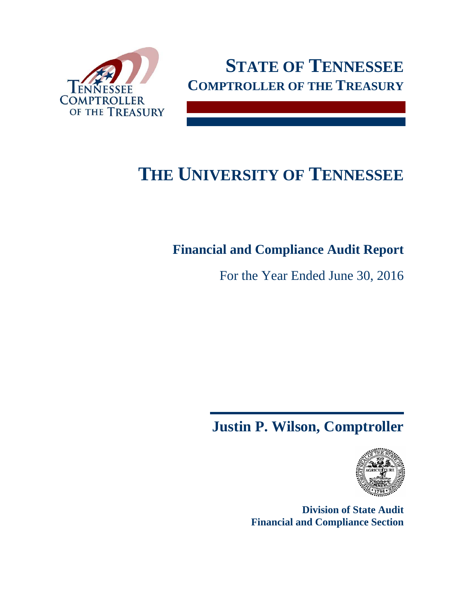



# **THE UNIVERSITY OF TENNESSEE**

## **Financial and Compliance Audit Report**

For the Year Ended June 30, 2016

## **Justin P. Wilson, Comptroller**



**Division of State Audit Financial and Compliance Section**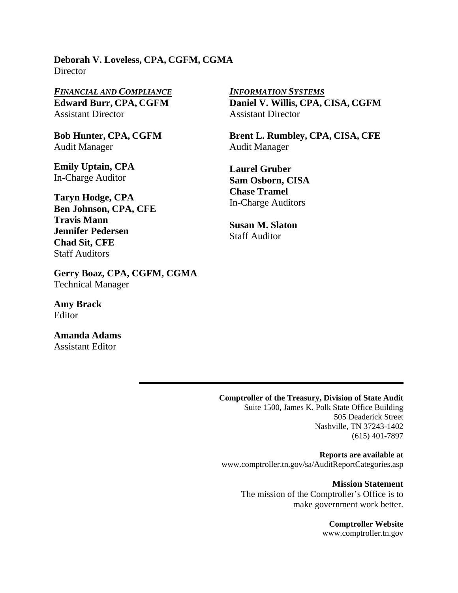**Deborah V. Loveless, CPA, CGFM, CGMA Director** 

*FINANCIAL AND COMPLIANCE INFORMATION SYSTEMS* **Edward Burr, CPA, CGFM**  Assistant Director

**Bob Hunter, CPA, CGFM**  Audit Manager

**Emily Uptain, CPA**  In-Charge Auditor

**Taryn Hodge, CPA Ben Johnson, CPA, CFE Travis Mann Jennifer Pedersen Chad Sit, CFE**  Staff Auditors

**Gerry Boaz, CPA, CGFM, CGMA**  Technical Manager

**Amy Brack Editor** 

**Amanda Adams**  Assistant Editor

**Daniel V. Willis, CPA, CISA, CGFM**  Assistant Director

**Brent L. Rumbley, CPA, CISA, CFE**  Audit Manager

**Laurel Gruber Sam Osborn, CISA Chase Tramel**  In-Charge Auditors

**Susan M. Slaton**  Staff Auditor

#### **Comptroller of the Treasury, Division of State Audit**

Suite 1500, James K. Polk State Office Building 505 Deaderick Street Nashville, TN 37243-1402 (615) 401-7897

**Reports are available at**  www.comptroller.tn.gov/sa/AuditReportCategories.asp

> **Mission Statement**  The mission of the Comptroller's Office is to make government work better.

> > **Comptroller Website**  www.comptroller.tn.gov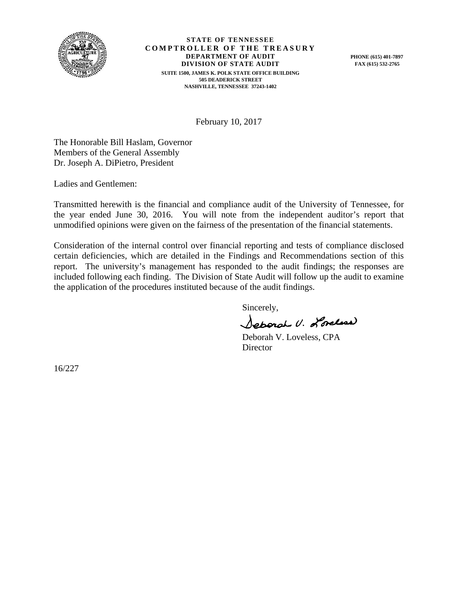

**STATE OF TENNESSEE COMPTROLLER OF THE TREASURY DEPARTMENT OF AUDIT DIVISION OF STATE AUDIT SUITE 1500, JAMES K. POLK STATE OFFICE BUILDING 505 DEADERICK STREET NASHVILLE, TENNESSEE 37243-1402** 

**PHONE (615) 401-7897 FAX (615) 532-2765** 

February 10, 2017

The Honorable Bill Haslam, Governor Members of the General Assembly Dr. Joseph A. DiPietro, President

Ladies and Gentlemen:

Transmitted herewith is the financial and compliance audit of the University of Tennessee, for the year ended June 30, 2016. You will note from the independent auditor's report that unmodified opinions were given on the fairness of the presentation of the financial statements.

Consideration of the internal control over financial reporting and tests of compliance disclosed certain deficiencies, which are detailed in the Findings and Recommendations section of this report. The university's management has responded to the audit findings; the responses are included following each finding. The Division of State Audit will follow up the audit to examine the application of the procedures instituted because of the audit findings.

Sincerely,

Separal U. Lordese)

 Deborah V. Loveless, CPA **Director** 

16/227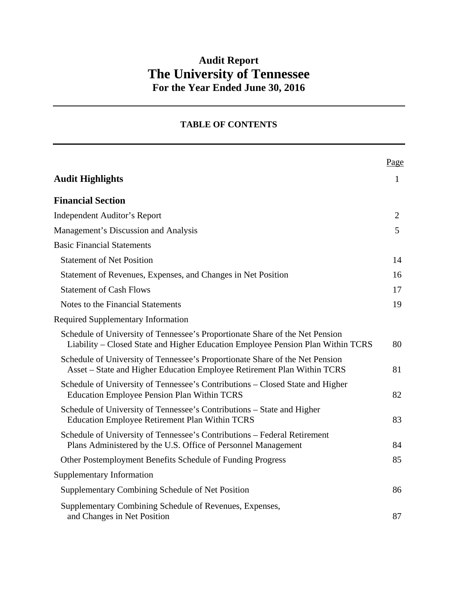### **Audit Report The University of Tennessee For the Year Ended June 30, 2016**

#### **TABLE OF CONTENTS**

|                                                                                                                                                                 | Page           |
|-----------------------------------------------------------------------------------------------------------------------------------------------------------------|----------------|
| <b>Audit Highlights</b>                                                                                                                                         | $\mathbf{1}$   |
| <b>Financial Section</b>                                                                                                                                        |                |
| <b>Independent Auditor's Report</b>                                                                                                                             | $\overline{2}$ |
| Management's Discussion and Analysis                                                                                                                            | 5              |
| <b>Basic Financial Statements</b>                                                                                                                               |                |
| <b>Statement of Net Position</b>                                                                                                                                | 14             |
| Statement of Revenues, Expenses, and Changes in Net Position                                                                                                    | 16             |
| <b>Statement of Cash Flows</b>                                                                                                                                  | 17             |
| Notes to the Financial Statements                                                                                                                               | 19             |
| <b>Required Supplementary Information</b>                                                                                                                       |                |
| Schedule of University of Tennessee's Proportionate Share of the Net Pension<br>Liability – Closed State and Higher Education Employee Pension Plan Within TCRS | 80             |
| Schedule of University of Tennessee's Proportionate Share of the Net Pension<br>Asset – State and Higher Education Employee Retirement Plan Within TCRS         | 81             |
| Schedule of University of Tennessee's Contributions - Closed State and Higher<br><b>Education Employee Pension Plan Within TCRS</b>                             | 82             |
| Schedule of University of Tennessee's Contributions – State and Higher<br><b>Education Employee Retirement Plan Within TCRS</b>                                 | 83             |
| Schedule of University of Tennessee's Contributions – Federal Retirement<br>Plans Administered by the U.S. Office of Personnel Management                       | 84             |
| Other Postemployment Benefits Schedule of Funding Progress                                                                                                      | 85             |
| <b>Supplementary Information</b>                                                                                                                                |                |
| Supplementary Combining Schedule of Net Position                                                                                                                | 86             |
| Supplementary Combining Schedule of Revenues, Expenses,<br>and Changes in Net Position                                                                          | 87             |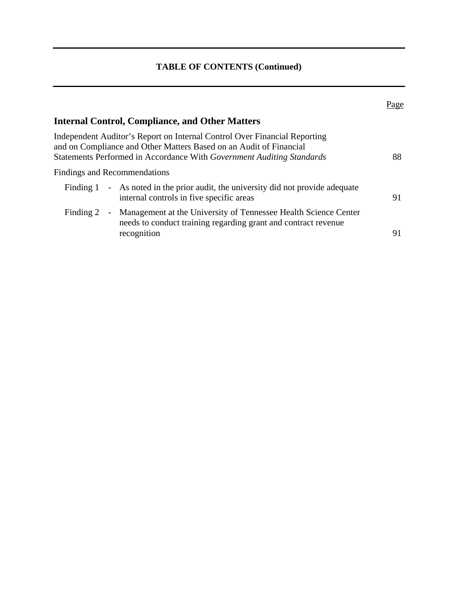|           |                                                                                                                                                                                                                          | Page |
|-----------|--------------------------------------------------------------------------------------------------------------------------------------------------------------------------------------------------------------------------|------|
|           | <b>Internal Control, Compliance, and Other Matters</b>                                                                                                                                                                   |      |
|           | Independent Auditor's Report on Internal Control Over Financial Reporting<br>and on Compliance and Other Matters Based on an Audit of Financial<br>Statements Performed in Accordance With Government Auditing Standards | 88   |
|           | <b>Findings and Recommendations</b>                                                                                                                                                                                      |      |
|           | Finding 1 - As noted in the prior audit, the university did not provide adequate<br>internal controls in five specific areas                                                                                             | 91   |
| Finding 2 | - Management at the University of Tennessee Health Science Center<br>needs to conduct training regarding grant and contract revenue<br>recognition                                                                       | 91   |
|           |                                                                                                                                                                                                                          |      |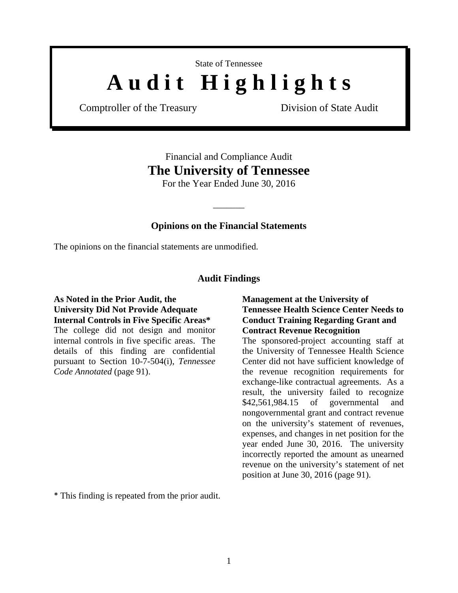State of Tennessee

# A u d i t H i g h l i g h t s

Comptroller of the Treasury Division of State Audit

## Financial and Compliance Audit **The University of Tennessee**

For the Year Ended June 30, 2016

#### **Opinions on the Financial Statements**

 $\overline{\phantom{a}}$ 

The opinions on the financial statements are unmodified.

#### **Audit Findings**

#### **As Noted in the Prior Audit, the University Did Not Provide Adequate Internal Controls in Five Specific Areas\***

The college did not design and monitor internal controls in five specific areas. The details of this finding are confidential pursuant to Section 10-7-504(i), *Tennessee Code Annotated* (page 91).

#### **Management at the University of Tennessee Health Science Center Needs to Conduct Training Regarding Grant and Contract Revenue Recognition**

The sponsored-project accounting staff at the University of Tennessee Health Science Center did not have sufficient knowledge of the revenue recognition requirements for exchange-like contractual agreements. As a result, the university failed to recognize \$42,561,984.15 of governmental and nongovernmental grant and contract revenue on the university's statement of revenues, expenses, and changes in net position for the year ended June 30, 2016. The university incorrectly reported the amount as unearned revenue on the university's statement of net position at June 30, 2016 (page 91).

\* This finding is repeated from the prior audit.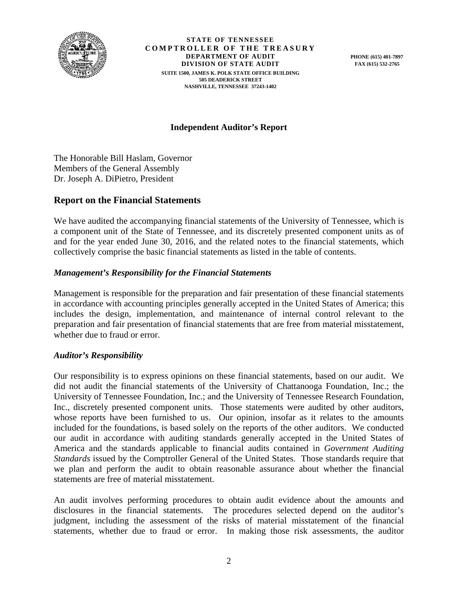

**STATE OF TENNESSEE COMPTROLLER OF THE TREASURY DEPARTMENT OF AUDIT DIVISION OF STATE AUDIT SUITE 1500, JAMES K. POLK STATE OFFICE BUILDING 505 DEADERICK STREET NASHVILLE, TENNESSEE 37243-1402** 

**PHONE (615) 401-7897 FAX (615) 532-2765** 

#### **Independent Auditor's Report**

The Honorable Bill Haslam, Governor Members of the General Assembly Dr. Joseph A. DiPietro, President

#### **Report on the Financial Statements**

We have audited the accompanying financial statements of the University of Tennessee, which is a component unit of the State of Tennessee, and its discretely presented component units as of and for the year ended June 30, 2016, and the related notes to the financial statements, which collectively comprise the basic financial statements as listed in the table of contents.

#### *Management's Responsibility for the Financial Statements*

Management is responsible for the preparation and fair presentation of these financial statements in accordance with accounting principles generally accepted in the United States of America; this includes the design, implementation, and maintenance of internal control relevant to the preparation and fair presentation of financial statements that are free from material misstatement, whether due to fraud or error.

#### *Auditor's Responsibility*

Our responsibility is to express opinions on these financial statements, based on our audit. We did not audit the financial statements of the University of Chattanooga Foundation, Inc.; the University of Tennessee Foundation, Inc.; and the University of Tennessee Research Foundation, Inc., discretely presented component units. Those statements were audited by other auditors, whose reports have been furnished to us. Our opinion, insofar as it relates to the amounts included for the foundations, is based solely on the reports of the other auditors. We conducted our audit in accordance with auditing standards generally accepted in the United States of America and the standards applicable to financial audits contained in *Government Auditing Standards* issued by the Comptroller General of the United States. Those standards require that we plan and perform the audit to obtain reasonable assurance about whether the financial statements are free of material misstatement.

An audit involves performing procedures to obtain audit evidence about the amounts and disclosures in the financial statements. The procedures selected depend on the auditor's judgment, including the assessment of the risks of material misstatement of the financial statements, whether due to fraud or error. In making those risk assessments, the auditor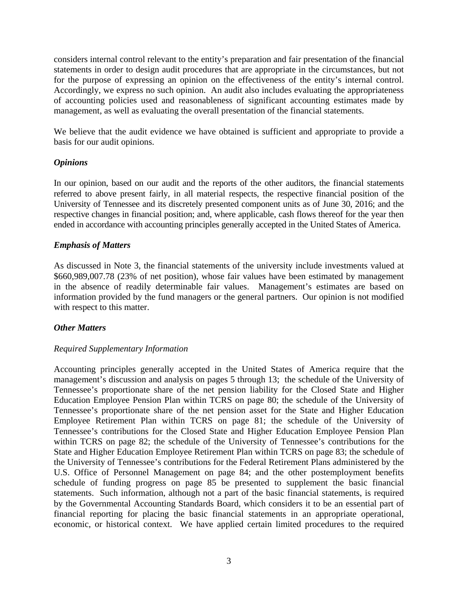considers internal control relevant to the entity's preparation and fair presentation of the financial statements in order to design audit procedures that are appropriate in the circumstances, but not for the purpose of expressing an opinion on the effectiveness of the entity's internal control. Accordingly, we express no such opinion. An audit also includes evaluating the appropriateness of accounting policies used and reasonableness of significant accounting estimates made by management, as well as evaluating the overall presentation of the financial statements.

We believe that the audit evidence we have obtained is sufficient and appropriate to provide a basis for our audit opinions.

#### *Opinions*

In our opinion, based on our audit and the reports of the other auditors, the financial statements referred to above present fairly, in all material respects, the respective financial position of the University of Tennessee and its discretely presented component units as of June 30, 2016; and the respective changes in financial position; and, where applicable, cash flows thereof for the year then ended in accordance with accounting principles generally accepted in the United States of America.

#### *Emphasis of Matters*

As discussed in Note 3, the financial statements of the university include investments valued at \$660,989,007.78 (23% of net position), whose fair values have been estimated by management in the absence of readily determinable fair values. Management's estimates are based on information provided by the fund managers or the general partners. Our opinion is not modified with respect to this matter.

#### *Other Matters*

#### *Required Supplementary Information*

Accounting principles generally accepted in the United States of America require that the management's discussion and analysis on pages 5 through 13; the schedule of the University of Tennessee's proportionate share of the net pension liability for the Closed State and Higher Education Employee Pension Plan within TCRS on page 80; the schedule of the University of Tennessee's proportionate share of the net pension asset for the State and Higher Education Employee Retirement Plan within TCRS on page 81; the schedule of the University of Tennessee's contributions for the Closed State and Higher Education Employee Pension Plan within TCRS on page 82; the schedule of the University of Tennessee's contributions for the State and Higher Education Employee Retirement Plan within TCRS on page 83; the schedule of the University of Tennessee's contributions for the Federal Retirement Plans administered by the U.S. Office of Personnel Management on page 84; and the other postemployment benefits schedule of funding progress on page 85 be presented to supplement the basic financial statements. Such information, although not a part of the basic financial statements, is required by the Governmental Accounting Standards Board, which considers it to be an essential part of financial reporting for placing the basic financial statements in an appropriate operational, economic, or historical context. We have applied certain limited procedures to the required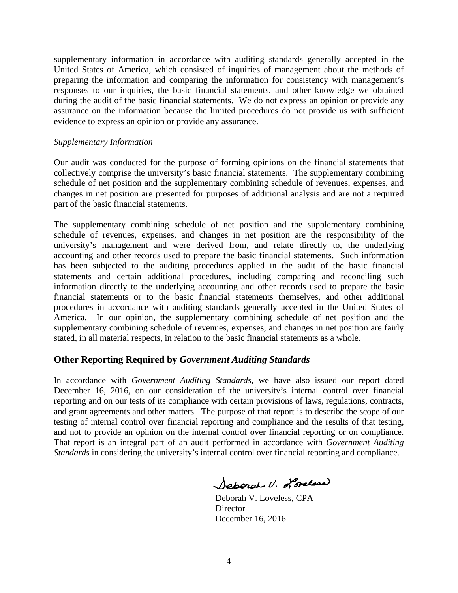supplementary information in accordance with auditing standards generally accepted in the United States of America, which consisted of inquiries of management about the methods of preparing the information and comparing the information for consistency with management's responses to our inquiries, the basic financial statements, and other knowledge we obtained during the audit of the basic financial statements. We do not express an opinion or provide any assurance on the information because the limited procedures do not provide us with sufficient evidence to express an opinion or provide any assurance.

#### *Supplementary Information*

Our audit was conducted for the purpose of forming opinions on the financial statements that collectively comprise the university's basic financial statements. The supplementary combining schedule of net position and the supplementary combining schedule of revenues, expenses, and changes in net position are presented for purposes of additional analysis and are not a required part of the basic financial statements.

The supplementary combining schedule of net position and the supplementary combining schedule of revenues, expenses, and changes in net position are the responsibility of the university's management and were derived from, and relate directly to, the underlying accounting and other records used to prepare the basic financial statements. Such information has been subjected to the auditing procedures applied in the audit of the basic financial statements and certain additional procedures, including comparing and reconciling such information directly to the underlying accounting and other records used to prepare the basic financial statements or to the basic financial statements themselves, and other additional procedures in accordance with auditing standards generally accepted in the United States of America. In our opinion, the supplementary combining schedule of net position and the supplementary combining schedule of revenues, expenses, and changes in net position are fairly stated, in all material respects, in relation to the basic financial statements as a whole.

#### **Other Reporting Required by** *Government Auditing Standards*

In accordance with *Government Auditing Standards*, we have also issued our report dated December 16, 2016, on our consideration of the university's internal control over financial reporting and on our tests of its compliance with certain provisions of laws, regulations, contracts, and grant agreements and other matters. The purpose of that report is to describe the scope of our testing of internal control over financial reporting and compliance and the results of that testing, and not to provide an opinion on the internal control over financial reporting or on compliance. That report is an integral part of an audit performed in accordance with *Government Auditing Standards* in considering the university's internal control over financial reporting and compliance.

Soperal U. Lorelson

 Deborah V. Loveless, CPA **Director** December 16, 2016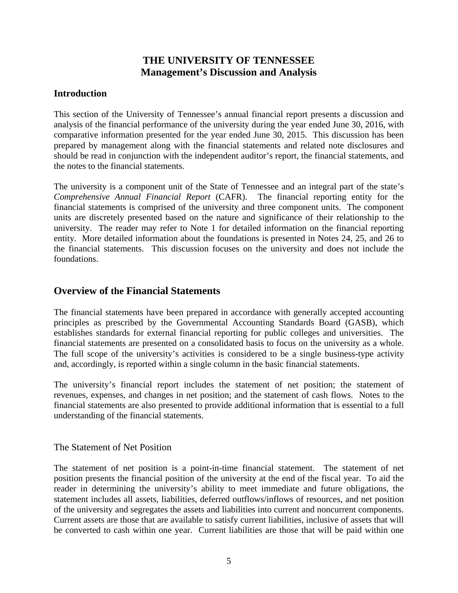### **THE UNIVERSITY OF TENNESSEE Management's Discussion and Analysis**

#### **Introduction**

This section of the University of Tennessee's annual financial report presents a discussion and analysis of the financial performance of the university during the year ended June 30, 2016, with comparative information presented for the year ended June 30, 2015. This discussion has been prepared by management along with the financial statements and related note disclosures and should be read in conjunction with the independent auditor's report, the financial statements, and the notes to the financial statements.

The university is a component unit of the State of Tennessee and an integral part of the state's *Comprehensive Annual Financial Report* (CAFR). The financial reporting entity for the financial statements is comprised of the university and three component units. The component units are discretely presented based on the nature and significance of their relationship to the university. The reader may refer to Note 1 for detailed information on the financial reporting entity. More detailed information about the foundations is presented in Notes 24, 25, and 26 to the financial statements. This discussion focuses on the university and does not include the foundations.

#### **Overview of the Financial Statements**

The financial statements have been prepared in accordance with generally accepted accounting principles as prescribed by the Governmental Accounting Standards Board (GASB), which establishes standards for external financial reporting for public colleges and universities. The financial statements are presented on a consolidated basis to focus on the university as a whole. The full scope of the university's activities is considered to be a single business-type activity and, accordingly, is reported within a single column in the basic financial statements.

The university's financial report includes the statement of net position; the statement of revenues, expenses, and changes in net position; and the statement of cash flows. Notes to the financial statements are also presented to provide additional information that is essential to a full understanding of the financial statements.

#### The Statement of Net Position

The statement of net position is a point-in-time financial statement. The statement of net position presents the financial position of the university at the end of the fiscal year. To aid the reader in determining the university's ability to meet immediate and future obligations, the statement includes all assets, liabilities, deferred outflows/inflows of resources, and net position of the university and segregates the assets and liabilities into current and noncurrent components. Current assets are those that are available to satisfy current liabilities, inclusive of assets that will be converted to cash within one year. Current liabilities are those that will be paid within one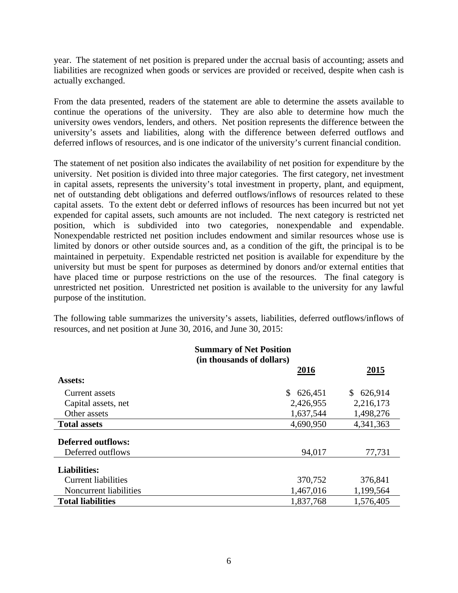year. The statement of net position is prepared under the accrual basis of accounting; assets and liabilities are recognized when goods or services are provided or received, despite when cash is actually exchanged.

From the data presented, readers of the statement are able to determine the assets available to continue the operations of the university. They are also able to determine how much the university owes vendors, lenders, and others. Net position represents the difference between the university's assets and liabilities, along with the difference between deferred outflows and deferred inflows of resources, and is one indicator of the university's current financial condition.

The statement of net position also indicates the availability of net position for expenditure by the university. Net position is divided into three major categories. The first category, net investment in capital assets, represents the university's total investment in property, plant, and equipment, net of outstanding debt obligations and deferred outflows/inflows of resources related to these capital assets. To the extent debt or deferred inflows of resources has been incurred but not yet expended for capital assets, such amounts are not included. The next category is restricted net position, which is subdivided into two categories, nonexpendable and expendable. Nonexpendable restricted net position includes endowment and similar resources whose use is limited by donors or other outside sources and, as a condition of the gift, the principal is to be maintained in perpetuity. Expendable restricted net position is available for expenditure by the university but must be spent for purposes as determined by donors and/or external entities that have placed time or purpose restrictions on the use of the resources. The final category is unrestricted net position. Unrestricted net position is available to the university for any lawful purpose of the institution.

The following table summarizes the university's assets, liabilities, deferred outflows/inflows of resources, and net position at June 30, 2016, and June 30, 2015:

|                            | <b>Summary of Net Position</b>                   |           |  |  |  |
|----------------------------|--------------------------------------------------|-----------|--|--|--|
|                            | (in thousands of dollars)<br>2016<br><u>2015</u> |           |  |  |  |
| <b>Assets:</b>             |                                                  |           |  |  |  |
| Current assets             | 626,451<br>\$                                    | \$626,914 |  |  |  |
| Capital assets, net        | 2,426,955                                        | 2,216,173 |  |  |  |
| Other assets               | 1,637,544                                        | 1,498,276 |  |  |  |
| <b>Total assets</b>        | 4,690,950                                        | 4,341,363 |  |  |  |
| <b>Deferred outflows:</b>  |                                                  |           |  |  |  |
| Deferred outflows          | 94,017                                           | 77,731    |  |  |  |
| <b>Liabilities:</b>        |                                                  |           |  |  |  |
| <b>Current liabilities</b> | 370,752                                          | 376,841   |  |  |  |
| Noncurrent liabilities     | 1,467,016                                        | 1,199,564 |  |  |  |
| <b>Total liabilities</b>   | 1,837,768                                        | 1,576,405 |  |  |  |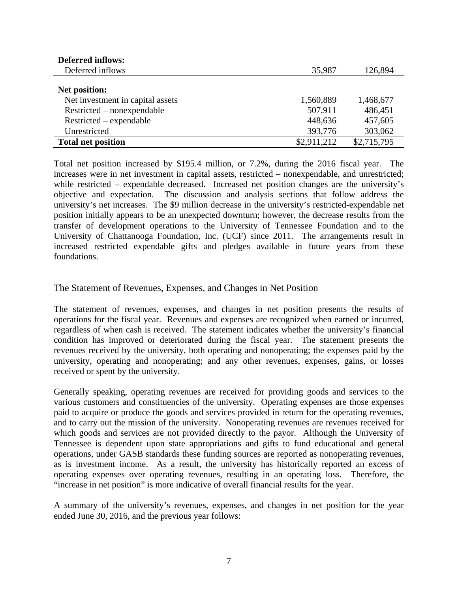| <b>Deferred inflows:</b>         |             |             |
|----------------------------------|-------------|-------------|
| Deferred inflows                 | 35,987      | 126,894     |
|                                  |             |             |
| Net position:                    |             |             |
| Net investment in capital assets | 1,560,889   | 1,468,677   |
| Restricted – nonexpendable       | 507,911     | 486,451     |
| Restricted – expendable          | 448,636     | 457,605     |
| Unrestricted                     | 393,776     | 303,062     |
| <b>Total net position</b>        | \$2,911,212 | \$2,715,795 |

Total net position increased by \$195.4 million, or 7.2%, during the 2016 fiscal year. The increases were in net investment in capital assets, restricted – nonexpendable, and unrestricted; while restricted – expendable decreased. Increased net position changes are the university's objective and expectation. The discussion and analysis sections that follow address the university's net increases. The \$9 million decrease in the university's restricted-expendable net position initially appears to be an unexpected downturn; however, the decrease results from the transfer of development operations to the University of Tennessee Foundation and to the University of Chattanooga Foundation, Inc. (UCF) since 2011. The arrangements result in increased restricted expendable gifts and pledges available in future years from these foundations.

The Statement of Revenues, Expenses, and Changes in Net Position

The statement of revenues, expenses, and changes in net position presents the results of operations for the fiscal year. Revenues and expenses are recognized when earned or incurred, regardless of when cash is received. The statement indicates whether the university's financial condition has improved or deteriorated during the fiscal year. The statement presents the revenues received by the university, both operating and nonoperating; the expenses paid by the university, operating and nonoperating; and any other revenues, expenses, gains, or losses received or spent by the university.

Generally speaking, operating revenues are received for providing goods and services to the various customers and constituencies of the university. Operating expenses are those expenses paid to acquire or produce the goods and services provided in return for the operating revenues, and to carry out the mission of the university. Nonoperating revenues are revenues received for which goods and services are not provided directly to the payor.Although the University of Tennessee is dependent upon state appropriations and gifts to fund educational and general operations, under GASB standards these funding sources are reported as nonoperating revenues, as is investment income. As a result, the university has historically reported an excess of operating expenses over operating revenues, resulting in an operating loss. Therefore, the "increase in net position" is more indicative of overall financial results for the year.

A summary of the university's revenues, expenses, and changes in net position for the year ended June 30, 2016, and the previous year follows: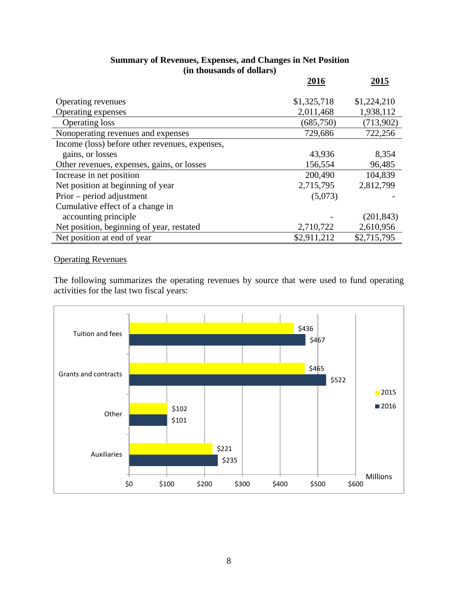|                                                | 2016        | 2015        |
|------------------------------------------------|-------------|-------------|
|                                                |             |             |
| Operating revenues                             | \$1,325,718 | \$1,224,210 |
| Operating expenses                             | 2,011,468   | 1,938,112   |
| Operating loss                                 | (685, 750)  | (713,902)   |
| Nonoperating revenues and expenses             | 729,686     | 722,256     |
| Income (loss) before other revenues, expenses, |             |             |
| gains, or losses                               | 43,936      | 8,354       |
| Other revenues, expenses, gains, or losses     | 156,554     | 96,485      |
| Increase in net position                       | 200,490     | 104,839     |
| Net position at beginning of year              | 2,715,795   | 2,812,799   |
| $Prior$ – period adjustment                    | (5,073)     |             |
| Cumulative effect of a change in               |             |             |
| accounting principle                           |             | (201, 843)  |
| Net position, beginning of year, restated      | 2,710,722   | 2,610,956   |
| Net position at end of year                    | \$2,911,212 | \$2,715,795 |

#### **Summary of Revenues, Expenses, and Changes in Net Position (in thousands of dollars)**

#### Operating Revenues

The following summarizes the operating revenues by source that were used to fund operating activities for the last two fiscal years:

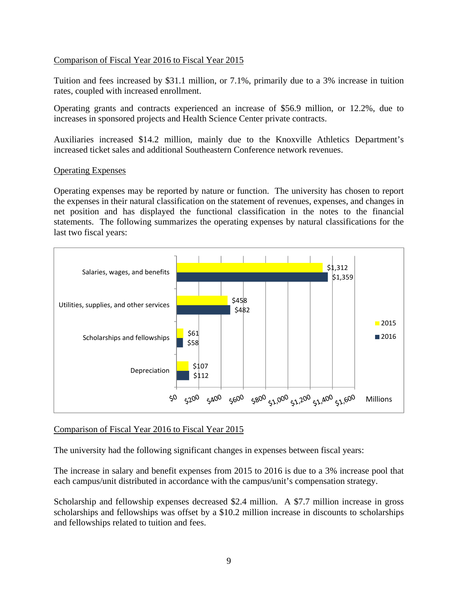#### Comparison of Fiscal Year 2016 to Fiscal Year 2015

Tuition and fees increased by \$31.1 million, or 7.1%, primarily due to a 3% increase in tuition rates, coupled with increased enrollment.

Operating grants and contracts experienced an increase of \$56.9 million, or 12.2%, due to increases in sponsored projects and Health Science Center private contracts.

Auxiliaries increased \$14.2 million, mainly due to the Knoxville Athletics Department's increased ticket sales and additional Southeastern Conference network revenues.

#### Operating Expenses

Operating expenses may be reported by nature or function. The university has chosen to report the expenses in their natural classification on the statement of revenues, expenses, and changes in net position and has displayed the functional classification in the notes to the financial statements. The following summarizes the operating expenses by natural classifications for the last two fiscal years:



#### Comparison of Fiscal Year 2016 to Fiscal Year 2015

The university had the following significant changes in expenses between fiscal years:

The increase in salary and benefit expenses from 2015 to 2016 is due to a 3% increase pool that each campus/unit distributed in accordance with the campus/unit's compensation strategy.

Scholarship and fellowship expenses decreased \$2.4 million. A \$7.7 million increase in gross scholarships and fellowships was offset by a \$10.2 million increase in discounts to scholarships and fellowships related to tuition and fees.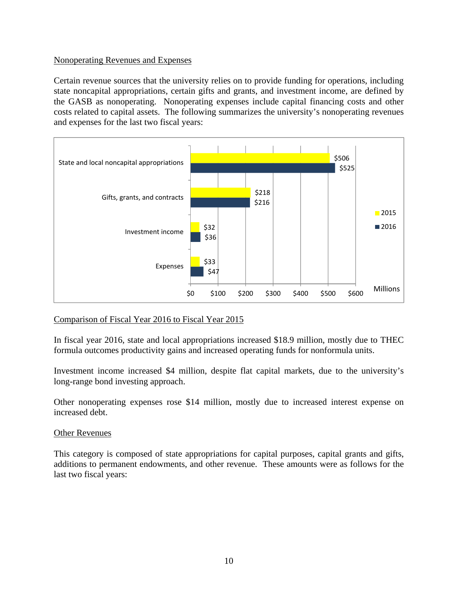#### Nonoperating Revenues and Expenses

Certain revenue sources that the university relies on to provide funding for operations, including state noncapital appropriations, certain gifts and grants, and investment income, are defined by the GASB as nonoperating. Nonoperating expenses include capital financing costs and other costs related to capital assets. The following summarizes the university's nonoperating revenues and expenses for the last two fiscal years:



#### Comparison of Fiscal Year 2016 to Fiscal Year 2015

In fiscal year 2016, state and local appropriations increased \$18.9 million, mostly due to THEC formula outcomes productivity gains and increased operating funds for nonformula units.

Investment income increased \$4 million, despite flat capital markets, due to the university's long-range bond investing approach.

Other nonoperating expenses rose \$14 million, mostly due to increased interest expense on increased debt.

#### Other Revenues

This category is composed of state appropriations for capital purposes, capital grants and gifts, additions to permanent endowments, and other revenue. These amounts were as follows for the last two fiscal years: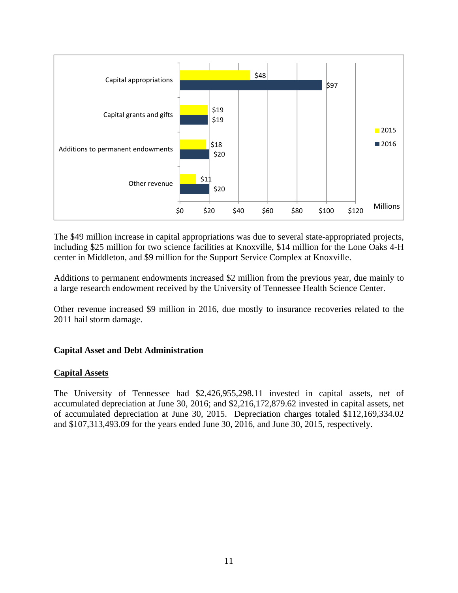

The \$49 million increase in capital appropriations was due to several state-appropriated projects, including \$25 million for two science facilities at Knoxville, \$14 million for the Lone Oaks 4-H center in Middleton, and \$9 million for the Support Service Complex at Knoxville.

Additions to permanent endowments increased \$2 million from the previous year, due mainly to a large research endowment received by the University of Tennessee Health Science Center.

Other revenue increased \$9 million in 2016, due mostly to insurance recoveries related to the 2011 hail storm damage.

#### **Capital Asset and Debt Administration**

#### **Capital Assets**

The University of Tennessee had \$2,426,955,298.11 invested in capital assets, net of accumulated depreciation at June 30, 2016; and \$2,216,172,879.62 invested in capital assets, net of accumulated depreciation at June 30, 2015. Depreciation charges totaled \$112,169,334.02 and \$107,313,493.09 for the years ended June 30, 2016, and June 30, 2015, respectively.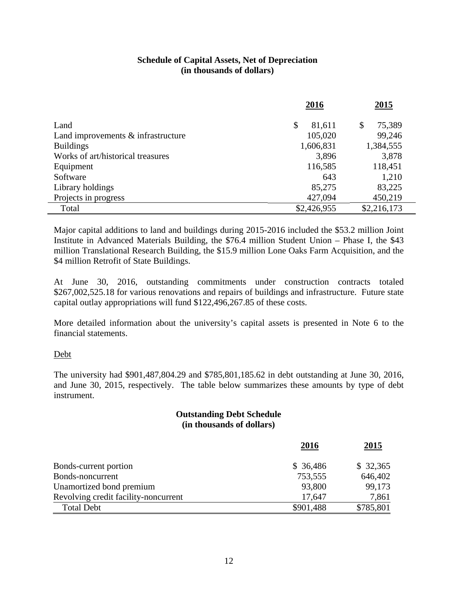#### **Schedule of Capital Assets, Net of Depreciation (in thousands of dollars)**

|                                       | 2016         | 2015         |
|---------------------------------------|--------------|--------------|
|                                       |              |              |
| Land                                  | \$<br>81,611 | 75,389<br>\$ |
| Land improvements $\&$ infrastructure | 105,020      | 99,246       |
| <b>Buildings</b>                      | 1,606,831    | 1,384,555    |
| Works of art/historical treasures     | 3,896        | 3,878        |
| Equipment                             | 116,585      | 118,451      |
| Software                              | 643          | 1,210        |
| Library holdings                      | 85,275       | 83,225       |
| Projects in progress                  | 427,094      | 450,219      |
| Total                                 | \$2,426,955  | \$2,216,173  |

Major capital additions to land and buildings during 2015-2016 included the \$53.2 million Joint Institute in Advanced Materials Building, the \$76.4 million Student Union – Phase I, the \$43 million Translational Research Building, the \$15.9 million Lone Oaks Farm Acquisition, and the \$4 million Retrofit of State Buildings.

At June 30, 2016, outstanding commitments under construction contracts totaled \$267,002,525.18 for various renovations and repairs of buildings and infrastructure. Future state capital outlay appropriations will fund \$122,496,267.85 of these costs.

More detailed information about the university's capital assets is presented in Note 6 to the financial statements.

#### Debt

The university had \$901,487,804.29 and \$785,801,185.62 in debt outstanding at June 30, 2016, and June 30, 2015, respectively. The table below summarizes these amounts by type of debt instrument.

#### **Outstanding Debt Schedule (in thousands of dollars)**

|                                      | 2016      | <u>2015</u> |
|--------------------------------------|-----------|-------------|
| Bonds-current portion                | \$36,486  | \$32,365    |
| Bonds-noncurrent                     | 753,555   | 646,402     |
| Unamortized bond premium             | 93,800    | 99,173      |
| Revolving credit facility-noncurrent | 17.647    | 7,861       |
| <b>Total Debt</b>                    | \$901,488 | \$785,801   |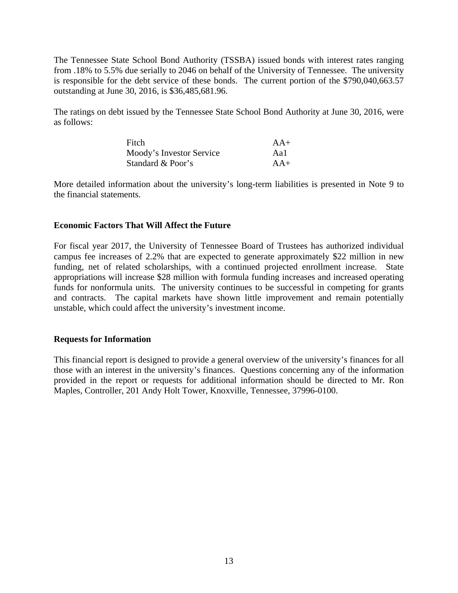The Tennessee State School Bond Authority (TSSBA) issued bonds with interest rates ranging from .18% to 5.5% due serially to 2046 on behalf of the University of Tennessee. The university is responsible for the debt service of these bonds. The current portion of the \$790,040,663.57 outstanding at June 30, 2016, is \$36,485,681.96.

The ratings on debt issued by the Tennessee State School Bond Authority at June 30, 2016, were as follows:

| Fitch                    | $AA+$ |
|--------------------------|-------|
| Moody's Investor Service | Aa1   |
| Standard & Poor's        | $AA+$ |

More detailed information about the university's long-term liabilities is presented in Note 9 to the financial statements.

#### **Economic Factors That Will Affect the Future**

For fiscal year 2017, the University of Tennessee Board of Trustees has authorized individual campus fee increases of 2.2% that are expected to generate approximately \$22 million in new funding, net of related scholarships, with a continued projected enrollment increase. State appropriations will increase \$28 million with formula funding increases and increased operating funds for nonformula units. The university continues to be successful in competing for grants and contracts. The capital markets have shown little improvement and remain potentially unstable, which could affect the university's investment income.

#### **Requests for Information**

This financial report is designed to provide a general overview of the university's finances for all those with an interest in the university's finances. Questions concerning any of the information provided in the report or requests for additional information should be directed to Mr. Ron Maples, Controller, 201 Andy Holt Tower, Knoxville, Tennessee, 37996-0100.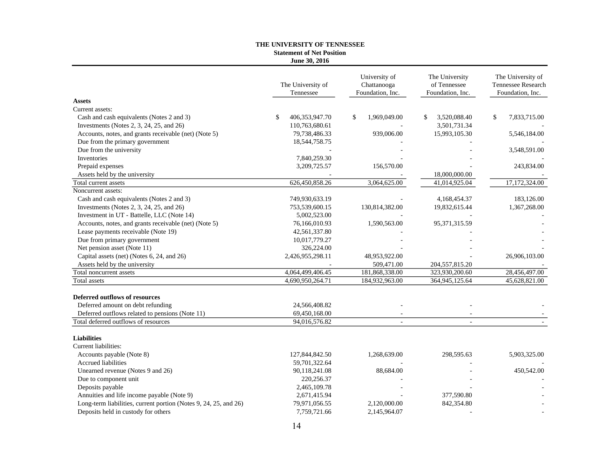#### **THE UNIVERSITY OF TENNESSEE Statement of Net Position June 30, 2016**

|                                                                  | The University of<br>Tennessee | University of<br>Chattanooga<br>Foundation, Inc. | The University<br>of Tennessee<br>Foundation, Inc. | The University of<br>Tennessee Research<br>Foundation, Inc. |
|------------------------------------------------------------------|--------------------------------|--------------------------------------------------|----------------------------------------------------|-------------------------------------------------------------|
| <b>Assets</b>                                                    |                                |                                                  |                                                    |                                                             |
| Current assets:                                                  |                                |                                                  |                                                    |                                                             |
| Cash and cash equivalents (Notes 2 and 3)                        | 406,353,947.70<br>\$           | \$<br>1,969,049.00                               | 3,520,088.40<br>\$                                 | \$<br>7,833,715.00                                          |
| Investments (Notes 2, 3, 24, 25, and 26)                         | 110,763,680.61                 |                                                  | 3,501,731.34                                       |                                                             |
| Accounts, notes, and grants receivable (net) (Note 5)            | 79,738,486.33                  | 939,006.00                                       | 15,993,105.30                                      | 5,546,184.00                                                |
| Due from the primary government                                  | 18,544,758.75                  |                                                  |                                                    |                                                             |
| Due from the university                                          |                                |                                                  |                                                    | 3,548,591.00                                                |
| Inventories                                                      | 7,840,259.30                   |                                                  |                                                    |                                                             |
| Prepaid expenses                                                 | 3,209,725.57                   | 156,570.00                                       |                                                    | 243,834.00                                                  |
| Assets held by the university                                    |                                |                                                  | 18,000,000.00                                      |                                                             |
| Total current assets                                             | 626,450,858.26                 | 3,064,625.00                                     | 41,014,925.04                                      | 17,172,324.00                                               |
| Noncurrent assets:                                               |                                |                                                  |                                                    |                                                             |
| Cash and cash equivalents (Notes 2 and 3)                        | 749,930,633.19                 |                                                  | 4,168,454.37                                       | 183,126.00                                                  |
| Investments (Notes 2, 3, 24, 25, and 26)                         | 753,539,600.15                 | 130,814,382.00                                   | 19,832,615.44                                      | 1,367,268.00                                                |
| Investment in UT - Battelle, LLC (Note 14)                       | 5,002,523.00                   |                                                  |                                                    |                                                             |
| Accounts, notes, and grants receivable (net) (Note 5)            | 76,166,010.93                  | 1,590,563.00                                     | 95,371,315.59                                      |                                                             |
| Lease payments receivable (Note 19)                              | 42,561,337.80                  |                                                  |                                                    |                                                             |
| Due from primary government                                      | 10,017,779.27                  |                                                  |                                                    |                                                             |
| Net pension asset (Note 11)                                      | 326,224.00                     |                                                  |                                                    |                                                             |
| Capital assets (net) (Notes 6, 24, and 26)                       | 2,426,955,298.11               | 48,953,922.00                                    |                                                    | 26,906,103.00                                               |
| Assets held by the university                                    |                                | 509,471.00                                       | 204,557,815.20                                     |                                                             |
| Total noncurrent assets                                          | 4,064,499,406.45               | 181,868,338.00                                   | 323,930,200.60                                     | 28,456,497.00                                               |
| Total assets                                                     | 4,690,950,264.71               | 184,932,963.00                                   | 364,945,125.64                                     | 45,628,821.00                                               |
| <b>Deferred outflows of resources</b>                            |                                |                                                  |                                                    |                                                             |
| Deferred amount on debt refunding                                | 24,566,408.82                  |                                                  |                                                    |                                                             |
| Deferred outflows related to pensions (Note 11)                  | 69,450,168.00                  |                                                  |                                                    |                                                             |
| Total deferred outflows of resources                             | 94,016,576.82                  |                                                  | $\overline{\phantom{a}}$                           |                                                             |
| <b>Liabilities</b>                                               |                                |                                                  |                                                    |                                                             |
| Current liabilities:                                             |                                |                                                  |                                                    |                                                             |
| Accounts payable (Note 8)                                        | 127,844,842.50                 | 1,268,639.00                                     | 298,595.63                                         | 5,903,325.00                                                |
| <b>Accrued liabilities</b>                                       | 59,701,322.64                  |                                                  |                                                    |                                                             |
| Unearned revenue (Notes 9 and 26)                                | 90,118,241.08                  | 88,684.00                                        |                                                    | 450,542.00                                                  |
| Due to component unit                                            | 220,256.37                     |                                                  |                                                    |                                                             |
| Deposits payable                                                 | 2,465,109.78                   |                                                  |                                                    |                                                             |
| Annuities and life income payable (Note 9)                       | 2,671,415.94                   |                                                  | 377,590.80                                         |                                                             |
| Long-term liabilities, current portion (Notes 9, 24, 25, and 26) | 79,971,056.55                  | 2,120,000.00                                     | 842,354.80                                         |                                                             |
| Deposits held in custody for others                              | 7,759,721.66                   | 2,145,964.07                                     |                                                    |                                                             |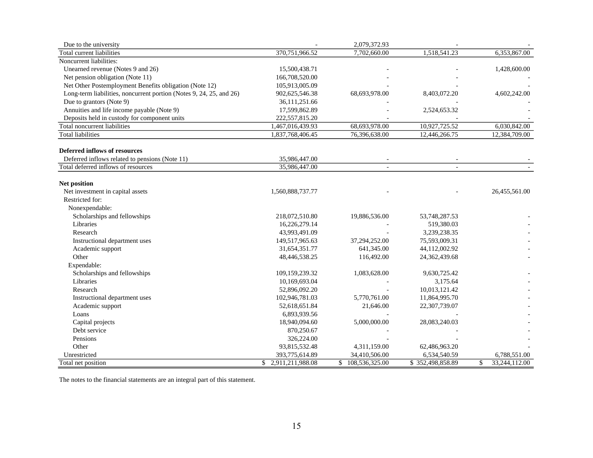| Due to the university                                               |                        | 2,079,372.93         |                  |                     |
|---------------------------------------------------------------------|------------------------|----------------------|------------------|---------------------|
| Total current liabilities                                           | 370,751,966.52         | 7,702,660.00         | 1,518,541.23     | 6,353,867.00        |
| Noncurrent liabilities:                                             |                        |                      |                  |                     |
| Unearned revenue (Notes 9 and 26)                                   | 15,500,438.71          |                      |                  | 1,428,600.00        |
| Net pension obligation (Note 11)                                    | 166,708,520.00         |                      |                  |                     |
| Net Other Postemployment Benefits obligation (Note 12)              | 105,913,005.09         |                      |                  |                     |
| Long-term liabilities, noncurrent portion (Notes 9, 24, 25, and 26) | 902,625,546.38         | 68,693,978.00        | 8,403,072.20     | 4,602,242.00        |
| Due to grantors (Note 9)                                            | 36,111,251.66          |                      |                  |                     |
| Annuities and life income payable (Note 9)                          | 17,599,862.89          |                      | 2,524,653.32     |                     |
| Deposits held in custody for component units                        | 222,557,815.20         |                      |                  |                     |
| <b>Total noncurrent liabilities</b>                                 | 1,467,016,439.93       | 68,693,978.00        | 10,927,725.52    | 6,030,842.00        |
| <b>Total liabilities</b>                                            | 1,837,768,406.45       | 76,396,638.00        | 12,446,266.75    | 12,384,709.00       |
|                                                                     |                        |                      |                  |                     |
| <b>Deferred inflows of resources</b>                                |                        |                      |                  |                     |
| Deferred inflows related to pensions (Note 11)                      | 35,986,447.00          |                      |                  |                     |
| Total deferred inflows of resources                                 | 35,986,447.00          |                      |                  |                     |
|                                                                     |                        |                      |                  |                     |
| Net position                                                        |                        |                      |                  |                     |
| Net investment in capital assets<br>Restricted for:                 | 1,560,888,737.77       |                      |                  | 26,455,561.00       |
|                                                                     |                        |                      |                  |                     |
| Nonexpendable:                                                      |                        |                      |                  |                     |
| Scholarships and fellowships                                        | 218,072,510.80         | 19,886,536.00        | 53,748,287.53    |                     |
| Libraries                                                           | 16,226,279.14          |                      | 519,380.03       |                     |
| Research                                                            | 43,993,491.09          |                      | 3,239,238.35     |                     |
| Instructional department uses                                       | 149,517,965.63         | 37,294,252.00        | 75,593,009.31    |                     |
| Academic support                                                    | 31,654,351.77          | 641,345.00           | 44,112,002.92    |                     |
| Other                                                               | 48,446,538.25          | 116,492.00           | 24,362,439.68    |                     |
| Expendable:                                                         |                        |                      |                  |                     |
| Scholarships and fellowships                                        | 109,159,239.32         | 1,083,628.00         | 9,630,725.42     |                     |
| Libraries                                                           | 10,169,693.04          |                      | 3,175.64         |                     |
| Research                                                            | 52,896,092.20          |                      | 10,013,121.42    |                     |
| Instructional department uses                                       | 102,946,781.03         | 5,770,761.00         | 11,864,995.70    |                     |
| Academic support                                                    | 52,618,651.84          | 21,646.00            | 22,307,739.07    |                     |
| Loans                                                               | 6,893,939.56           |                      |                  |                     |
| Capital projects                                                    | 18,940,094.60          | 5,000,000.00         | 28,083,240.03    |                     |
| Debt service                                                        | 870,250.67             |                      |                  |                     |
| Pensions                                                            | 326,224.00             |                      |                  |                     |
| Other                                                               | 93,815,532.48          | 4,311,159.00         | 62,486,963.20    |                     |
| Unrestricted                                                        | 393,775,614.89         | 34,410,506.00        | 6,534,540.59     | 6,788,551.00        |
| Total net position                                                  | 2,911,211,988.08<br>\$ | 108,536,325.00<br>\$ | \$352,498,858.89 | 33,244,112.00<br>\$ |

The notes to the financial statements are an integral part of this statement.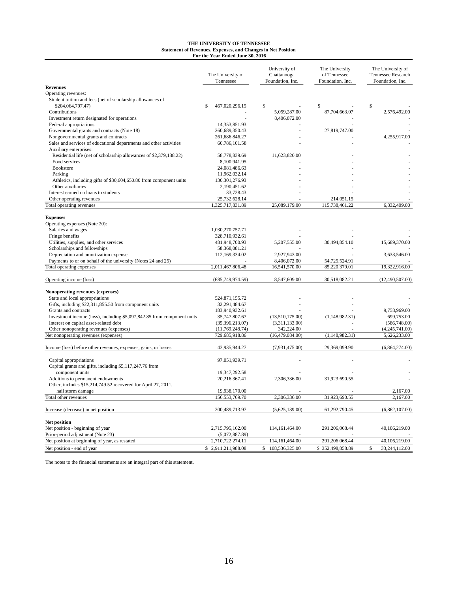#### **THE UNIVERSITY OF TENNESSEE Statement of Revenues, Expenses, and Changes in Net Position For the Year Ended June 30, 2016**

|                                                                                              | The University of<br>Tennessee | University of<br>Chattanooga<br>Foundation, Inc. | The University<br>of Tennessee<br>Foundation, Inc. | The University of<br>Tennessee Research<br>Foundation, Inc. |
|----------------------------------------------------------------------------------------------|--------------------------------|--------------------------------------------------|----------------------------------------------------|-------------------------------------------------------------|
| <b>Revenues</b>                                                                              |                                |                                                  |                                                    |                                                             |
| Operating revenues:                                                                          |                                |                                                  |                                                    |                                                             |
| Student tuition and fees (net of scholarship allowances of                                   |                                |                                                  |                                                    |                                                             |
| \$204,064,797.47)                                                                            | $\mathbb{S}$<br>467,020,296.15 | \$                                               | S                                                  | \$                                                          |
| Contributions                                                                                |                                | 5,059,287.00                                     | 87,704,663.07                                      | 2,576,492.00                                                |
| Investment return designated for operations                                                  |                                | 8,406,072.00                                     |                                                    |                                                             |
| Federal appropriations                                                                       | 14,353,851.93                  |                                                  |                                                    |                                                             |
| Governmental grants and contracts (Note 18)                                                  | 260,689,350.43                 |                                                  | 27,819,747.00                                      |                                                             |
| Nongovernmental grants and contracts                                                         | 261,686,846.27                 |                                                  |                                                    | 4,255,917.00                                                |
| Sales and services of educational departments and other activities                           | 60,786,101.58                  |                                                  |                                                    |                                                             |
| Auxiliary enterprises:<br>Residential life (net of scholarship allowances of \$2,379,188.22) | 58,778,839.69                  | 11,623,820.00                                    |                                                    |                                                             |
| Food services                                                                                | 8,100,941.95                   |                                                  |                                                    |                                                             |
| <b>Bookstore</b>                                                                             | 24,081,486.63                  |                                                  |                                                    |                                                             |
| Parking                                                                                      | 11,962,032.14                  |                                                  |                                                    |                                                             |
| Athletics, including gifts of \$30,604,650.80 from component units                           | 130, 301, 276.93               |                                                  |                                                    |                                                             |
| Other auxiliaries                                                                            | 2,190,451.62                   |                                                  |                                                    |                                                             |
| Interest earned on loans to students                                                         | 33,728.43                      |                                                  |                                                    |                                                             |
| Other operating revenues                                                                     | 25,732,628.14                  |                                                  | 214,051.15                                         |                                                             |
| Total operating revenues                                                                     | 1,325,717,831.89               | 25,089,179.00                                    | 115,738,461.22                                     | 6,832,409.00                                                |
| <b>Expenses</b><br>Operating expenses (Note 20):                                             |                                |                                                  |                                                    |                                                             |
| Salaries and wages                                                                           | 1,030,270,757.71               |                                                  |                                                    |                                                             |
| Fringe benefits                                                                              | 328,710,932.61                 |                                                  |                                                    |                                                             |
| Utilities, supplies, and other services                                                      | 481,948,700.93                 | 5,207,555.00                                     | 30,494,854.10                                      | 15,689,370.00                                               |
| Scholarships and fellowships                                                                 | 58,368,081.21                  |                                                  |                                                    |                                                             |
| Depreciation and amortization expense                                                        | 112,169,334.02                 | 2,927,943.00                                     |                                                    | 3,633,546.00                                                |
| Payments to or on behalf of the university (Notes 24 and 25)                                 |                                | 8,406,072.00                                     | 54,725,524.91                                      |                                                             |
| Total operating expenses                                                                     | 2,011,467,806.48               | 16,541,570.00                                    | 85,220,379.01                                      | 19,322,916.00                                               |
| Operating income (loss)                                                                      | (685,749,974.59)               | 8,547,609.00                                     | 30,518,082.21                                      | (12,490,507.00)                                             |
| Nonoperating revenues (expenses)                                                             |                                |                                                  |                                                    |                                                             |
| State and local appropriations                                                               | 524,871,155.72                 |                                                  |                                                    |                                                             |
| Gifts, including \$22,311,855.50 from component units                                        | 32,291,484.67                  |                                                  |                                                    |                                                             |
| Grants and contracts                                                                         | 183,940,932.61                 |                                                  |                                                    | 9,758,969.00                                                |
| Investment income (loss), including \$5,097,842.85 from component units                      | 35,747,807.67                  | (13,510,175.00)                                  | (1,148,982.31)                                     | 699,753.00                                                  |
| Interest on capital asset-related debt                                                       | (35,396,213.07)                | (3,311,133.00)                                   |                                                    | (586,748.00)                                                |
| Other nonoperating revenues (expenses)                                                       | (11,769,248.74)                | 342,224.00                                       |                                                    | (4,245,741.00)                                              |
| Net nonoperating revenues (expenses)                                                         | 729,685,918.86                 | (16, 479, 084.00)                                | (1, 148, 982.31)                                   | 5,626,233.00                                                |
| Income (loss) before other revenues, expenses, gains, or losses                              | 43,935,944.27                  | (7,931,475.00)                                   | 29,369,099.90                                      | (6,864,274.00)                                              |
|                                                                                              |                                |                                                  |                                                    |                                                             |
| Capital appropriations                                                                       | 97,051,939.71                  |                                                  |                                                    |                                                             |
| Capital grants and gifts, including \$5,117,247.76 from                                      |                                |                                                  |                                                    |                                                             |
| component units                                                                              | 19, 347, 292. 58               |                                                  |                                                    |                                                             |
| Additions to permanent endowments                                                            | 20,216,367.41                  | 2,306,336.00                                     | 31,923,690.55                                      |                                                             |
| Other, includes \$15,214,749.52 recovered for April 27, 2011,                                |                                |                                                  |                                                    |                                                             |
| hail storm damage                                                                            | 19,938,170.00                  |                                                  |                                                    | 2.167.00                                                    |
| Total other revenues                                                                         | 156,553,769.70                 | 2,306,336.00                                     | 31,923,690.55                                      | 2,167.00                                                    |
| Increase (decrease) in net position                                                          | 200,489,713.97                 | (5,625,139.00)                                   | 61,292,790.45                                      | (6,862,107.00)                                              |
| <b>Net position</b>                                                                          |                                |                                                  |                                                    |                                                             |
| Net position - beginning of year                                                             | 2,715,795,162.00               | 114, 161, 464.00                                 | 291,206,068.44                                     | 40,106,219.00                                               |
| Prior-period adjustment (Note 23)                                                            | (5,072,887.89)                 |                                                  |                                                    |                                                             |
| Net position at beginning of year, as restated                                               | 2,710,722,274.11               | 114,161,464.00                                   | 291,206,068.44                                     | 40,106,219.00                                               |
| Net position - end of year                                                                   | \$2,911,211,988.08             | \$<br>108,536,325.00                             | \$352,498,858.89                                   | $\mathbb{S}$<br>33,244,112.00                               |
|                                                                                              |                                |                                                  |                                                    |                                                             |

The notes to the financial statements are an integral part of this statement.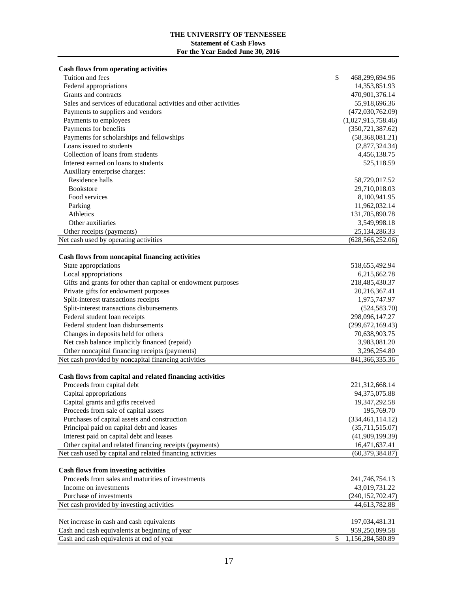#### **THE UNIVERSITY OF TENNESSEE Statement of Cash Flows For the Year Ended June 30, 2016**

| <b>Cash flows from operating activities</b>                       |                        |
|-------------------------------------------------------------------|------------------------|
| Tuition and fees                                                  | \$<br>468,299,694.96   |
| Federal appropriations                                            | 14,353,851.93          |
| Grants and contracts                                              | 470,901,376.14         |
| Sales and services of educational activities and other activities | 55,918,696.36          |
| Payments to suppliers and vendors                                 | (472,030,762.09)       |
| Payments to employees                                             | (1,027,915,758.46)     |
| Payments for benefits                                             | (350, 721, 387.62)     |
| Payments for scholarships and fellowships                         | (58,368,081.21)        |
| Loans issued to students                                          | (2,877,324.34)         |
| Collection of loans from students                                 | 4,456,138.75           |
| Interest earned on loans to students                              | 525,118.59             |
| Auxiliary enterprise charges:                                     |                        |
| Residence halls                                                   | 58,729,017.52          |
| <b>Bookstore</b>                                                  | 29,710,018.03          |
| Food services                                                     | 8,100,941.95           |
| Parking                                                           | 11,962,032.14          |
| Athletics                                                         | 131,705,890.78         |
| Other auxiliaries                                                 | 3,549,998.18           |
| Other receipts (payments)                                         | 25,134,286.33          |
| Net cash used by operating activities                             | (628, 566, 252.06)     |
|                                                                   |                        |
| Cash flows from noncapital financing activities                   |                        |
| State appropriations                                              | 518,655,492.94         |
| Local appropriations                                              | 6,215,662.78           |
| Gifts and grants for other than capital or endowment purposes     | 218,485,430.37         |
| Private gifts for endowment purposes                              | 20,216,367.41          |
| Split-interest transactions receipts                              | 1,975,747.97           |
| Split-interest transactions disbursements                         | (524, 583.70)          |
| Federal student loan receipts                                     | 298,096,147.27         |
| Federal student loan disbursements                                | (299, 672, 169.43)     |
| Changes in deposits held for others                               | 70,638,903.75          |
| Net cash balance implicitly financed (repaid)                     | 3,983,081.20           |
| Other noncapital financing receipts (payments)                    | 3,296,254.80           |
| Net cash provided by noncapital financing activities              | 841, 366, 335. 36      |
| Cash flows from capital and related financing activities          |                        |
| Proceeds from capital debt                                        | 221,312,668.14         |
| Capital appropriations                                            | 94,375,075.88          |
| Capital grants and gifts received                                 | 19,347,292.58          |
| Proceeds from sale of capital assets                              | 195,769.70             |
| Purchases of capital assets and construction                      | (334, 461, 114.12)     |
| Principal paid on capital debt and leases                         | (35,711,515.07)        |
| Interest paid on capital debt and leases                          | (41,909,199.39)        |
| Other capital and related financing receipts (payments)           | 16,471,637.41          |
| Net cash used by capital and related financing activities         | (60, 379, 384.87)      |
|                                                                   |                        |
| <b>Cash flows from investing activities</b>                       |                        |
| Proceeds from sales and maturities of investments                 | 241,746,754.13         |
| Income on investments                                             | 43,019,731.22          |
| Purchase of investments                                           | (240, 152, 702.47)     |
| Net cash provided by investing activities                         | 44,613,782.88          |
|                                                                   |                        |
| Net increase in cash and cash equivalents                         | 197,034,481.31         |
| Cash and cash equivalents at beginning of year                    | 959,250,099.58         |
| Cash and cash equivalents at end of year                          | \$<br>1,156,284,580.89 |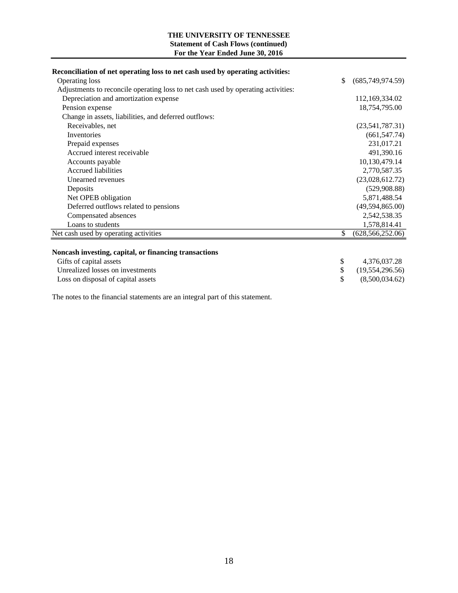#### **Statement of Cash Flows (continued) For the Year Ended June 30, 2016 THE UNIVERSITY OF TENNESSEE**

| Reconciliation of net operating loss to net cash used by operating activities:    |                          |
|-----------------------------------------------------------------------------------|--------------------------|
| Operating loss                                                                    | \$<br>(685,749,974.59)   |
| Adjustments to reconcile operating loss to net cash used by operating activities: |                          |
| Depreciation and amortization expense                                             | 112,169,334.02           |
| Pension expense                                                                   | 18,754,795.00            |
| Change in assets, liabilities, and deferred outflows:                             |                          |
| Receivables, net                                                                  | (23,541,787.31)          |
| Inventories                                                                       | (661, 547.74)            |
| Prepaid expenses                                                                  | 231,017.21               |
| Accrued interest receivable                                                       | 491,390.16               |
| Accounts payable                                                                  | 10,130,479.14            |
| <b>Accrued liabilities</b>                                                        | 2,770,587.35             |
| Unearned revenues                                                                 | (23,028,612.72)          |
| Deposits                                                                          | (529, 908.88)            |
| Net OPEB obligation                                                               | 5,871,488.54             |
| Deferred outflows related to pensions                                             | (49,594,865.00)          |
| Compensated absences                                                              | 2,542,538.35             |
| Loans to students                                                                 | 1,578,814.41             |
| Net cash used by operating activities                                             | \$<br>(628, 566, 252.06) |
|                                                                                   |                          |
| Noncash investing, capital, or financing transactions                             |                          |
| Gifts of capital assets                                                           | \$<br>4,376,037.28       |
| Unrealized losses on investments                                                  | \$<br>(19, 554, 296.56)  |
| Loss on disposal of capital assets                                                | \$<br>(8,500,034.62)     |

The notes to the financial statements are an integral part of this statement.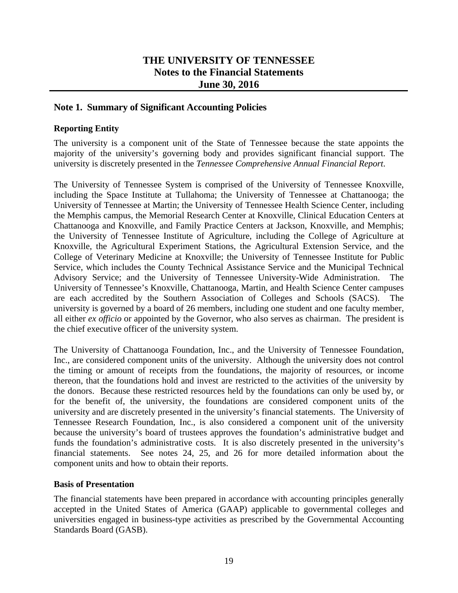#### **THE UNIVERSITY OF TENNESSEE Notes to the Financial Statements June 30, 2016**

#### **Note 1. Summary of Significant Accounting Policies**

#### **Reporting Entity**

The university is a component unit of the State of Tennessee because the state appoints the majority of the university's governing body and provides significant financial support. The university is discretely presented in the *Tennessee Comprehensive Annual Financial Report*.

The University of Tennessee System is comprised of the University of Tennessee Knoxville, including the Space Institute at Tullahoma; the University of Tennessee at Chattanooga; the University of Tennessee at Martin; the University of Tennessee Health Science Center, including the Memphis campus, the Memorial Research Center at Knoxville, Clinical Education Centers at Chattanooga and Knoxville, and Family Practice Centers at Jackson, Knoxville, and Memphis; the University of Tennessee Institute of Agriculture, including the College of Agriculture at Knoxville, the Agricultural Experiment Stations, the Agricultural Extension Service, and the College of Veterinary Medicine at Knoxville; the University of Tennessee Institute for Public Service, which includes the County Technical Assistance Service and the Municipal Technical Advisory Service; and the University of Tennessee University-Wide Administration. The University of Tennessee's Knoxville, Chattanooga, Martin, and Health Science Center campuses are each accredited by the Southern Association of Colleges and Schools (SACS). The university is governed by a board of 26 members, including one student and one faculty member, all either *ex officio* or appointed by the Governor, who also serves as chairman. The president is the chief executive officer of the university system.

The University of Chattanooga Foundation, Inc., and the University of Tennessee Foundation, Inc., are considered component units of the university. Although the university does not control the timing or amount of receipts from the foundations, the majority of resources, or income thereon, that the foundations hold and invest are restricted to the activities of the university by the donors. Because these restricted resources held by the foundations can only be used by, or for the benefit of, the university, the foundations are considered component units of the university and are discretely presented in the university's financial statements. The University of Tennessee Research Foundation, Inc., is also considered a component unit of the university because the university's board of trustees approves the foundation's administrative budget and funds the foundation's administrative costs. It is also discretely presented in the university's financial statements. See notes 24, 25, and 26 for more detailed information about the component units and how to obtain their reports.

#### **Basis of Presentation**

The financial statements have been prepared in accordance with accounting principles generally accepted in the United States of America (GAAP) applicable to governmental colleges and universities engaged in business-type activities as prescribed by the Governmental Accounting Standards Board (GASB).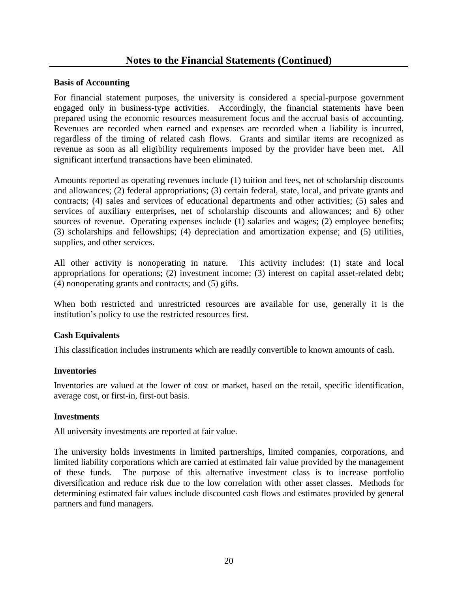#### **Basis of Accounting**

For financial statement purposes, the university is considered a special-purpose government engaged only in business-type activities. Accordingly, the financial statements have been prepared using the economic resources measurement focus and the accrual basis of accounting. Revenues are recorded when earned and expenses are recorded when a liability is incurred, regardless of the timing of related cash flows. Grants and similar items are recognized as revenue as soon as all eligibility requirements imposed by the provider have been met. All significant interfund transactions have been eliminated.

Amounts reported as operating revenues include (1) tuition and fees, net of scholarship discounts and allowances; (2) federal appropriations; (3) certain federal, state, local, and private grants and contracts; (4) sales and services of educational departments and other activities; (5) sales and services of auxiliary enterprises, net of scholarship discounts and allowances; and 6) other sources of revenue. Operating expenses include (1) salaries and wages; (2) employee benefits; (3) scholarships and fellowships; (4) depreciation and amortization expense; and (5) utilities, supplies, and other services.

All other activity is nonoperating in nature. This activity includes: (1) state and local appropriations for operations; (2) investment income; (3) interest on capital asset-related debt; (4) nonoperating grants and contracts; and (5) gifts.

When both restricted and unrestricted resources are available for use, generally it is the institution's policy to use the restricted resources first.

#### **Cash Equivalents**

This classification includes instruments which are readily convertible to known amounts of cash.

#### **Inventories**

Inventories are valued at the lower of cost or market, based on the retail, specific identification, average cost, or first-in, first-out basis.

#### **Investments**

All university investments are reported at fair value.

The university holds investments in limited partnerships, limited companies, corporations, and limited liability corporations which are carried at estimated fair value provided by the management of these funds. The purpose of this alternative investment class is to increase portfolio diversification and reduce risk due to the low correlation with other asset classes. Methods for determining estimated fair values include discounted cash flows and estimates provided by general partners and fund managers.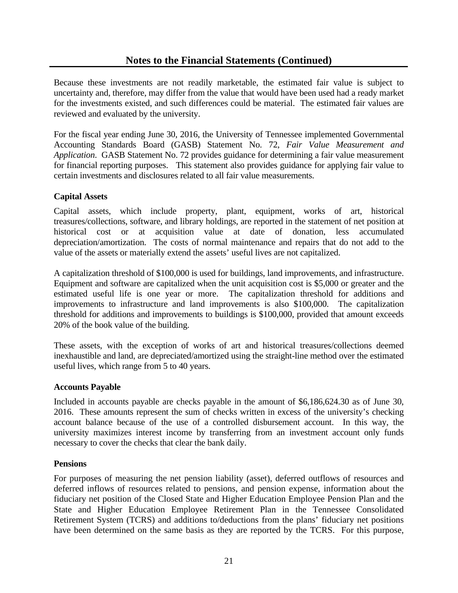Because these investments are not readily marketable, the estimated fair value is subject to uncertainty and, therefore, may differ from the value that would have been used had a ready market for the investments existed, and such differences could be material. The estimated fair values are reviewed and evaluated by the university.

For the fiscal year ending June 30, 2016, the University of Tennessee implemented Governmental Accounting Standards Board (GASB) Statement No. 72, *Fair Value Measurement and Application*. GASB Statement No. 72 provides guidance for determining a fair value measurement for financial reporting purposes. This statement also provides guidance for applying fair value to certain investments and disclosures related to all fair value measurements.

#### **Capital Assets**

Capital assets, which include property, plant, equipment, works of art, historical treasures/collections, software, and library holdings, are reported in the statement of net position at historical cost or at acquisition value at date of donation, less accumulated depreciation/amortization. The costs of normal maintenance and repairs that do not add to the value of the assets or materially extend the assets' useful lives are not capitalized.

A capitalization threshold of \$100,000 is used for buildings, land improvements, and infrastructure. Equipment and software are capitalized when the unit acquisition cost is \$5,000 or greater and the estimated useful life is one year or more. The capitalization threshold for additions and improvements to infrastructure and land improvements is also \$100,000. The capitalization threshold for additions and improvements to buildings is \$100,000, provided that amount exceeds 20% of the book value of the building.

These assets, with the exception of works of art and historical treasures/collections deemed inexhaustible and land, are depreciated/amortized using the straight-line method over the estimated useful lives, which range from 5 to 40 years.

#### **Accounts Payable**

Included in accounts payable are checks payable in the amount of \$6,186,624.30 as of June 30, 2016. These amounts represent the sum of checks written in excess of the university's checking account balance because of the use of a controlled disbursement account. In this way, the university maximizes interest income by transferring from an investment account only funds necessary to cover the checks that clear the bank daily.

#### **Pensions**

For purposes of measuring the net pension liability (asset), deferred outflows of resources and deferred inflows of resources related to pensions, and pension expense, information about the fiduciary net position of the Closed State and Higher Education Employee Pension Plan and the State and Higher Education Employee Retirement Plan in the Tennessee Consolidated Retirement System (TCRS) and additions to/deductions from the plans' fiduciary net positions have been determined on the same basis as they are reported by the TCRS. For this purpose,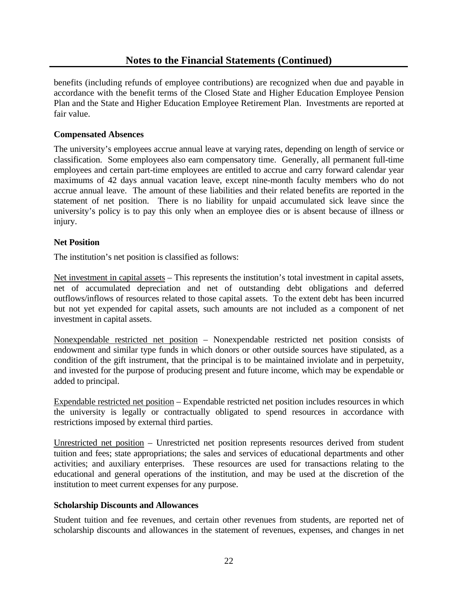benefits (including refunds of employee contributions) are recognized when due and payable in accordance with the benefit terms of the Closed State and Higher Education Employee Pension Plan and the State and Higher Education Employee Retirement Plan. Investments are reported at fair value.

#### **Compensated Absences**

The university's employees accrue annual leave at varying rates, depending on length of service or classification. Some employees also earn compensatory time. Generally, all permanent full-time employees and certain part-time employees are entitled to accrue and carry forward calendar year maximums of 42 days annual vacation leave, except nine-month faculty members who do not accrue annual leave. The amount of these liabilities and their related benefits are reported in the statement of net position. There is no liability for unpaid accumulated sick leave since the university's policy is to pay this only when an employee dies or is absent because of illness or injury.

#### **Net Position**

The institution's net position is classified as follows:

Net investment in capital assets – This represents the institution's total investment in capital assets, net of accumulated depreciation and net of outstanding debt obligations and deferred outflows/inflows of resources related to those capital assets. To the extent debt has been incurred but not yet expended for capital assets, such amounts are not included as a component of net investment in capital assets.

Nonexpendable restricted net position – Nonexpendable restricted net position consists of endowment and similar type funds in which donors or other outside sources have stipulated, as a condition of the gift instrument, that the principal is to be maintained inviolate and in perpetuity, and invested for the purpose of producing present and future income, which may be expendable or added to principal.

Expendable restricted net position – Expendable restricted net position includes resources in which the university is legally or contractually obligated to spend resources in accordance with restrictions imposed by external third parties.

Unrestricted net position – Unrestricted net position represents resources derived from student tuition and fees; state appropriations; the sales and services of educational departments and other activities; and auxiliary enterprises. These resources are used for transactions relating to the educational and general operations of the institution, and may be used at the discretion of the institution to meet current expenses for any purpose.

#### **Scholarship Discounts and Allowances**

Student tuition and fee revenues, and certain other revenues from students, are reported net of scholarship discounts and allowances in the statement of revenues, expenses, and changes in net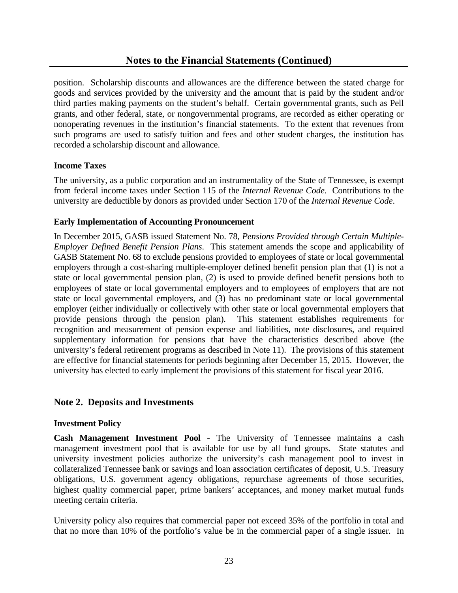position. Scholarship discounts and allowances are the difference between the stated charge for goods and services provided by the university and the amount that is paid by the student and/or third parties making payments on the student's behalf. Certain governmental grants, such as Pell grants, and other federal, state, or nongovernmental programs, are recorded as either operating or nonoperating revenues in the institution's financial statements. To the extent that revenues from such programs are used to satisfy tuition and fees and other student charges, the institution has recorded a scholarship discount and allowance.

#### **Income Taxes**

The university, as a public corporation and an instrumentality of the State of Tennessee, is exempt from federal income taxes under Section 115 of the *Internal Revenue Code*. Contributions to the university are deductible by donors as provided under Section 170 of the *Internal Revenue Code*.

#### **Early Implementation of Accounting Pronouncement**

In December 2015, GASB issued Statement No. 78, *Pensions Provided through Certain Multiple-Employer Defined Benefit Pension Plans*. This statement amends the scope and applicability of GASB Statement No. 68 to exclude pensions provided to employees of state or local governmental employers through a cost-sharing multiple-employer defined benefit pension plan that (1) is not a state or local governmental pension plan, (2) is used to provide defined benefit pensions both to employees of state or local governmental employers and to employees of employers that are not state or local governmental employers, and (3) has no predominant state or local governmental employer (either individually or collectively with other state or local governmental employers that provide pensions through the pension plan). This statement establishes requirements for recognition and measurement of pension expense and liabilities, note disclosures, and required supplementary information for pensions that have the characteristics described above (the university's federal retirement programs as described in Note 11). The provisions of this statement are effective for financial statements for periods beginning after December 15, 2015. However, the university has elected to early implement the provisions of this statement for fiscal year 2016.

#### **Note 2. Deposits and Investments**

#### **Investment Policy**

**Cash Management Investment Pool** *-* The University of Tennessee maintains a cash management investment pool that is available for use by all fund groups. State statutes and university investment policies authorize the university's cash management pool to invest in collateralized Tennessee bank or savings and loan association certificates of deposit, U.S. Treasury obligations, U.S. government agency obligations, repurchase agreements of those securities, highest quality commercial paper, prime bankers' acceptances, and money market mutual funds meeting certain criteria.

University policy also requires that commercial paper not exceed 35% of the portfolio in total and that no more than 10% of the portfolio's value be in the commercial paper of a single issuer. In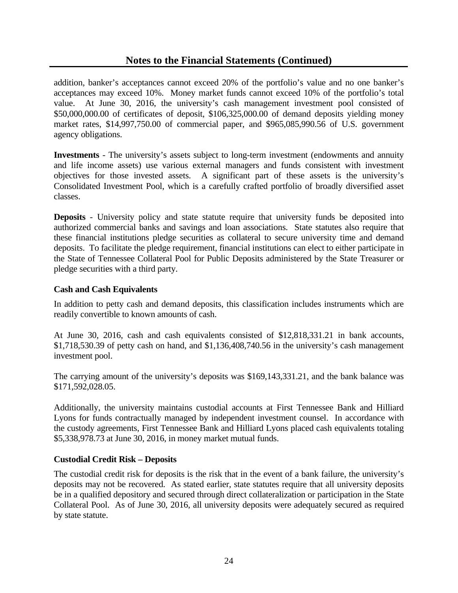#### **Notes to the Financial Statements (Continued)**

addition, banker's acceptances cannot exceed 20% of the portfolio's value and no one banker's acceptances may exceed 10%. Money market funds cannot exceed 10% of the portfolio's total value. At June 30, 2016, the university's cash management investment pool consisted of \$50,000,000.00 of certificates of deposit, \$106,325,000.00 of demand deposits yielding money market rates, \$14,997,750.00 of commercial paper, and \$965,085,990.56 of U.S. government agency obligations.

**Investments** - The university's assets subject to long-term investment (endowments and annuity and life income assets) use various external managers and funds consistent with investment objectives for those invested assets. A significant part of these assets is the university's Consolidated Investment Pool, which is a carefully crafted portfolio of broadly diversified asset classes.

**Deposits** - University policy and state statute require that university funds be deposited into authorized commercial banks and savings and loan associations. State statutes also require that these financial institutions pledge securities as collateral to secure university time and demand deposits. To facilitate the pledge requirement, financial institutions can elect to either participate in the State of Tennessee Collateral Pool for Public Deposits administered by the State Treasurer or pledge securities with a third party.

#### **Cash and Cash Equivalents**

In addition to petty cash and demand deposits, this classification includes instruments which are readily convertible to known amounts of cash.

At June 30, 2016, cash and cash equivalents consisted of \$12,818,331.21 in bank accounts, \$1,718,530.39 of petty cash on hand, and \$1,136,408,740.56 in the university's cash management investment pool.

The carrying amount of the university's deposits was \$169,143,331.21, and the bank balance was \$171,592,028.05.

Additionally, the university maintains custodial accounts at First Tennessee Bank and Hilliard Lyons for funds contractually managed by independent investment counsel. In accordance with the custody agreements, First Tennessee Bank and Hilliard Lyons placed cash equivalents totaling \$5,338,978.73 at June 30, 2016, in money market mutual funds.

#### **Custodial Credit Risk – Deposits**

The custodial credit risk for deposits is the risk that in the event of a bank failure, the university's deposits may not be recovered. As stated earlier, state statutes require that all university deposits be in a qualified depository and secured through direct collateralization or participation in the State Collateral Pool. As of June 30, 2016, all university deposits were adequately secured as required by state statute.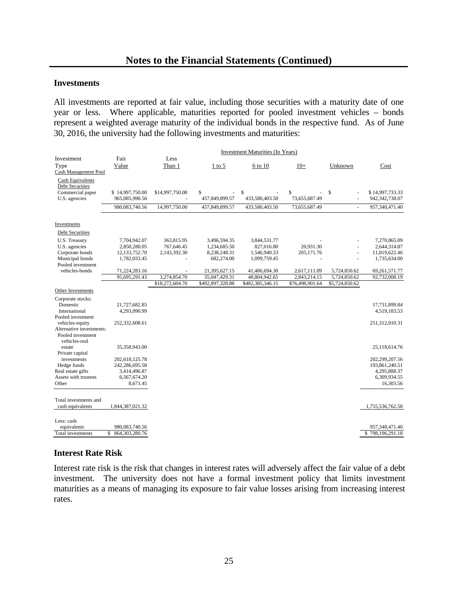#### **Investments**

All investments are reported at fair value, including those securities with a maturity date of one year or less. Where applicable, maturities reported for pooled investment vehicles – bonds represent a weighted average maturity of the individual bonds in the respective fund. As of June 30, 2016, the university had the following investments and maturities:

|                                                                                        |                                   | <b>Investment Maturities (In Years)</b> |                            |                              |                     |                |                                   |
|----------------------------------------------------------------------------------------|-----------------------------------|-----------------------------------------|----------------------------|------------------------------|---------------------|----------------|-----------------------------------|
| Investment<br>Type<br>Cash Management Pool                                             | Fair<br>Value                     | Less<br>Than 1                          | $1$ to 5                   | 6 to 10                      | $10+$               | Unknown        | Cost                              |
| <b>Cash Equivalents</b><br><b>Debt Securities</b><br>Commercial paper<br>U.S. agencies | \$14,997,750.00<br>965,085,990.56 | \$14,997,750.00                         | \$<br>457,849,899.57       | \$<br>433,580,403.50         | \$<br>73,655,687.49 | \$<br>L.       | \$14,997,733.33<br>942,342,738.07 |
|                                                                                        | 980,083,740.56                    | 14,997,750.00                           | 457,849,899.57             | 433,580,403.50               | 73,655,687.49       | $\blacksquare$ | 957,340,471.40                    |
|                                                                                        |                                   |                                         |                            |                              |                     |                |                                   |
| Investments                                                                            |                                   |                                         |                            |                              |                     |                |                                   |
| Debt Securities                                                                        |                                   |                                         |                            |                              |                     |                |                                   |
| U.S. Treasury                                                                          | 7,704,942.07                      | 363,815.95                              | 3,496,594.35               | 3,844,531.77                 |                     |                | 7.270.865.09                      |
| U.S. agencies                                                                          | 2,850,280.05                      | 767,646.45                              | 1,234,685.50               | 827.016.80                   | 20.931.30           |                | 2,644,314.87                      |
| Corporate bonds<br>Municipal bonds                                                     | 12,133,752.70<br>1,782,033.45     | 2,143,392.30                            | 8,238,248.31<br>682,274.00 | 1,546,940.33<br>1,099,759.45 | 205,171.76          | $\sim$         | 11,819,622.46<br>1,735,634.00     |
| Pooled investment                                                                      |                                   |                                         |                            |                              |                     |                |                                   |
| vehicles-bonds                                                                         | 71,224,283.16                     |                                         | 21,395,627.15              | 41,486,694.30                | 2,617,111.09        | 5,724,850.62   | 69,261,571.77                     |
|                                                                                        | 95,695,291.43                     | 3,274,854.70                            | 35,047,429.31              | 48,804,942.65                | 2,843,214.15        | 5,724,850.62   | 92,732,008.19                     |
|                                                                                        |                                   | \$18,272,604.70                         | \$492,897,328.88           | \$482,385,346.15             | \$76,498,901.64     | \$5,724,850.62 |                                   |
| Other Investments                                                                      |                                   |                                         |                            |                              |                     |                |                                   |
| Corporate stocks:<br>Domestic                                                          | 21,727,682.85                     |                                         |                            |                              |                     |                | 17,731,899.84                     |
| International<br>Pooled investment                                                     | 4,293,090.99                      |                                         |                            |                              |                     |                | 4,519,183.53                      |
| vehicles-equity<br>Alternative investments:<br>Pooled investment                       | 252,332,608.61                    |                                         |                            |                              |                     |                | 251,312,010.31                    |
| vehicles-real<br>estate<br>Private capital                                             | 35,358,943.00                     |                                         |                            |                              |                     |                | 25,118,614.76                     |
| investments<br>Hedge funds                                                             | 202,618,125.78<br>242,286,695.58  |                                         |                            |                              |                     |                | 202,299,207.56<br>193,861,240.51  |
| Real estate gifts                                                                      | 3,414,496.87                      |                                         |                            |                              |                     |                | 4.295.888.37                      |
| Assets with trustees                                                                   | 6,567,674.20                      |                                         |                            |                              |                     |                | 6,309,934.55                      |
| Other                                                                                  | 8,671.45                          |                                         |                            |                              |                     |                | 16,303.56                         |
| Total investments and<br>cash equivalents                                              | 1,844,387,021.32                  |                                         |                            |                              |                     |                | 1,755,536,762.58                  |
| Less: cash<br>equivalents                                                              | 980,083,740.56                    |                                         |                            |                              |                     |                | 957,340,471.40                    |
| Total investments                                                                      | \$<br>864, 303, 280. 76           |                                         |                            |                              |                     |                | 798,196,291.18<br>\$              |
|                                                                                        |                                   |                                         |                            |                              |                     |                |                                   |

#### **Interest Rate Risk**

Interest rate risk is the risk that changes in interest rates will adversely affect the fair value of a debt investment. The university does not have a formal investment policy that limits investment maturities as a means of managing its exposure to fair value losses arising from increasing interest rates.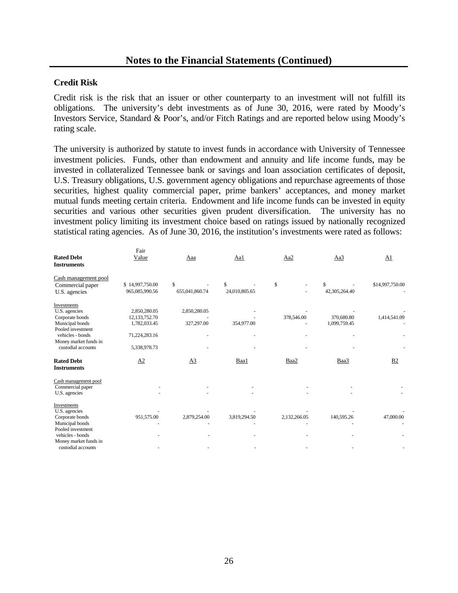#### **Credit Risk**

Credit risk is the risk that an issuer or other counterparty to an investment will not fulfill its obligations. The university's debt investments as of June 30, 2016, were rated by Moody's Investors Service, Standard & Poor's, and/or Fitch Ratings and are reported below using Moody's rating scale.

The university is authorized by statute to invest funds in accordance with University of Tennessee investment policies. Funds, other than endowment and annuity and life income funds, may be invested in collateralized Tennessee bank or savings and loan association certificates of deposit, U.S. Treasury obligations, U.S. government agency obligations and repurchase agreements of those securities, highest quality commercial paper, prime bankers' acceptances, and money market mutual funds meeting certain criteria. Endowment and life income funds can be invested in equity securities and various other securities given prudent diversification. The university has no investment policy limiting its investment choice based on ratings issued by nationally recognized statistical rating agencies. As of June 30, 2016, the institution's investments were rated as follows:

|                                         | Fair            |                |               |              |               |                 |
|-----------------------------------------|-----------------|----------------|---------------|--------------|---------------|-----------------|
| <b>Rated Debt</b><br><b>Instruments</b> | Value           | Aaa            | Aa1           | Aa2          | Aa3           | A1              |
| Cash management pool                    |                 |                |               |              |               |                 |
| Commercial paper                        | \$14,997,750.00 | \$             | \$            | \$           | \$            | \$14,997,750.00 |
| U.S. agencies                           | 965,085,990.56  | 655,041,860.74 | 24,010,805.65 |              | 42,305,264.40 |                 |
| Investments                             |                 |                |               |              |               |                 |
| U.S. agencies                           | 2,850,280.05    | 2,850,280.05   |               |              |               |                 |
| Corporate bonds                         | 12,133,752.70   |                |               | 378,546.00   | 370,680.80    | 1,414,541.09    |
| Municipal bonds                         | 1,782,033.45    | 327,297.00     | 354,977.00    |              | 1,099,759.45  |                 |
| Pooled investment                       |                 |                |               |              |               |                 |
| vehicles - bonds                        | 71,224,283.16   |                |               |              |               |                 |
| Money market funds in                   |                 |                |               |              |               |                 |
| custodial accounts                      | 5,338,978.73    |                |               |              |               |                 |
| <b>Rated Debt</b><br><b>Instruments</b> | A2              | A <sub>3</sub> | Baa1          | Baa2         | Baa3          | B <sub>2</sub>  |
| Cash management pool                    |                 |                |               |              |               |                 |
| Commercial paper                        |                 |                |               |              |               |                 |
| U.S. agencies                           |                 |                |               |              |               |                 |
| Investments                             |                 |                |               |              |               |                 |
| U.S. agencies                           |                 |                |               |              |               |                 |
| Corporate bonds                         | 951,575.00      | 2,879,254.00   | 3,819,294.50  | 2,132,266.05 | 140,595.26    | 47,000.00       |
| Municipal bonds                         |                 |                |               |              |               |                 |
| Pooled investment                       |                 |                |               |              |               |                 |
| vehicles - bonds                        |                 |                |               |              |               |                 |
| Money market funds in                   |                 |                |               |              |               |                 |
| custodial accounts                      |                 |                |               |              |               |                 |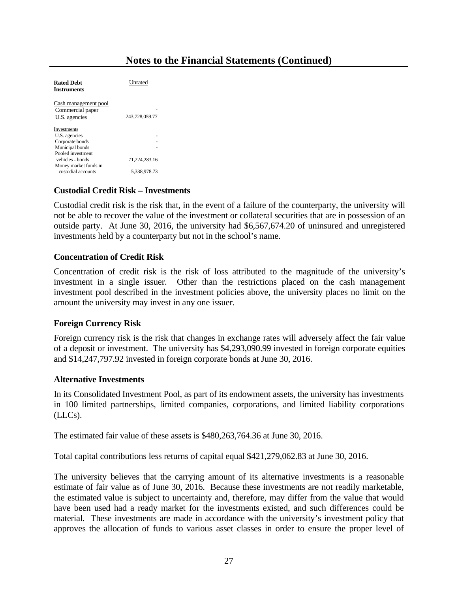#### **Notes to the Financial Statements (Continued)**

| <b>Rated Debt</b><br>Instruments                                                     | Unrated                       |
|--------------------------------------------------------------------------------------|-------------------------------|
| Cash management pool<br>Commercial paper<br>U.S. agencies                            | 243,728,059.77                |
| Investments<br>U.S. agencies<br>Corporate bonds<br>Municipal bonds                   |                               |
| Pooled investment<br>vehicles - bonds<br>Money market funds in<br>custodial accounts | 71.224.283.16<br>5.338.978.73 |

#### **Custodial Credit Risk – Investments**

Custodial credit risk is the risk that, in the event of a failure of the counterparty, the university will not be able to recover the value of the investment or collateral securities that are in possession of an outside party. At June 30, 2016, the university had \$6,567,674.20 of uninsured and unregistered investments held by a counterparty but not in the school's name.

#### **Concentration of Credit Risk**

Concentration of credit risk is the risk of loss attributed to the magnitude of the university's investment in a single issuer. Other than the restrictions placed on the cash management investment pool described in the investment policies above, the university places no limit on the amount the university may invest in any one issuer.

#### **Foreign Currency Risk**

Foreign currency risk is the risk that changes in exchange rates will adversely affect the fair value of a deposit or investment. The university has \$4,293,090.99 invested in foreign corporate equities and \$14,247,797.92 invested in foreign corporate bonds at June 30, 2016.

#### **Alternative Investments**

In its Consolidated Investment Pool, as part of its endowment assets, the university has investments in 100 limited partnerships, limited companies, corporations, and limited liability corporations (LLCs).

The estimated fair value of these assets is \$480,263,764.36 at June 30, 2016.

Total capital contributions less returns of capital equal \$421,279,062.83 at June 30, 2016.

The university believes that the carrying amount of its alternative investments is a reasonable estimate of fair value as of June 30, 2016. Because these investments are not readily marketable, the estimated value is subject to uncertainty and, therefore, may differ from the value that would have been used had a ready market for the investments existed, and such differences could be material. These investments are made in accordance with the university's investment policy that approves the allocation of funds to various asset classes in order to ensure the proper level of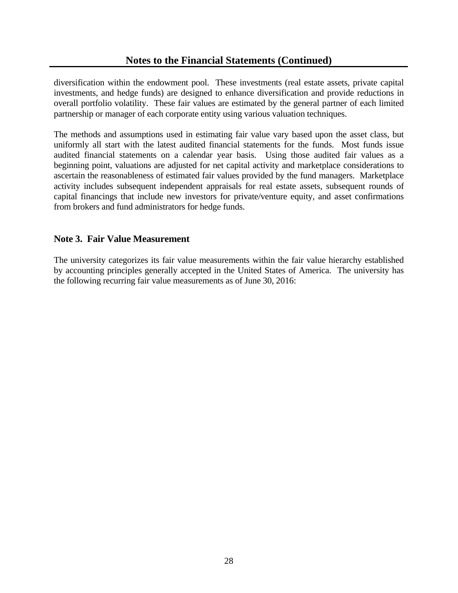diversification within the endowment pool. These investments (real estate assets, private capital investments, and hedge funds) are designed to enhance diversification and provide reductions in overall portfolio volatility. These fair values are estimated by the general partner of each limited partnership or manager of each corporate entity using various valuation techniques.

The methods and assumptions used in estimating fair value vary based upon the asset class, but uniformly all start with the latest audited financial statements for the funds. Most funds issue audited financial statements on a calendar year basis. Using those audited fair values as a beginning point, valuations are adjusted for net capital activity and marketplace considerations to ascertain the reasonableness of estimated fair values provided by the fund managers. Marketplace activity includes subsequent independent appraisals for real estate assets, subsequent rounds of capital financings that include new investors for private/venture equity, and asset confirmations from brokers and fund administrators for hedge funds.

#### **Note 3. Fair Value Measurement**

The university categorizes its fair value measurements within the fair value hierarchy established by accounting principles generally accepted in the United States of America. The university has the following recurring fair value measurements as of June 30, 2016: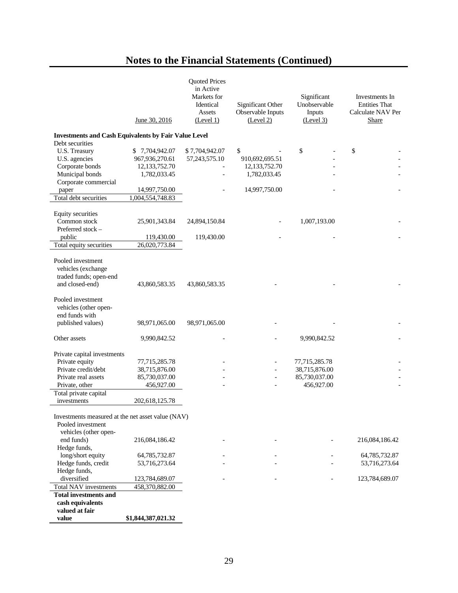## **Notes to the Financial Statements (Continued)**

|                                                                                |                    | <b>Quoted Prices</b>                  |                   |                             |                                        |
|--------------------------------------------------------------------------------|--------------------|---------------------------------------|-------------------|-----------------------------|----------------------------------------|
|                                                                                |                    | in Active<br>Markets for<br>Identical | Significant Other | Significant<br>Unobservable | Investments In<br><b>Entities That</b> |
|                                                                                |                    | Assets                                | Observable Inputs | Inputs                      | Calculate NAV Per                      |
|                                                                                | June 30, 2016      | (Level 1)                             | (Level 2)         | (Level 3)                   | Share                                  |
| <b>Investments and Cash Equivalents by Fair Value Level</b><br>Debt securities |                    |                                       |                   |                             |                                        |
| U.S. Treasury                                                                  | \$7,704,942.07     | \$7,704,942.07                        | \$                | \$                          | \$                                     |
| U.S. agencies                                                                  | 967,936,270.61     | 57, 243, 575. 10                      | 910,692,695.51    |                             |                                        |
| Corporate bonds                                                                | 12, 133, 752. 70   |                                       | 12,133,752.70     |                             |                                        |
| Municipal bonds                                                                | 1,782,033.45       |                                       | 1,782,033.45      |                             |                                        |
| Corporate commercial                                                           |                    |                                       |                   |                             |                                        |
| paper                                                                          | 14,997,750.00      |                                       | 14,997,750.00     |                             |                                        |
| Total debt securities                                                          | 1,004,554,748.83   |                                       |                   |                             |                                        |
|                                                                                |                    |                                       |                   |                             |                                        |
| Equity securities                                                              |                    |                                       |                   |                             |                                        |
| Common stock                                                                   | 25,901,343.84      | 24,894,150.84                         |                   | 1,007,193.00                |                                        |
| Preferred stock $-$                                                            |                    |                                       |                   |                             |                                        |
| public                                                                         | 119,430.00         | 119,430.00                            |                   |                             |                                        |
| Total equity securities                                                        | 26,020,773.84      |                                       |                   |                             |                                        |
|                                                                                |                    |                                       |                   |                             |                                        |
| Pooled investment                                                              |                    |                                       |                   |                             |                                        |
| vehicles (exchange                                                             |                    |                                       |                   |                             |                                        |
| traded funds; open-end                                                         |                    |                                       |                   |                             |                                        |
| and closed-end)                                                                | 43,860,583.35      | 43,860,583.35                         |                   |                             |                                        |
|                                                                                |                    |                                       |                   |                             |                                        |
| Pooled investment                                                              |                    |                                       |                   |                             |                                        |
| vehicles (other open-<br>end funds with                                        |                    |                                       |                   |                             |                                        |
| published values)                                                              | 98,971,065.00      | 98,971,065.00                         |                   |                             |                                        |
|                                                                                |                    |                                       |                   |                             |                                        |
| Other assets                                                                   | 9,990,842.52       |                                       |                   | 9,990,842.52                |                                        |
|                                                                                |                    |                                       |                   |                             |                                        |
| Private capital investments                                                    |                    |                                       |                   |                             |                                        |
| Private equity                                                                 | 77,715,285.78      |                                       |                   | 77,715,285.78               |                                        |
| Private credit/debt                                                            | 38,715,876.00      |                                       |                   | 38,715,876.00               |                                        |
| Private real assets                                                            | 85,730,037.00      |                                       |                   | 85,730,037.00               |                                        |
| Private, other                                                                 | 456,927.00         |                                       |                   | 456,927.00                  |                                        |
| Total private capital                                                          |                    |                                       |                   |                             |                                        |
| investments                                                                    | 202,618,125.78     |                                       |                   |                             |                                        |
|                                                                                |                    |                                       |                   |                             |                                        |
| Investments measured at the net asset value (NAV)                              |                    |                                       |                   |                             |                                        |
| Pooled investment                                                              |                    |                                       |                   |                             |                                        |
| vehicles (other open-                                                          | 216,084,186.42     |                                       |                   |                             |                                        |
| end funds)                                                                     |                    |                                       |                   |                             | 216,084,186.42                         |
| Hedge funds,<br>long/short equity                                              |                    |                                       |                   |                             | 64,785,732.87                          |
| Hedge funds, credit                                                            | 64,785,732.87      |                                       |                   |                             | 53,716,273.64                          |
| Hedge funds,                                                                   | 53,716,273.64      |                                       |                   |                             |                                        |
| diversified                                                                    | 123,784,689.07     |                                       |                   |                             | 123,784,689.07                         |
| <b>Total NAV investments</b>                                                   | 458,370,882.00     |                                       |                   |                             |                                        |
| <b>Total investments and</b>                                                   |                    |                                       |                   |                             |                                        |
| cash equivalents                                                               |                    |                                       |                   |                             |                                        |
| valued at fair                                                                 |                    |                                       |                   |                             |                                        |
| value                                                                          | \$1,844,387,021.32 |                                       |                   |                             |                                        |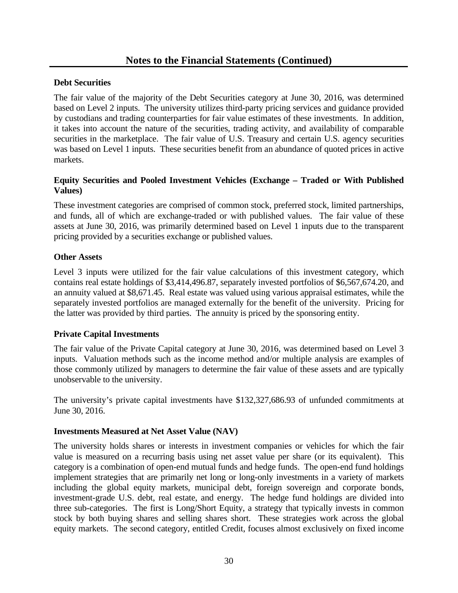#### **Debt Securities**

The fair value of the majority of the Debt Securities category at June 30, 2016, was determined based on Level 2 inputs. The university utilizes third-party pricing services and guidance provided by custodians and trading counterparties for fair value estimates of these investments. In addition, it takes into account the nature of the securities, trading activity, and availability of comparable securities in the marketplace. The fair value of U.S. Treasury and certain U.S. agency securities was based on Level 1 inputs. These securities benefit from an abundance of quoted prices in active markets.

#### **Equity Securities and Pooled Investment Vehicles (Exchange – Traded or With Published Values)**

These investment categories are comprised of common stock, preferred stock, limited partnerships, and funds, all of which are exchange-traded or with published values. The fair value of these assets at June 30, 2016, was primarily determined based on Level 1 inputs due to the transparent pricing provided by a securities exchange or published values.

#### **Other Assets**

Level 3 inputs were utilized for the fair value calculations of this investment category, which contains real estate holdings of \$3,414,496.87, separately invested portfolios of \$6,567,674.20, and an annuity valued at \$8,671.45. Real estate was valued using various appraisal estimates, while the separately invested portfolios are managed externally for the benefit of the university. Pricing for the latter was provided by third parties. The annuity is priced by the sponsoring entity.

#### **Private Capital Investments**

The fair value of the Private Capital category at June 30, 2016, was determined based on Level 3 inputs. Valuation methods such as the income method and/or multiple analysis are examples of those commonly utilized by managers to determine the fair value of these assets and are typically unobservable to the university.

The university's private capital investments have \$132,327,686.93 of unfunded commitments at June 30, 2016.

#### **Investments Measured at Net Asset Value (NAV)**

The university holds shares or interests in investment companies or vehicles for which the fair value is measured on a recurring basis using net asset value per share (or its equivalent). This category is a combination of open-end mutual funds and hedge funds. The open-end fund holdings implement strategies that are primarily net long or long-only investments in a variety of markets including the global equity markets, municipal debt, foreign sovereign and corporate bonds, investment-grade U.S. debt, real estate, and energy. The hedge fund holdings are divided into three sub-categories. The first is Long/Short Equity, a strategy that typically invests in common stock by both buying shares and selling shares short. These strategies work across the global equity markets. The second category, entitled Credit, focuses almost exclusively on fixed income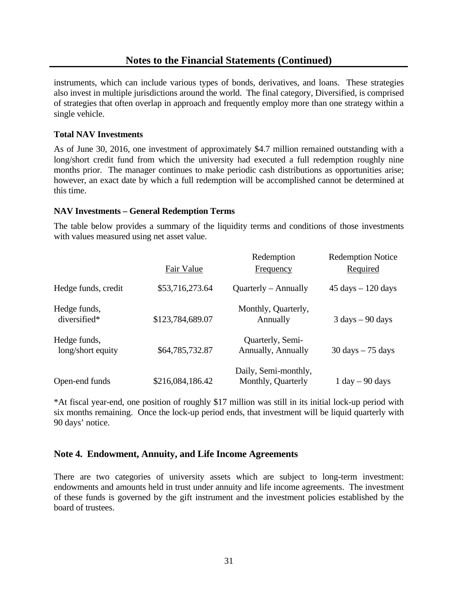#### **Notes to the Financial Statements (Continued)**

instruments, which can include various types of bonds, derivatives, and loans. These strategies also invest in multiple jurisdictions around the world. The final category, Diversified, is comprised of strategies that often overlap in approach and frequently employ more than one strategy within a single vehicle.

#### **Total NAV Investments**

As of June 30, 2016, one investment of approximately \$4.7 million remained outstanding with a long/short credit fund from which the university had executed a full redemption roughly nine months prior. The manager continues to make periodic cash distributions as opportunities arise; however, an exact date by which a full redemption will be accomplished cannot be determined at this time.

#### **NAV Investments – General Redemption Terms**

The table below provides a summary of the liquidity terms and conditions of those investments with values measured using net asset value.

|                                   |                  | Redemption                                 | <b>Redemption Notice</b>             |
|-----------------------------------|------------------|--------------------------------------------|--------------------------------------|
|                                   | Fair Value       | Frequency                                  | Required                             |
| Hedge funds, credit               | \$53,716,273.64  | $Quarterly - Annually$                     | $45 \text{ days} - 120 \text{ days}$ |
| Hedge funds,<br>diversified*      | \$123,784,689.07 | Monthly, Quarterly,<br>Annually            | $3 \text{ days} - 90 \text{ days}$   |
| Hedge funds,<br>long/short equity | \$64,785,732.87  | Quarterly, Semi-<br>Annually, Annually     | $30 \text{ days} - 75 \text{ days}$  |
| Open-end funds                    | \$216,084,186.42 | Daily, Semi-monthly,<br>Monthly, Quarterly | $1 \text{ day} - 90 \text{ days}$    |

\*At fiscal year-end, one position of roughly \$17 million was still in its initial lock-up period with six months remaining. Once the lock-up period ends, that investment will be liquid quarterly with 90 days' notice.

#### **Note 4. Endowment, Annuity, and Life Income Agreements**

There are two categories of university assets which are subject to long-term investment: endowments and amounts held in trust under annuity and life income agreements. The investment of these funds is governed by the gift instrument and the investment policies established by the board of trustees.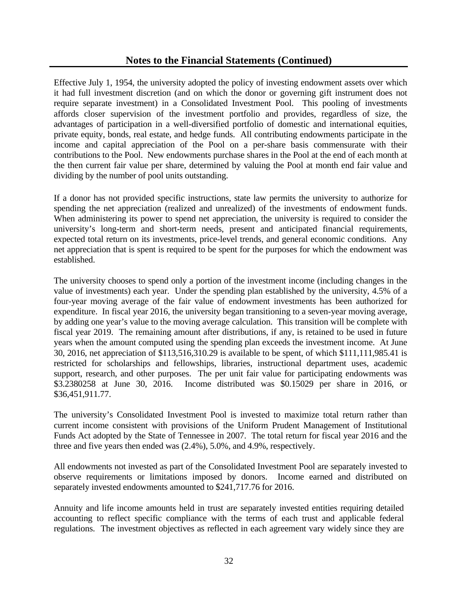Effective July 1, 1954, the university adopted the policy of investing endowment assets over which it had full investment discretion (and on which the donor or governing gift instrument does not require separate investment) in a Consolidated Investment Pool. This pooling of investments affords closer supervision of the investment portfolio and provides, regardless of size, the advantages of participation in a well-diversified portfolio of domestic and international equities, private equity, bonds, real estate, and hedge funds. All contributing endowments participate in the income and capital appreciation of the Pool on a per-share basis commensurate with their contributions to the Pool. New endowments purchase shares in the Pool at the end of each month at the then current fair value per share, determined by valuing the Pool at month end fair value and dividing by the number of pool units outstanding.

If a donor has not provided specific instructions, state law permits the university to authorize for spending the net appreciation (realized and unrealized) of the investments of endowment funds. When administering its power to spend net appreciation, the university is required to consider the university's long-term and short-term needs, present and anticipated financial requirements, expected total return on its investments, price-level trends, and general economic conditions. Any net appreciation that is spent is required to be spent for the purposes for which the endowment was established.

The university chooses to spend only a portion of the investment income (including changes in the value of investments) each year. Under the spending plan established by the university, 4.5% of a four-year moving average of the fair value of endowment investments has been authorized for expenditure. In fiscal year 2016, the university began transitioning to a seven-year moving average, by adding one year's value to the moving average calculation. This transition will be complete with fiscal year 2019. The remaining amount after distributions, if any, is retained to be used in future years when the amount computed using the spending plan exceeds the investment income. At June 30, 2016, net appreciation of \$113,516,310.29 is available to be spent, of which \$111,111,985.41 is restricted for scholarships and fellowships, libraries, instructional department uses, academic support, research, and other purposes. The per unit fair value for participating endowments was \$3.2380258 at June 30, 2016. Income distributed was \$0.15029 per share in 2016, or \$36,451,911.77.

The university's Consolidated Investment Pool is invested to maximize total return rather than current income consistent with provisions of the Uniform Prudent Management of Institutional Funds Act adopted by the State of Tennessee in 2007. The total return for fiscal year 2016 and the three and five years then ended was (2.4%), 5.0%, and 4.9%, respectively.

All endowments not invested as part of the Consolidated Investment Pool are separately invested to observe requirements or limitations imposed by donors. Income earned and distributed on separately invested endowments amounted to \$241,717.76 for 2016.

Annuity and life income amounts held in trust are separately invested entities requiring detailed accounting to reflect specific compliance with the terms of each trust and applicable federal regulations. The investment objectives as reflected in each agreement vary widely since they are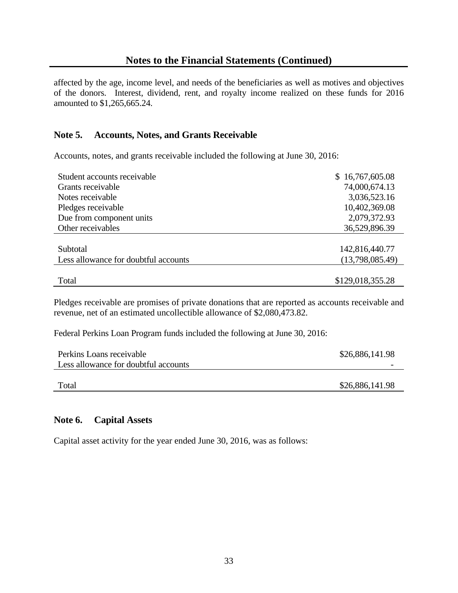affected by the age, income level, and needs of the beneficiaries as well as motives and objectives of the donors. Interest, dividend, rent, and royalty income realized on these funds for 2016 amounted to \$1,265,665.24.

# **Note 5. Accounts, Notes, and Grants Receivable**

Accounts, notes, and grants receivable included the following at June 30, 2016:

| Student accounts receivable          | \$16,767,605.08  |
|--------------------------------------|------------------|
| Grants receivable                    | 74,000,674.13    |
| Notes receivable                     | 3,036,523.16     |
| Pledges receivable                   | 10,402,369.08    |
| Due from component units             | 2,079,372.93     |
| Other receivables                    | 36,529,896.39    |
|                                      |                  |
| Subtotal                             | 142,816,440.77   |
| Less allowance for doubtful accounts | (13,798,085.49)  |
|                                      |                  |
| Total                                | \$129,018,355.28 |

Pledges receivable are promises of private donations that are reported as accounts receivable and revenue, net of an estimated uncollectible allowance of \$2,080,473.82.

Federal Perkins Loan Program funds included the following at June 30, 2016:

| Perkins Loans receivable             | \$26,886,141.98 |
|--------------------------------------|-----------------|
| Less allowance for doubtful accounts |                 |
|                                      |                 |
| Total                                | \$26,886,141.98 |

#### **Note 6. Capital Assets**

Capital asset activity for the year ended June 30, 2016, was as follows: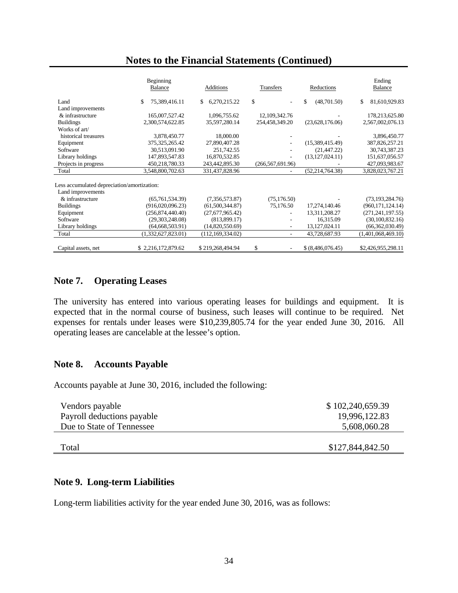|                                             | Beginning<br><b>Balance</b> | Additions           | Transfers                      | Reductions         | Ending<br>Balance   |
|---------------------------------------------|-----------------------------|---------------------|--------------------------------|--------------------|---------------------|
| Land                                        | 75,389,416.11<br>S          | \$.<br>6,270,215.22 | $\mathbf S$                    | \$.<br>(48,701.50) | \$<br>81,610,929.83 |
| Land improvements                           |                             |                     |                                |                    |                     |
| $&$ infrastructure                          | 165,007,527.42              | 1,096,755.62        | 12, 109, 342. 76               |                    | 178,213,625.80      |
| <b>Buildings</b>                            | 2,300,574,622.85            | 35,597,280.14       | 254,458,349.20                 | (23,628,176.06)    | 2,567,002,076.13    |
| Works of art/                               |                             |                     |                                |                    |                     |
| historical treasures                        | 3,878,450.77                | 18,000.00           |                                |                    | 3,896,450.77        |
| Equipment                                   | 375, 325, 265. 42           | 27,890,407.28       | ۰                              | (15,389,415.49)    | 387,826,257.21      |
| Software                                    | 30,513,091.90               | 251,742.55          |                                | (21, 447, 22)      | 30,743,387.23       |
| Library holdings                            | 147,893,547.83              | 16,870,532.85       |                                | (13, 127, 024.11)  | 151,637,056.57      |
| Projects in progress                        | 450,218,780.33              | 243,442,895.30      | (266, 567, 691.96)             |                    | 427,093,983.67      |
| Total                                       | 3,548,800,702.63            | 331,437,828.96      |                                | (52, 214, 764.38)  | 3,828,023,767.21    |
| Less accumulated depreciation/amortization: |                             |                     |                                |                    |                     |
| Land improvements                           |                             |                     |                                |                    |                     |
| & infrastructure                            | (65,761,534.39)             | (7,356,573.87)      | (75, 176.50)                   |                    | (73, 193, 284.76)   |
| <b>Buildings</b>                            | (916,020,096.23)            | (61,500,344.87)     | 75,176.50                      | 17,274,140.46      | (960, 171, 124.14)  |
| Equipment                                   | (256,874,440.40)            | (27,677,965.42)     |                                | 13,311,208.27      | (271, 241, 197.55)  |
| Software                                    | (29,303,248.08)             | (813,899.17)        |                                | 16,315.09          | (30,100,832.16)     |
| Library holdings                            | (64, 668, 503.91)           | (14,820,550.69)     | $\overline{a}$                 | 13, 127, 024. 11   | (66, 362, 030.49)   |
| Total                                       | (1,332,627,823.01)          | (112, 169, 334.02)  | ۰                              | 43,728,687.93      | (1,401,068,469.10)  |
| Capital assets, net                         | \$2,216,172,879.62          | \$219,268,494.94    | \$<br>$\overline{\phantom{a}}$ | \$ (8,486,076.45)  | \$2,426,955,298.11  |

# **Note 7. Operating Leases**

The university has entered into various operating leases for buildings and equipment. It is expected that in the normal course of business, such leases will continue to be required. Net expenses for rentals under leases were \$10,239,805.74 for the year ended June 30, 2016. All operating leases are cancelable at the lessee's option.

### **Note 8. Accounts Payable**

Accounts payable at June 30, 2016, included the following:

| Vendors payable            | \$102,240,659.39 |
|----------------------------|------------------|
| Payroll deductions payable | 19,996,122.83    |
| Due to State of Tennessee  | 5,608,060.28     |
|                            |                  |
| Total                      | \$127,844,842.50 |
|                            |                  |

### **Note 9. Long-term Liabilities**

Long-term liabilities activity for the year ended June 30, 2016, was as follows: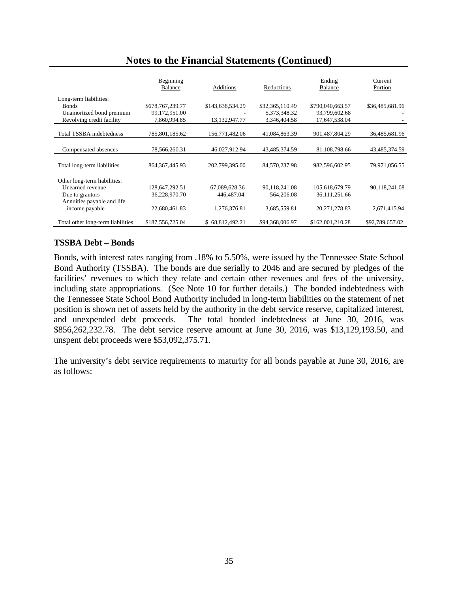|                                   | Beginning<br>Balance | Additions        | Reductions      | Ending<br><b>Balance</b> | Current<br>Portion |
|-----------------------------------|----------------------|------------------|-----------------|--------------------------|--------------------|
| Long-term liabilities:            |                      |                  |                 |                          |                    |
| <b>Bonds</b>                      | \$678,767,239.77     | \$143,638,534.29 | \$32,365,110.49 | \$790,040,663.57         | \$36,485,681.96    |
| Unamortized bond premium          | 99,172,951.00        |                  | 5,373,348.32    | 93,799,602.68            |                    |
| Revolving credit facility         | 7,860,994.85         | 13,132,947.77    | 3,346,404.58    | 17,647,538.04            |                    |
|                                   |                      |                  |                 |                          |                    |
| Total TSSBA indebtedness          | 785,801,185.62       | 156,771,482.06   | 41,084,863.39   | 901,487,804.29           | 36,485,681.96      |
|                                   |                      |                  |                 |                          |                    |
| Compensated absences              | 78,566,260.31        | 46,027,912.94    | 43,485,374.59   | 81,108,798.66            | 43,485,374.59      |
|                                   |                      |                  |                 |                          |                    |
| Total long-term liabilities       | 864, 367, 445. 93    | 202,799,395.00   | 84,570,237.98   | 982,596,602.95           | 79,971,056.55      |
|                                   |                      |                  |                 |                          |                    |
| Other long-term liabilities:      |                      |                  |                 |                          |                    |
| Unearned revenue                  | 128,647,292.51       | 67,089,628.36    | 90.118.241.08   | 105,618,679.79           | 90,118,241.08      |
| Due to grantors                   | 36,228,970.70        | 446,487.04       | 564,206.08      | 36,111,251.66            |                    |
| Annuities payable and life        |                      |                  |                 |                          |                    |
| income payable                    | 22,680,461.83        | 1,276,376.81     | 3,685,559.81    | 20, 271, 278.83          | 2,671,415.94       |
|                                   |                      |                  |                 |                          |                    |
| Total other long-term liabilities | \$187,556,725.04     | \$68,812,492.21  | \$94,368,006.97 | \$162,001,210.28         | \$92,789,657.02    |

# **TSSBA Debt – Bonds**

Bonds, with interest rates ranging from .18% to 5.50%, were issued by the Tennessee State School Bond Authority (TSSBA). The bonds are due serially to 2046 and are secured by pledges of the facilities' revenues to which they relate and certain other revenues and fees of the university, including state appropriations. (See Note 10 for further details.) The bonded indebtedness with the Tennessee State School Bond Authority included in long-term liabilities on the statement of net position is shown net of assets held by the authority in the debt service reserve, capitalized interest, and unexpended debt proceeds. The total bonded indebtedness at June 30, 2016, was \$856,262,232.78. The debt service reserve amount at June 30, 2016, was \$13,129,193.50, and unspent debt proceeds were \$53,092,375.71.

The university's debt service requirements to maturity for all bonds payable at June 30, 2016, are as follows: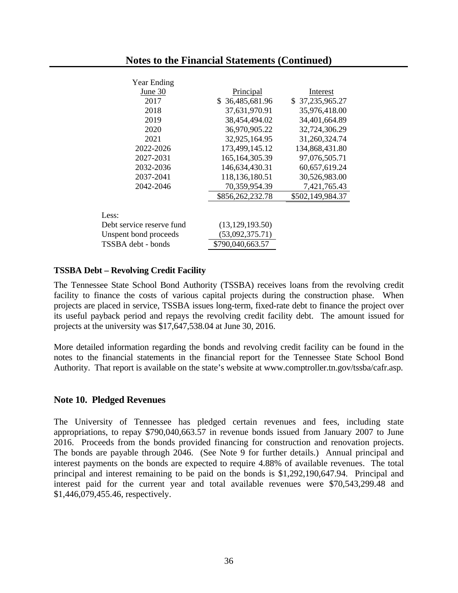| Principal         | Interest         |
|-------------------|------------------|
| \$36,485,681.96   | \$37,235,965.27  |
| 37,631,970.91     | 35,976,418.00    |
| 38,454,494.02     | 34,401,664.89    |
| 36,970,905.22     | 32,724,306.29    |
| 32,925,164.95     | 31,260,324.74    |
| 173,499,145.12    | 134,868,431.80   |
| 165, 164, 305. 39 | 97,076,505.71    |
| 146,634,430.31    | 60,657,619.24    |
| 118,136,180.51    | 30,526,983.00    |
| 70,359,954.39     | 7,421,765.43     |
| \$856,262,232.78  | \$502,149,984.37 |
|                   |                  |
| (13, 129, 193.50) |                  |
| (53,092,375.71)   |                  |
| \$790,040,663.57  |                  |
|                   |                  |

#### **TSSBA Debt – Revolving Credit Facility**

The Tennessee State School Bond Authority (TSSBA) receives loans from the revolving credit facility to finance the costs of various capital projects during the construction phase. When projects are placed in service, TSSBA issues long-term, fixed-rate debt to finance the project over its useful payback period and repays the revolving credit facility debt. The amount issued for projects at the university was \$17,647,538.04 at June 30, 2016.

More detailed information regarding the bonds and revolving credit facility can be found in the notes to the financial statements in the financial report for the Tennessee State School Bond Authority. That report is available on the state's website at www.comptroller.tn.gov/tssba/cafr.asp.

#### **Note 10. Pledged Revenues**

The University of Tennessee has pledged certain revenues and fees, including state appropriations, to repay \$790,040,663.57 in revenue bonds issued from January 2007 to June 2016. Proceeds from the bonds provided financing for construction and renovation projects. The bonds are payable through 2046. (See Note 9 for further details.) Annual principal and interest payments on the bonds are expected to require 4.88% of available revenues. The total principal and interest remaining to be paid on the bonds is \$1,292,190,647.94. Principal and interest paid for the current year and total available revenues were \$70,543,299.48 and \$1,446,079,455.46, respectively.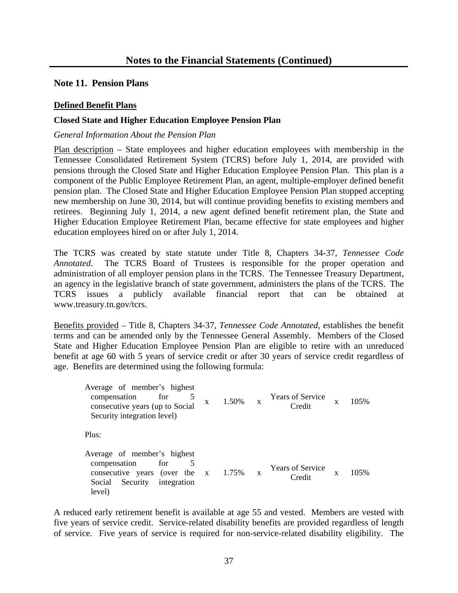### **Note 11. Pension Plans**

### **Defined Benefit Plans**

### **Closed State and Higher Education Employee Pension Plan**

#### *General Information About the Pension Plan*

Plan description – State employees and higher education employees with membership in the Tennessee Consolidated Retirement System (TCRS) before July 1, 2014, are provided with pensions through the Closed State and Higher Education Employee Pension Plan. This plan is a component of the Public Employee Retirement Plan, an agent, multiple-employer defined benefit pension plan. The Closed State and Higher Education Employee Pension Plan stopped accepting new membership on June 30, 2014, but will continue providing benefits to existing members and retirees. Beginning July 1, 2014, a new agent defined benefit retirement plan, the State and Higher Education Employee Retirement Plan, became effective for state employees and higher education employees hired on or after July 1, 2014.

The TCRS was created by state statute under Title 8, Chapters 34-37, *Tennessee Code Annotated*. The TCRS Board of Trustees is responsible for the proper operation and administration of all employer pension plans in the TCRS. The Tennessee Treasury Department, an agency in the legislative branch of state government, administers the plans of the TCRS. The TCRS issues a publicly available financial report that can be obtained at www.treasury.tn.gov/tcrs.

Benefits provided – Title 8, Chapters 34-37, *Tennessee Code Annotated*, establishes the benefit terms and can be amended only by the Tennessee General Assembly. Members of the Closed State and Higher Education Employee Pension Plan are eligible to retire with an unreduced benefit at age 60 with 5 years of service credit or after 30 years of service credit regardless of age. Benefits are determined using the following formula:

Average of member's highest compensation for 5 consecutive years (up to Social Security integration level)  $x = 1.50\%$  x Years of Service  $C_{\text{redit}}$  x 105% Plus: Average of member's highest compensation for 5 consecutive years (over the Social Security integration level)  $x = 1.75\%$  x Years of Service  $C_{\text{redit}}$  x 105%

A reduced early retirement benefit is available at age 55 and vested. Members are vested with five years of service credit. Service-related disability benefits are provided regardless of length of service. Five years of service is required for non-service-related disability eligibility. The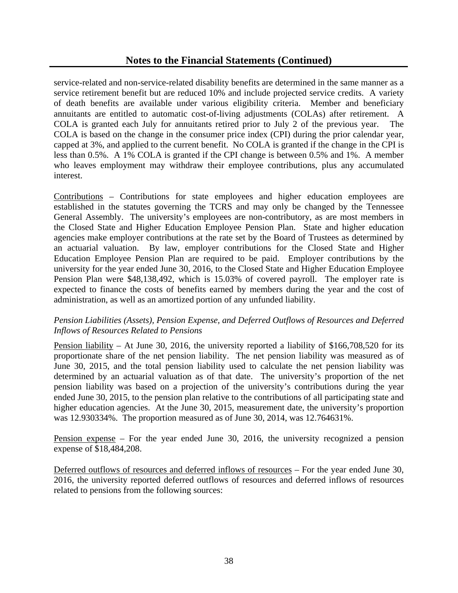service-related and non-service-related disability benefits are determined in the same manner as a service retirement benefit but are reduced 10% and include projected service credits. A variety of death benefits are available under various eligibility criteria. Member and beneficiary annuitants are entitled to automatic cost-of-living adjustments (COLAs) after retirement. A COLA is granted each July for annuitants retired prior to July 2 of the previous year. The COLA is based on the change in the consumer price index (CPI) during the prior calendar year, capped at 3%, and applied to the current benefit. No COLA is granted if the change in the CPI is less than 0.5%. A 1% COLA is granted if the CPI change is between 0.5% and 1%. A member who leaves employment may withdraw their employee contributions, plus any accumulated interest.

Contributions – Contributions for state employees and higher education employees are established in the statutes governing the TCRS and may only be changed by the Tennessee General Assembly. The university's employees are non-contributory, as are most members in the Closed State and Higher Education Employee Pension Plan. State and higher education agencies make employer contributions at the rate set by the Board of Trustees as determined by an actuarial valuation. By law, employer contributions for the Closed State and Higher Education Employee Pension Plan are required to be paid. Employer contributions by the university for the year ended June 30, 2016, to the Closed State and Higher Education Employee Pension Plan were \$48,138,492, which is 15.03% of covered payroll. The employer rate is expected to finance the costs of benefits earned by members during the year and the cost of administration, as well as an amortized portion of any unfunded liability.

### *Pension Liabilities (Assets), Pension Expense, and Deferred Outflows of Resources and Deferred Inflows of Resources Related to Pensions*

Pension liability *–* At June 30, 2016, the university reported a liability of \$166,708,520 for its proportionate share of the net pension liability. The net pension liability was measured as of June 30, 2015, and the total pension liability used to calculate the net pension liability was determined by an actuarial valuation as of that date. The university's proportion of the net pension liability was based on a projection of the university's contributions during the year ended June 30, 2015, to the pension plan relative to the contributions of all participating state and higher education agencies. At the June 30, 2015, measurement date, the university's proportion was 12.930334%. The proportion measured as of June 30, 2014, was 12.764631%.

Pension expense – For the year ended June 30, 2016, the university recognized a pension expense of \$18,484,208.

Deferred outflows of resources and deferred inflows of resources – For the year ended June 30, 2016, the university reported deferred outflows of resources and deferred inflows of resources related to pensions from the following sources: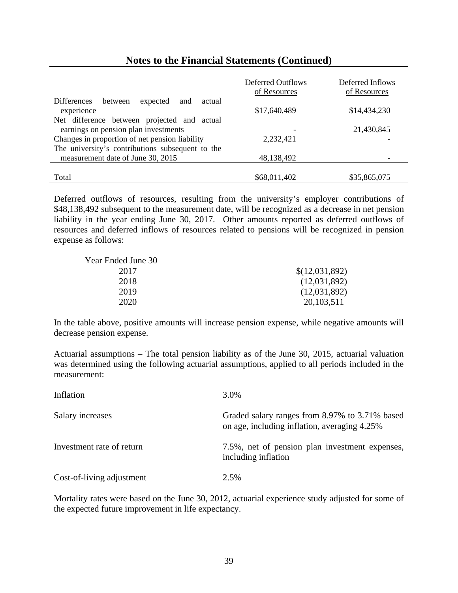|                                                                                     | Deferred Outflows<br>of Resources | Deferred Inflows<br>of Resources |
|-------------------------------------------------------------------------------------|-----------------------------------|----------------------------------|
| <b>Differences</b><br>expected<br>between<br>and<br>actual<br>experience            | \$17,640,489                      | \$14,434,230                     |
| Net difference between projected and actual<br>earnings on pension plan investments |                                   | 21,430,845                       |
| Changes in proportion of net pension liability                                      | 2,232,421                         |                                  |
| The university's contributions subsequent to the                                    |                                   |                                  |
| measurement date of June 30, 2015                                                   | 48,138,492                        |                                  |
|                                                                                     |                                   |                                  |
| Total                                                                               | \$68,011,402                      | \$35,865,075                     |

Deferred outflows of resources, resulting from the university's employer contributions of \$48,138,492 subsequent to the measurement date, will be recognized as a decrease in net pension liability in the year ending June 30, 2017. Other amounts reported as deferred outflows of resources and deferred inflows of resources related to pensions will be recognized in pension expense as follows:

| \$(12,031,892) |
|----------------|
| (12,031,892)   |
| (12,031,892)   |
| 20, 103, 511   |
|                |

In the table above, positive amounts will increase pension expense, while negative amounts will decrease pension expense.

Actuarial assumptions – The total pension liability as of the June 30, 2015, actuarial valuation was determined using the following actuarial assumptions, applied to all periods included in the measurement:

| Inflation                 | 3.0%                                                                                           |
|---------------------------|------------------------------------------------------------------------------------------------|
| Salary increases          | Graded salary ranges from 8.97% to 3.71% based<br>on age, including inflation, averaging 4.25% |
| Investment rate of return | 7.5%, net of pension plan investment expenses,<br>including inflation                          |
| Cost-of-living adjustment | 2.5%                                                                                           |

Mortality rates were based on the June 30, 2012, actuarial experience study adjusted for some of the expected future improvement in life expectancy.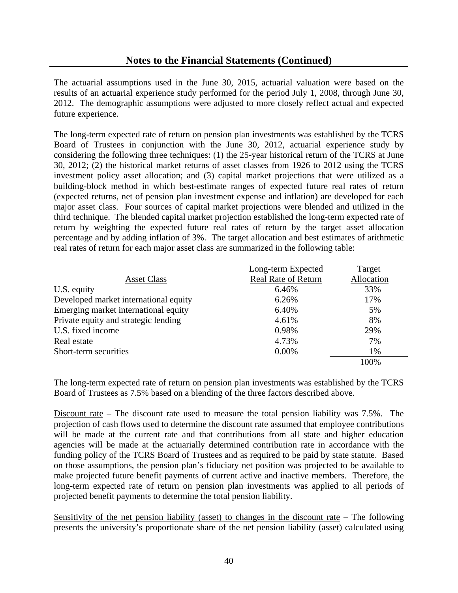The actuarial assumptions used in the June 30, 2015, actuarial valuation were based on the results of an actuarial experience study performed for the period July 1, 2008, through June 30, 2012. The demographic assumptions were adjusted to more closely reflect actual and expected future experience.

The long-term expected rate of return on pension plan investments was established by the TCRS Board of Trustees in conjunction with the June 30, 2012, actuarial experience study by considering the following three techniques: (1) the 25-year historical return of the TCRS at June 30, 2012; (2) the historical market returns of asset classes from 1926 to 2012 using the TCRS investment policy asset allocation; and (3) capital market projections that were utilized as a building-block method in which best-estimate ranges of expected future real rates of return (expected returns, net of pension plan investment expense and inflation) are developed for each major asset class. Four sources of capital market projections were blended and utilized in the third technique. The blended capital market projection established the long-term expected rate of return by weighting the expected future real rates of return by the target asset allocation percentage and by adding inflation of 3%. The target allocation and best estimates of arithmetic real rates of return for each major asset class are summarized in the following table:

|                                       | Long-term Expected         | Target     |
|---------------------------------------|----------------------------|------------|
| <b>Asset Class</b>                    | <b>Real Rate of Return</b> | Allocation |
| U.S. equity                           | 6.46%                      | 33%        |
| Developed market international equity | 6.26%                      | 17%        |
| Emerging market international equity  | 6.40%                      | 5%         |
| Private equity and strategic lending  | 4.61%                      | 8%         |
| U.S. fixed income                     | 0.98%                      | 29%        |
| Real estate                           | 4.73%                      | 7%         |
| Short-term securities                 | 0.00%                      | 1%         |
|                                       |                            | 100%       |

The long-term expected rate of return on pension plan investments was established by the TCRS Board of Trustees as 7.5% based on a blending of the three factors described above.

Discount rate – The discount rate used to measure the total pension liability was 7.5%. The projection of cash flows used to determine the discount rate assumed that employee contributions will be made at the current rate and that contributions from all state and higher education agencies will be made at the actuarially determined contribution rate in accordance with the funding policy of the TCRS Board of Trustees and as required to be paid by state statute. Based on those assumptions, the pension plan's fiduciary net position was projected to be available to make projected future benefit payments of current active and inactive members. Therefore, the long-term expected rate of return on pension plan investments was applied to all periods of projected benefit payments to determine the total pension liability.

Sensitivity of the net pension liability (asset) to changes in the discount rate – The following presents the university's proportionate share of the net pension liability (asset) calculated using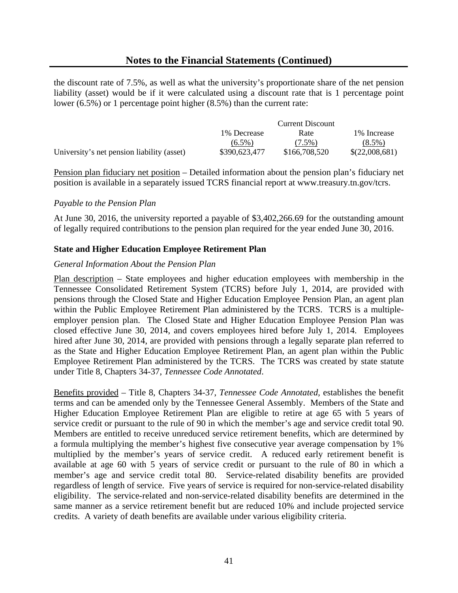the discount rate of 7.5%, as well as what the university's proportionate share of the net pension liability (asset) would be if it were calculated using a discount rate that is 1 percentage point lower (6.5%) or 1 percentage point higher (8.5%) than the current rate:

|                                            | <b>Current Discount</b> |               |                |
|--------------------------------------------|-------------------------|---------------|----------------|
|                                            | 1% Decrease             | Rate          | 1% Increase    |
|                                            | $(6.5\%)$               | $(7.5\%)$     | $(8.5\%)$      |
| University's net pension liability (asset) | \$390,623,477           | \$166,708,520 | \$(22,008,681) |

Pension plan fiduciary net position – Detailed information about the pension plan's fiduciary net position is available in a separately issued TCRS financial report at www.treasury.tn.gov/tcrs.

#### *Payable to the Pension Plan*

At June 30, 2016, the university reported a payable of \$3,402,266.69 for the outstanding amount of legally required contributions to the pension plan required for the year ended June 30, 2016.

#### **State and Higher Education Employee Retirement Plan**

#### *General Information About the Pension Plan*

Plan description – State employees and higher education employees with membership in the Tennessee Consolidated Retirement System (TCRS) before July 1, 2014, are provided with pensions through the Closed State and Higher Education Employee Pension Plan, an agent plan within the Public Employee Retirement Plan administered by the TCRS. TCRS is a multipleemployer pension plan. The Closed State and Higher Education Employee Pension Plan was closed effective June 30, 2014, and covers employees hired before July 1, 2014. Employees hired after June 30, 2014, are provided with pensions through a legally separate plan referred to as the State and Higher Education Employee Retirement Plan, an agent plan within the Public Employee Retirement Plan administered by the TCRS. The TCRS was created by state statute under Title 8, Chapters 34-37, *Tennessee Code Annotated*.

Benefits provided – Title 8, Chapters 34-37, *Tennessee Code Annotated,* establishes the benefit terms and can be amended only by the Tennessee General Assembly. Members of the State and Higher Education Employee Retirement Plan are eligible to retire at age 65 with 5 years of service credit or pursuant to the rule of 90 in which the member's age and service credit total 90. Members are entitled to receive unreduced service retirement benefits, which are determined by a formula multiplying the member's highest five consecutive year average compensation by 1% multiplied by the member's years of service credit. A reduced early retirement benefit is available at age 60 with 5 years of service credit or pursuant to the rule of 80 in which a member's age and service credit total 80. Service-related disability benefits are provided regardless of length of service. Five years of service is required for non-service-related disability eligibility. The service-related and non-service-related disability benefits are determined in the same manner as a service retirement benefit but are reduced 10% and include projected service credits. A variety of death benefits are available under various eligibility criteria.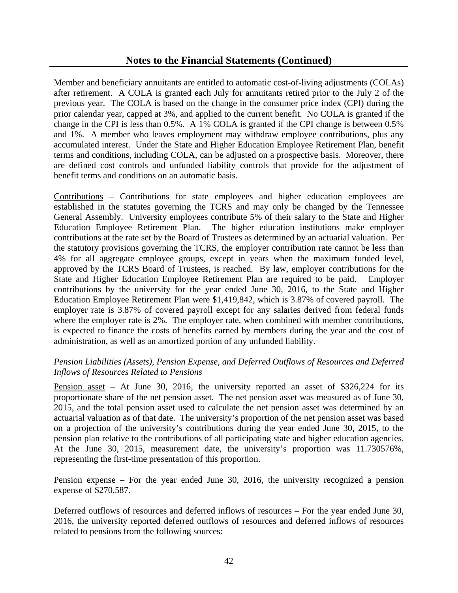Member and beneficiary annuitants are entitled to automatic cost-of-living adjustments (COLAs) after retirement. A COLA is granted each July for annuitants retired prior to the July 2 of the previous year. The COLA is based on the change in the consumer price index (CPI) during the prior calendar year, capped at 3%, and applied to the current benefit. No COLA is granted if the change in the CPI is less than 0.5%. A 1% COLA is granted if the CPI change is between 0.5% and 1%. A member who leaves employment may withdraw employee contributions, plus any accumulated interest. Under the State and Higher Education Employee Retirement Plan, benefit terms and conditions, including COLA, can be adjusted on a prospective basis. Moreover, there are defined cost controls and unfunded liability controls that provide for the adjustment of benefit terms and conditions on an automatic basis.

Contributions – Contributions for state employees and higher education employees are established in the statutes governing the TCRS and may only be changed by the Tennessee General Assembly. University employees contribute 5% of their salary to the State and Higher Education Employee Retirement Plan. The higher education institutions make employer contributions at the rate set by the Board of Trustees as determined by an actuarial valuation. Per the statutory provisions governing the TCRS, the employer contribution rate cannot be less than 4% for all aggregate employee groups, except in years when the maximum funded level, approved by the TCRS Board of Trustees, is reached. By law, employer contributions for the State and Higher Education Employee Retirement Plan are required to be paid. Employer contributions by the university for the year ended June 30, 2016, to the State and Higher Education Employee Retirement Plan were \$1,419,842, which is 3.87% of covered payroll. The employer rate is 3.87% of covered payroll except for any salaries derived from federal funds where the employer rate is 2%. The employer rate, when combined with member contributions, is expected to finance the costs of benefits earned by members during the year and the cost of administration, as well as an amortized portion of any unfunded liability.

### *Pension Liabilities (Assets), Pension Expense, and Deferred Outflows of Resources and Deferred Inflows of Resources Related to Pensions*

Pension asset *–* At June 30, 2016, the university reported an asset of \$326,224 for its proportionate share of the net pension asset. The net pension asset was measured as of June 30, 2015, and the total pension asset used to calculate the net pension asset was determined by an actuarial valuation as of that date. The university's proportion of the net pension asset was based on a projection of the university's contributions during the year ended June 30, 2015, to the pension plan relative to the contributions of all participating state and higher education agencies. At the June 30, 2015, measurement date, the university's proportion was 11.730576%, representing the first-time presentation of this proportion.

Pension expense – For the year ended June 30, 2016, the university recognized a pension expense of \$270,587.

Deferred outflows of resources and deferred inflows of resources – For the year ended June 30, 2016, the university reported deferred outflows of resources and deferred inflows of resources related to pensions from the following sources: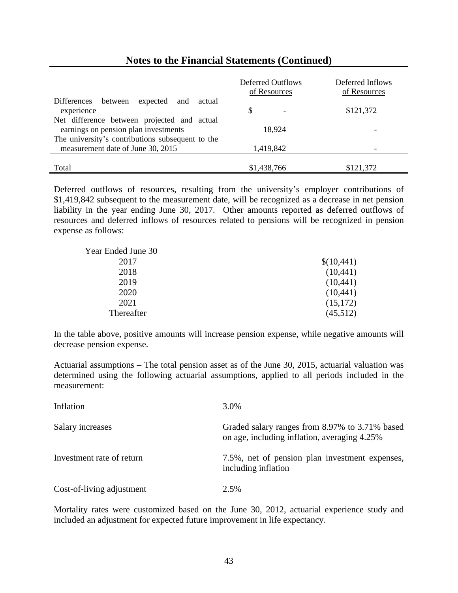|                                                            | Deferred Outflows<br>of Resources | Deferred Inflows<br>of Resources |
|------------------------------------------------------------|-----------------------------------|----------------------------------|
| expected<br><b>Differences</b><br>between<br>actual<br>and |                                   |                                  |
| experience                                                 | S<br>$\overline{\phantom{a}}$     | \$121,372                        |
| Net difference between projected and actual                |                                   |                                  |
| earnings on pension plan investments                       | 18,924                            |                                  |
| The university's contributions subsequent to the           |                                   |                                  |
| measurement date of June 30, 2015                          | 1,419,842                         |                                  |
|                                                            |                                   |                                  |
| Total                                                      | \$1,438,766                       | \$121,372                        |

Deferred outflows of resources, resulting from the university's employer contributions of \$1,419,842 subsequent to the measurement date, will be recognized as a decrease in net pension liability in the year ending June 30, 2017. Other amounts reported as deferred outflows of resources and deferred inflows of resources related to pensions will be recognized in pension expense as follows:

| \$(10,441) |
|------------|
| (10, 441)  |
| (10, 441)  |
| (10, 441)  |
| (15,172)   |
| (45,512)   |
|            |

In the table above, positive amounts will increase pension expense, while negative amounts will decrease pension expense.

Actuarial assumptions – The total pension asset as of the June 30, 2015, actuarial valuation was determined using the following actuarial assumptions, applied to all periods included in the measurement:

| Inflation                 | 3.0%                                                                                           |
|---------------------------|------------------------------------------------------------------------------------------------|
| Salary increases          | Graded salary ranges from 8.97% to 3.71% based<br>on age, including inflation, averaging 4.25% |
| Investment rate of return | 7.5%, net of pension plan investment expenses,<br>including inflation                          |
| Cost-of-living adjustment | 2.5%                                                                                           |

Mortality rates were customized based on the June 30, 2012, actuarial experience study and included an adjustment for expected future improvement in life expectancy.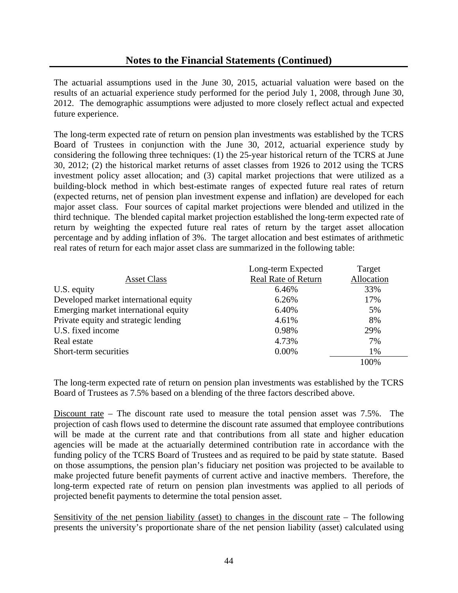The actuarial assumptions used in the June 30, 2015, actuarial valuation were based on the results of an actuarial experience study performed for the period July 1, 2008, through June 30, 2012. The demographic assumptions were adjusted to more closely reflect actual and expected future experience.

The long-term expected rate of return on pension plan investments was established by the TCRS Board of Trustees in conjunction with the June 30, 2012, actuarial experience study by considering the following three techniques: (1) the 25-year historical return of the TCRS at June 30, 2012; (2) the historical market returns of asset classes from 1926 to 2012 using the TCRS investment policy asset allocation; and (3) capital market projections that were utilized as a building-block method in which best-estimate ranges of expected future real rates of return (expected returns, net of pension plan investment expense and inflation) are developed for each major asset class. Four sources of capital market projections were blended and utilized in the third technique. The blended capital market projection established the long-term expected rate of return by weighting the expected future real rates of return by the target asset allocation percentage and by adding inflation of 3%. The target allocation and best estimates of arithmetic real rates of return for each major asset class are summarized in the following table:

|                                       | Long-term Expected         | Target     |
|---------------------------------------|----------------------------|------------|
| <b>Asset Class</b>                    | <b>Real Rate of Return</b> | Allocation |
| U.S. equity                           | 6.46%                      | 33%        |
| Developed market international equity | 6.26%                      | 17%        |
| Emerging market international equity  | 6.40%                      | 5%         |
| Private equity and strategic lending  | 4.61%                      | 8%         |
| U.S. fixed income                     | 0.98%                      | 29%        |
| Real estate                           | 4.73%                      | 7%         |
| Short-term securities                 | 0.00%                      | 1%         |
|                                       |                            | 100%       |

The long-term expected rate of return on pension plan investments was established by the TCRS Board of Trustees as 7.5% based on a blending of the three factors described above.

Discount rate – The discount rate used to measure the total pension asset was 7.5%. The projection of cash flows used to determine the discount rate assumed that employee contributions will be made at the current rate and that contributions from all state and higher education agencies will be made at the actuarially determined contribution rate in accordance with the funding policy of the TCRS Board of Trustees and as required to be paid by state statute. Based on those assumptions, the pension plan's fiduciary net position was projected to be available to make projected future benefit payments of current active and inactive members. Therefore, the long-term expected rate of return on pension plan investments was applied to all periods of projected benefit payments to determine the total pension asset.

Sensitivity of the net pension liability (asset) to changes in the discount rate – The following presents the university's proportionate share of the net pension liability (asset) calculated using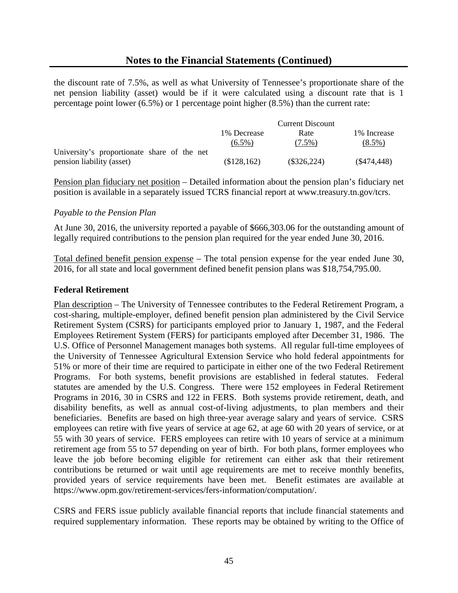the discount rate of 7.5%, as well as what University of Tennessee's proportionate share of the net pension liability (asset) would be if it were calculated using a discount rate that is 1 percentage point lower (6.5%) or 1 percentage point higher (8.5%) than the current rate:

|                                             |             | <b>Current Discount</b> |              |
|---------------------------------------------|-------------|-------------------------|--------------|
|                                             | 1% Decrease | Rate                    | 1\% Increase |
|                                             | $(6.5\%)$   | $(7.5\%)$               | $(8.5\%)$    |
| University's proportionate share of the net |             |                         |              |
| pension liability (asset)                   | (\$128,162) | $(\$326,224)$           | (S474, 448)  |

Pension plan fiduciary net position – Detailed information about the pension plan's fiduciary net position is available in a separately issued TCRS financial report at www.treasury.tn.gov/tcrs.

#### *Payable to the Pension Plan*

At June 30, 2016, the university reported a payable of \$666,303.06 for the outstanding amount of legally required contributions to the pension plan required for the year ended June 30, 2016.

Total defined benefit pension expense – The total pension expense for the year ended June 30, 2016, for all state and local government defined benefit pension plans was \$18,754,795.00.

#### **Federal Retirement**

Plan description – The University of Tennessee contributes to the Federal Retirement Program, a cost-sharing, multiple-employer, defined benefit pension plan administered by the Civil Service Retirement System (CSRS) for participants employed prior to January 1, 1987, and the Federal Employees Retirement System (FERS) for participants employed after December 31, 1986. The U.S. Office of Personnel Management manages both systems. All regular full-time employees of the University of Tennessee Agricultural Extension Service who hold federal appointments for 51% or more of their time are required to participate in either one of the two Federal Retirement Programs. For both systems, benefit provisions are established in federal statutes. Federal statutes are amended by the U.S. Congress. There were 152 employees in Federal Retirement Programs in 2016, 30 in CSRS and 122 in FERS. Both systems provide retirement, death, and disability benefits, as well as annual cost-of-living adjustments, to plan members and their beneficiaries. Benefits are based on high three-year average salary and years of service. CSRS employees can retire with five years of service at age 62, at age 60 with 20 years of service, or at 55 with 30 years of service. FERS employees can retire with 10 years of service at a minimum retirement age from 55 to 57 depending on year of birth. For both plans, former employees who leave the job before becoming eligible for retirement can either ask that their retirement contributions be returned or wait until age requirements are met to receive monthly benefits, provided years of service requirements have been met. Benefit estimates are available at https://www.opm.gov/retirement-services/fers-information/computation/.

CSRS and FERS issue publicly available financial reports that include financial statements and required supplementary information. These reports may be obtained by writing to the Office of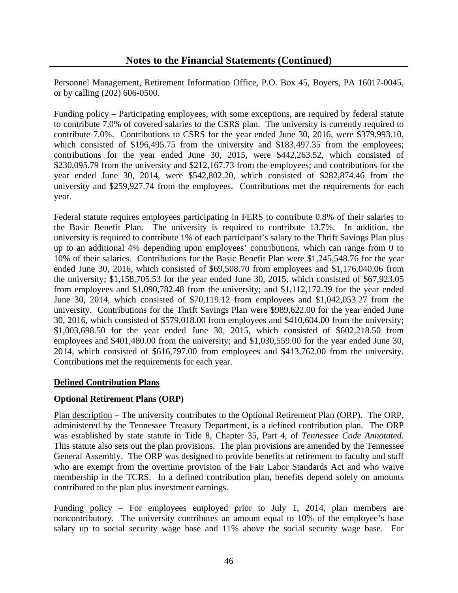Personnel Management, Retirement Information Office, P.O. Box 45, Boyers, PA 16017-0045, or by calling (202) 606-0500.

Funding policy – Participating employees, with some exceptions, are required by federal statute to contribute 7.0% of covered salaries to the CSRS plan. The university is currently required to contribute 7.0%. Contributions to CSRS for the year ended June 30, 2016, were \$379,993.10, which consisted of \$196,495.75 from the university and \$183,497.35 from the employees; contributions for the year ended June 30, 2015, were \$442,263.52, which consisted of \$230,095.79 from the university and \$212,167.73 from the employees; and contributions for the year ended June 30, 2014, were \$542,802.20, which consisted of \$282,874.46 from the university and \$259,927.74 from the employees. Contributions met the requirements for each year.

Federal statute requires employees participating in FERS to contribute 0.8% of their salaries to the Basic Benefit Plan. The university is required to contribute 13.7%. In addition, the university is required to contribute 1% of each participant's salary to the Thrift Savings Plan plus up to an additional 4% depending upon employees' contributions, which can range from 0 to 10% of their salaries. Contributions for the Basic Benefit Plan were \$1,245,548.76 for the year ended June 30, 2016, which consisted of \$69,508.70 from employees and \$1,176,040.06 from the university; \$1,158,705.53 for the year ended June 30, 2015, which consisted of \$67,923.05 from employees and \$1,090,782.48 from the university; and \$1,112,172.39 for the year ended June 30, 2014, which consisted of \$70,119.12 from employees and \$1,042,053.27 from the university. Contributions for the Thrift Savings Plan were \$989,622.00 for the year ended June 30, 2016, which consisted of \$579,018.00 from employees and \$410,604.00 from the university; \$1,003,698.50 for the year ended June 30, 2015, which consisted of \$602,218.50 from employees and \$401,480.00 from the university; and \$1,030,559.00 for the year ended June 30, 2014, which consisted of \$616,797.00 from employees and \$413,762.00 from the university. Contributions met the requirements for each year.

### **Defined Contribution Plans**

### **Optional Retirement Plans (ORP)**

Plan description – The university contributes to the Optional Retirement Plan (ORP). The ORP, administered by the Tennessee Treasury Department, is a defined contribution plan. The ORP was established by state statute in Title 8, Chapter 35, Part 4, of *Tennessee Code Annotated*. This statute also sets out the plan provisions. The plan provisions are amended by the Tennessee General Assembly. The ORP was designed to provide benefits at retirement to faculty and staff who are exempt from the overtime provision of the Fair Labor Standards Act and who waive membership in the TCRS. In a defined contribution plan, benefits depend solely on amounts contributed to the plan plus investment earnings.

Funding policy – For employees employed prior to July 1, 2014, plan members are noncontributory. The university contributes an amount equal to 10% of the employee's base salary up to social security wage base and 11% above the social security wage base. For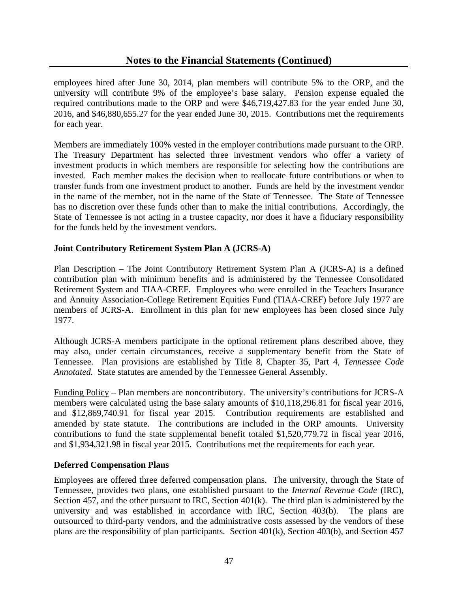employees hired after June 30, 2014, plan members will contribute 5% to the ORP, and the university will contribute 9% of the employee's base salary. Pension expense equaled the required contributions made to the ORP and were \$46,719,427.83 for the year ended June 30, 2016, and \$46,880,655.27 for the year ended June 30, 2015. Contributions met the requirements for each year.

Members are immediately 100% vested in the employer contributions made pursuant to the ORP. The Treasury Department has selected three investment vendors who offer a variety of investment products in which members are responsible for selecting how the contributions are invested. Each member makes the decision when to reallocate future contributions or when to transfer funds from one investment product to another. Funds are held by the investment vendor in the name of the member, not in the name of the State of Tennessee. The State of Tennessee has no discretion over these funds other than to make the initial contributions. Accordingly, the State of Tennessee is not acting in a trustee capacity, nor does it have a fiduciary responsibility for the funds held by the investment vendors.

### **Joint Contributory Retirement System Plan A (JCRS-A)**

Plan Description – The Joint Contributory Retirement System Plan A (JCRS-A) is a defined contribution plan with minimum benefits and is administered by the Tennessee Consolidated Retirement System and TIAA-CREF. Employees who were enrolled in the Teachers Insurance and Annuity Association-College Retirement Equities Fund (TIAA-CREF) before July 1977 are members of JCRS-A. Enrollment in this plan for new employees has been closed since July 1977.

Although JCRS-A members participate in the optional retirement plans described above, they may also, under certain circumstances, receive a supplementary benefit from the State of Tennessee. Plan provisions are established by Title 8, Chapter 35, Part 4, *Tennessee Code Annotated.* State statutes are amended by the Tennessee General Assembly.

Funding Policy – Plan members are noncontributory. The university's contributions for JCRS-A members were calculated using the base salary amounts of \$10,118,296.81 for fiscal year 2016, and \$12,869,740.91 for fiscal year 2015. Contribution requirements are established and amended by state statute. The contributions are included in the ORP amounts. University contributions to fund the state supplemental benefit totaled \$1,520,779.72 in fiscal year 2016, and \$1,934,321.98 in fiscal year 2015. Contributions met the requirements for each year.

### **Deferred Compensation Plans**

Employees are offered three deferred compensation plans. The university, through the State of Tennessee, provides two plans, one established pursuant to the *Internal Revenue Code* (IRC), Section 457, and the other pursuant to IRC, Section 401(k). The third plan is administered by the university and was established in accordance with IRC, Section 403(b). The plans are outsourced to third-party vendors, and the administrative costs assessed by the vendors of these plans are the responsibility of plan participants. Section 401(k), Section 403(b), and Section 457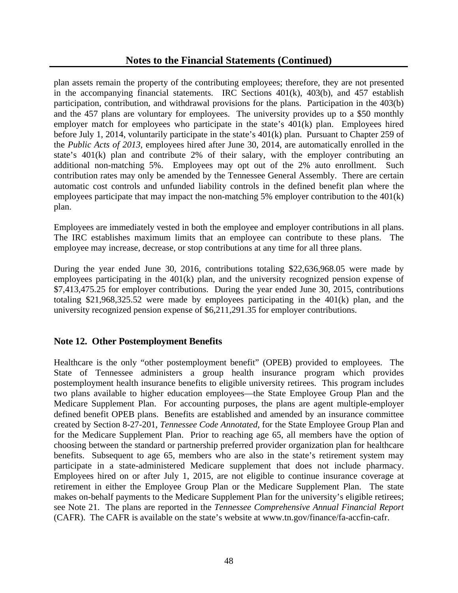plan assets remain the property of the contributing employees; therefore, they are not presented in the accompanying financial statements. IRC Sections 401(k), 403(b), and 457 establish participation, contribution, and withdrawal provisions for the plans. Participation in the 403(b) and the 457 plans are voluntary for employees. The university provides up to a \$50 monthly employer match for employees who participate in the state's 401(k) plan. Employees hired before July 1, 2014, voluntarily participate in the state's 401(k) plan. Pursuant to Chapter 259 of the *Public Acts of 2013,* employees hired after June 30, 2014, are automatically enrolled in the state's 401(k) plan and contribute 2% of their salary, with the employer contributing an additional non-matching 5%. Employees may opt out of the 2% auto enrollment. Such contribution rates may only be amended by the Tennessee General Assembly. There are certain automatic cost controls and unfunded liability controls in the defined benefit plan where the employees participate that may impact the non-matching 5% employer contribution to the 401(k) plan.

Employees are immediately vested in both the employee and employer contributions in all plans. The IRC establishes maximum limits that an employee can contribute to these plans. The employee may increase, decrease, or stop contributions at any time for all three plans.

During the year ended June 30, 2016, contributions totaling \$22,636,968.05 were made by employees participating in the 401(k) plan, and the university recognized pension expense of \$7,413,475.25 for employer contributions. During the year ended June 30, 2015, contributions totaling \$21,968,325.52 were made by employees participating in the 401(k) plan, and the university recognized pension expense of \$6,211,291.35 for employer contributions.

# **Note 12. Other Postemployment Benefits**

Healthcare is the only "other postemployment benefit" (OPEB) provided to employees. The State of Tennessee administers a group health insurance program which provides postemployment health insurance benefits to eligible university retirees. This program includes two plans available to higher education employees—the State Employee Group Plan and the Medicare Supplement Plan. For accounting purposes, the plans are agent multiple-employer defined benefit OPEB plans. Benefits are established and amended by an insurance committee created by Section 8-27-201, *Tennessee Code Annotated,* for the State Employee Group Plan and for the Medicare Supplement Plan. Prior to reaching age 65, all members have the option of choosing between the standard or partnership preferred provider organization plan for healthcare benefits. Subsequent to age 65, members who are also in the state's retirement system may participate in a state-administered Medicare supplement that does not include pharmacy. Employees hired on or after July 1, 2015, are not eligible to continue insurance coverage at retirement in either the Employee Group Plan or the Medicare Supplement Plan. The state makes on-behalf payments to the Medicare Supplement Plan for the university's eligible retirees; see Note 21. The plans are reported in the *Tennessee Comprehensive Annual Financial Report* (CAFR). The CAFR is available on the state's website at www.tn.gov/finance/fa-accfin-cafr.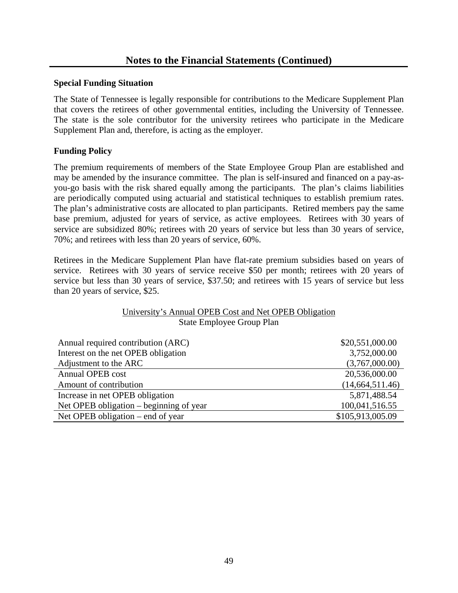### **Special Funding Situation**

The State of Tennessee is legally responsible for contributions to the Medicare Supplement Plan that covers the retirees of other governmental entities, including the University of Tennessee. The state is the sole contributor for the university retirees who participate in the Medicare Supplement Plan and, therefore, is acting as the employer.

### **Funding Policy**

The premium requirements of members of the State Employee Group Plan are established and may be amended by the insurance committee. The plan is self-insured and financed on a pay-asyou-go basis with the risk shared equally among the participants. The plan's claims liabilities are periodically computed using actuarial and statistical techniques to establish premium rates. The plan's administrative costs are allocated to plan participants. Retired members pay the same base premium, adjusted for years of service, as active employees. Retirees with 30 years of service are subsidized 80%; retirees with 20 years of service but less than 30 years of service, 70%; and retirees with less than 20 years of service, 60%.

Retirees in the Medicare Supplement Plan have flat-rate premium subsidies based on years of service. Retirees with 30 years of service receive \$50 per month; retirees with 20 years of service but less than 30 years of service, \$37.50; and retirees with 15 years of service but less than 20 years of service, \$25.

| University's Annual OPEB Cost and Net OPEB Obligation |
|-------------------------------------------------------|
| State Employee Group Plan                             |

| Annual required contribution (ARC)      | \$20,551,000.00   |
|-----------------------------------------|-------------------|
| Interest on the net OPEB obligation     | 3,752,000.00      |
| Adjustment to the ARC                   | (3,767,000.00)    |
| Annual OPEB cost                        | 20,536,000.00     |
| Amount of contribution                  | (14, 664, 511.46) |
| Increase in net OPEB obligation         | 5,871,488.54      |
| Net OPEB obligation – beginning of year | 100,041,516.55    |
| Net OPEB obligation – end of year       | \$105,913,005.09  |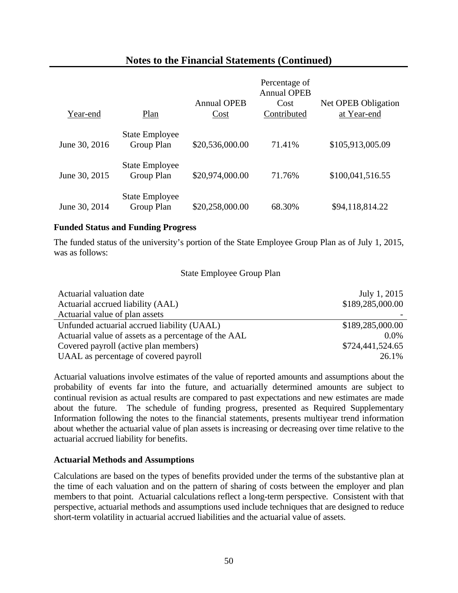| Year-end      | Plan                                | <b>Annual OPEB</b><br>Cost | Percentage of<br><b>Annual OPEB</b><br>Cost<br>Contributed | Net OPEB Obligation<br>at Year-end |
|---------------|-------------------------------------|----------------------------|------------------------------------------------------------|------------------------------------|
| June 30, 2016 | <b>State Employee</b><br>Group Plan | \$20,536,000.00            | 71.41%                                                     | \$105,913,005.09                   |
| June 30, 2015 | <b>State Employee</b><br>Group Plan | \$20,974,000.00            | 71.76%                                                     | \$100,041,516.55                   |
| June 30, 2014 | <b>State Employee</b><br>Group Plan | \$20,258,000.00            | 68.30%                                                     | \$94,118,814.22                    |

### **Funded Status and Funding Progress**

The funded status of the university's portion of the State Employee Group Plan as of July 1, 2015, was as follows:

#### State Employee Group Plan

| Actuarial valuation date                             | July 1, 2015     |
|------------------------------------------------------|------------------|
| Actuarial accrued liability (AAL)                    | \$189,285,000.00 |
| Actuarial value of plan assets                       |                  |
| Unfunded actuarial accrued liability (UAAL)          | \$189,285,000.00 |
| Actuarial value of assets as a percentage of the AAL | $0.0\%$          |
| Covered payroll (active plan members)                | \$724,441,524.65 |
| UAAL as percentage of covered payroll                | 26.1%            |

Actuarial valuations involve estimates of the value of reported amounts and assumptions about the probability of events far into the future, and actuarially determined amounts are subject to continual revision as actual results are compared to past expectations and new estimates are made about the future. The schedule of funding progress, presented as Required Supplementary Information following the notes to the financial statements, presents multiyear trend information about whether the actuarial value of plan assets is increasing or decreasing over time relative to the actuarial accrued liability for benefits.

#### **Actuarial Methods and Assumptions**

Calculations are based on the types of benefits provided under the terms of the substantive plan at the time of each valuation and on the pattern of sharing of costs between the employer and plan members to that point. Actuarial calculations reflect a long-term perspective. Consistent with that perspective, actuarial methods and assumptions used include techniques that are designed to reduce short-term volatility in actuarial accrued liabilities and the actuarial value of assets.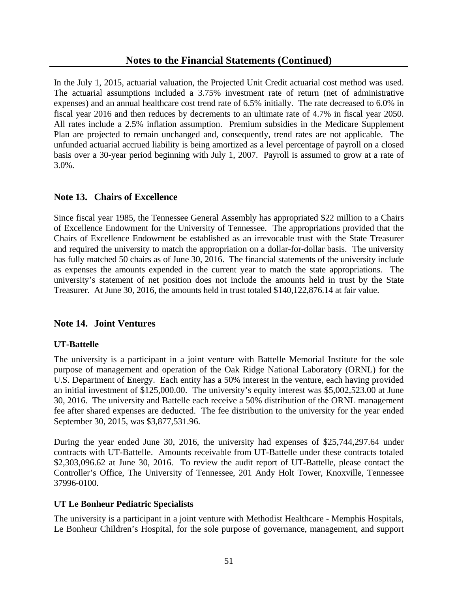In the July 1, 2015, actuarial valuation, the Projected Unit Credit actuarial cost method was used. The actuarial assumptions included a 3.75% investment rate of return (net of administrative expenses) and an annual healthcare cost trend rate of 6.5% initially. The rate decreased to 6.0% in fiscal year 2016 and then reduces by decrements to an ultimate rate of 4.7% in fiscal year 2050. All rates include a 2.5% inflation assumption. Premium subsidies in the Medicare Supplement Plan are projected to remain unchanged and, consequently, trend rates are not applicable. The unfunded actuarial accrued liability is being amortized as a level percentage of payroll on a closed basis over a 30-year period beginning with July 1, 2007. Payroll is assumed to grow at a rate of 3.0%.

# **Note 13. Chairs of Excellence**

Since fiscal year 1985, the Tennessee General Assembly has appropriated \$22 million to a Chairs of Excellence Endowment for the University of Tennessee. The appropriations provided that the Chairs of Excellence Endowment be established as an irrevocable trust with the State Treasurer and required the university to match the appropriation on a dollar-for-dollar basis. The university has fully matched 50 chairs as of June 30, 2016. The financial statements of the university include as expenses the amounts expended in the current year to match the state appropriations. The university's statement of net position does not include the amounts held in trust by the State Treasurer. At June 30, 2016, the amounts held in trust totaled \$140,122,876.14 at fair value.

# **Note 14. Joint Ventures**

### **UT-Battelle**

The university is a participant in a joint venture with Battelle Memorial Institute for the sole purpose of management and operation of the Oak Ridge National Laboratory (ORNL) for the U.S. Department of Energy. Each entity has a 50% interest in the venture, each having provided an initial investment of \$125,000.00. The university's equity interest was \$5,002,523.00 at June 30, 2016. The university and Battelle each receive a 50% distribution of the ORNL management fee after shared expenses are deducted. The fee distribution to the university for the year ended September 30, 2015, was \$3,877,531.96.

During the year ended June 30, 2016, the university had expenses of \$25,744,297.64 under contracts with UT-Battelle. Amounts receivable from UT-Battelle under these contracts totaled \$2,303,096.62 at June 30, 2016. To review the audit report of UT-Battelle, please contact the Controller's Office, The University of Tennessee, 201 Andy Holt Tower, Knoxville, Tennessee 37996-0100.

### **UT Le Bonheur Pediatric Specialists**

The university is a participant in a joint venture with Methodist Healthcare - Memphis Hospitals, Le Bonheur Children's Hospital, for the sole purpose of governance, management, and support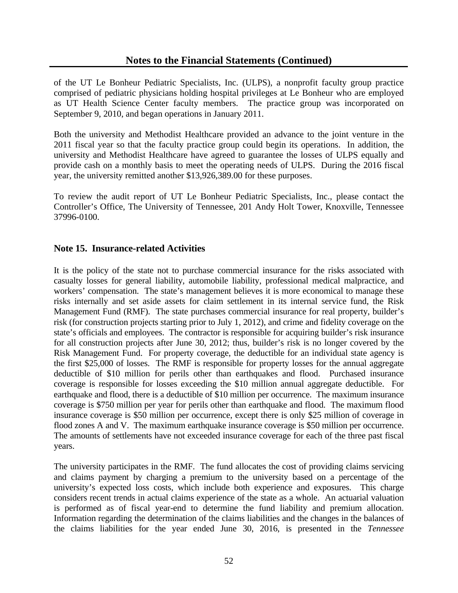of the UT Le Bonheur Pediatric Specialists, Inc. (ULPS), a nonprofit faculty group practice comprised of pediatric physicians holding hospital privileges at Le Bonheur who are employed as UT Health Science Center faculty members. The practice group was incorporated on September 9, 2010, and began operations in January 2011.

Both the university and Methodist Healthcare provided an advance to the joint venture in the 2011 fiscal year so that the faculty practice group could begin its operations. In addition, the university and Methodist Healthcare have agreed to guarantee the losses of ULPS equally and provide cash on a monthly basis to meet the operating needs of ULPS. During the 2016 fiscal year, the university remitted another \$13,926,389.00 for these purposes.

To review the audit report of UT Le Bonheur Pediatric Specialists, Inc., please contact the Controller's Office, The University of Tennessee, 201 Andy Holt Tower, Knoxville, Tennessee 37996-0100.

### **Note 15. Insurance-related Activities**

It is the policy of the state not to purchase commercial insurance for the risks associated with casualty losses for general liability, automobile liability, professional medical malpractice, and workers' compensation. The state's management believes it is more economical to manage these risks internally and set aside assets for claim settlement in its internal service fund, the Risk Management Fund (RMF). The state purchases commercial insurance for real property, builder's risk (for construction projects starting prior to July 1, 2012), and crime and fidelity coverage on the state's officials and employees. The contractor is responsible for acquiring builder's risk insurance for all construction projects after June 30, 2012; thus, builder's risk is no longer covered by the Risk Management Fund. For property coverage, the deductible for an individual state agency is the first \$25,000 of losses. The RMF is responsible for property losses for the annual aggregate deductible of \$10 million for perils other than earthquakes and flood. Purchased insurance coverage is responsible for losses exceeding the \$10 million annual aggregate deductible. For earthquake and flood, there is a deductible of \$10 million per occurrence. The maximum insurance coverage is \$750 million per year for perils other than earthquake and flood. The maximum flood insurance coverage is \$50 million per occurrence, except there is only \$25 million of coverage in flood zones A and V. The maximum earthquake insurance coverage is \$50 million per occurrence. The amounts of settlements have not exceeded insurance coverage for each of the three past fiscal years.

The university participates in the RMF. The fund allocates the cost of providing claims servicing and claims payment by charging a premium to the university based on a percentage of the university's expected loss costs, which include both experience and exposures. This charge considers recent trends in actual claims experience of the state as a whole. An actuarial valuation is performed as of fiscal year-end to determine the fund liability and premium allocation. Information regarding the determination of the claims liabilities and the changes in the balances of the claims liabilities for the year ended June 30, 2016, is presented in the *Tennessee*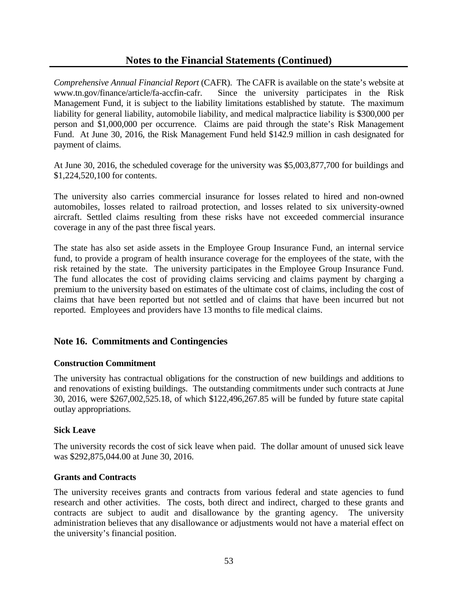*Comprehensive Annual Financial Report* (CAFR). The CAFR is available on the state's website at www.tn.gov/finance/article/fa-accfin-cafr. Since the university participates in the Risk Management Fund, it is subject to the liability limitations established by statute. The maximum liability for general liability, automobile liability, and medical malpractice liability is \$300,000 per person and \$1,000,000 per occurrence. Claims are paid through the state's Risk Management Fund. At June 30, 2016, the Risk Management Fund held \$142.9 million in cash designated for payment of claims.

At June 30, 2016, the scheduled coverage for the university was \$5,003,877,700 for buildings and \$1,224,520,100 for contents.

The university also carries commercial insurance for losses related to hired and non-owned automobiles, losses related to railroad protection, and losses related to six university-owned aircraft. Settled claims resulting from these risks have not exceeded commercial insurance coverage in any of the past three fiscal years.

The state has also set aside assets in the Employee Group Insurance Fund, an internal service fund, to provide a program of health insurance coverage for the employees of the state, with the risk retained by the state. The university participates in the Employee Group Insurance Fund. The fund allocates the cost of providing claims servicing and claims payment by charging a premium to the university based on estimates of the ultimate cost of claims, including the cost of claims that have been reported but not settled and of claims that have been incurred but not reported. Employees and providers have 13 months to file medical claims.

### **Note 16. Commitments and Contingencies**

#### **Construction Commitment**

The university has contractual obligations for the construction of new buildings and additions to and renovations of existing buildings. The outstanding commitments under such contracts at June 30, 2016, were \$267,002,525.18, of which \$122,496,267.85 will be funded by future state capital outlay appropriations.

#### **Sick Leave**

The university records the cost of sick leave when paid. The dollar amount of unused sick leave was \$292,875,044.00 at June 30, 2016.

#### **Grants and Contracts**

The university receives grants and contracts from various federal and state agencies to fund research and other activities. The costs, both direct and indirect, charged to these grants and contracts are subject to audit and disallowance by the granting agency. The university administration believes that any disallowance or adjustments would not have a material effect on the university's financial position.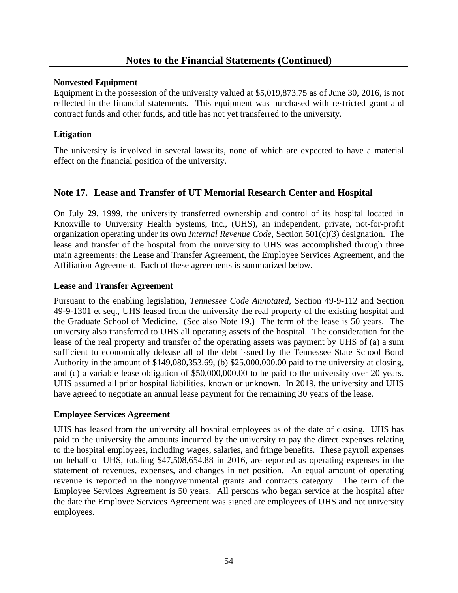### **Nonvested Equipment**

Equipment in the possession of the university valued at \$5,019,873.75 as of June 30, 2016, is not reflected in the financial statements. This equipment was purchased with restricted grant and contract funds and other funds, and title has not yet transferred to the university.

### **Litigation**

The university is involved in several lawsuits, none of which are expected to have a material effect on the financial position of the university.

# **Note 17. Lease and Transfer of UT Memorial Research Center and Hospital**

On July 29, 1999, the university transferred ownership and control of its hospital located in Knoxville to University Health Systems, Inc., (UHS), an independent, private, not-for-profit organization operating under its own *Internal Revenue Code*, Section 501(c)(3) designation. The lease and transfer of the hospital from the university to UHS was accomplished through three main agreements: the Lease and Transfer Agreement, the Employee Services Agreement, and the Affiliation Agreement. Each of these agreements is summarized below.

### **Lease and Transfer Agreement**

Pursuant to the enabling legislation, *Tennessee Code Annotated*, Section 49-9-112 and Section 49-9-1301 et seq., UHS leased from the university the real property of the existing hospital and the Graduate School of Medicine. (See also Note 19.) The term of the lease is 50 years. The university also transferred to UHS all operating assets of the hospital. The consideration for the lease of the real property and transfer of the operating assets was payment by UHS of (a) a sum sufficient to economically defease all of the debt issued by the Tennessee State School Bond Authority in the amount of \$149,080,353.69, (b) \$25,000,000.00 paid to the university at closing, and (c) a variable lease obligation of \$50,000,000.00 to be paid to the university over 20 years. UHS assumed all prior hospital liabilities, known or unknown. In 2019, the university and UHS have agreed to negotiate an annual lease payment for the remaining 30 years of the lease.

#### **Employee Services Agreement**

UHS has leased from the university all hospital employees as of the date of closing. UHS has paid to the university the amounts incurred by the university to pay the direct expenses relating to the hospital employees, including wages, salaries, and fringe benefits. These payroll expenses on behalf of UHS, totaling \$47,508,654.88 in 2016, are reported as operating expenses in the statement of revenues, expenses, and changes in net position. An equal amount of operating revenue is reported in the nongovernmental grants and contracts category. The term of the Employee Services Agreement is 50 years. All persons who began service at the hospital after the date the Employee Services Agreement was signed are employees of UHS and not university employees.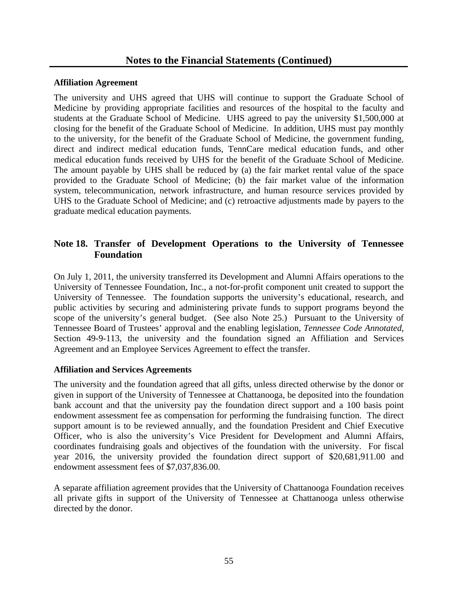#### **Affiliation Agreement**

The university and UHS agreed that UHS will continue to support the Graduate School of Medicine by providing appropriate facilities and resources of the hospital to the faculty and students at the Graduate School of Medicine. UHS agreed to pay the university \$1,500,000 at closing for the benefit of the Graduate School of Medicine. In addition, UHS must pay monthly to the university, for the benefit of the Graduate School of Medicine, the government funding, direct and indirect medical education funds, TennCare medical education funds, and other medical education funds received by UHS for the benefit of the Graduate School of Medicine. The amount payable by UHS shall be reduced by (a) the fair market rental value of the space provided to the Graduate School of Medicine; (b) the fair market value of the information system, telecommunication, network infrastructure, and human resource services provided by UHS to the Graduate School of Medicine; and (c) retroactive adjustments made by payers to the graduate medical education payments.

# **Note 18. Transfer of Development Operations to the University of Tennessee Foundation**

On July 1, 2011, the university transferred its Development and Alumni Affairs operations to the University of Tennessee Foundation, Inc., a not-for-profit component unit created to support the University of Tennessee. The foundation supports the university's educational, research, and public activities by securing and administering private funds to support programs beyond the scope of the university's general budget. (See also Note 25.) Pursuant to the University of Tennessee Board of Trustees' approval and the enabling legislation, *Tennessee Code Annotated*, Section 49-9-113, the university and the foundation signed an Affiliation and Services Agreement and an Employee Services Agreement to effect the transfer.

### **Affiliation and Services Agreements**

The university and the foundation agreed that all gifts, unless directed otherwise by the donor or given in support of the University of Tennessee at Chattanooga, be deposited into the foundation bank account and that the university pay the foundation direct support and a 100 basis point endowment assessment fee as compensation for performing the fundraising function. The direct support amount is to be reviewed annually, and the foundation President and Chief Executive Officer, who is also the university's Vice President for Development and Alumni Affairs, coordinates fundraising goals and objectives of the foundation with the university. For fiscal year 2016, the university provided the foundation direct support of \$20,681,911.00 and endowment assessment fees of \$7,037,836.00.

A separate affiliation agreement provides that the University of Chattanooga Foundation receives all private gifts in support of the University of Tennessee at Chattanooga unless otherwise directed by the donor.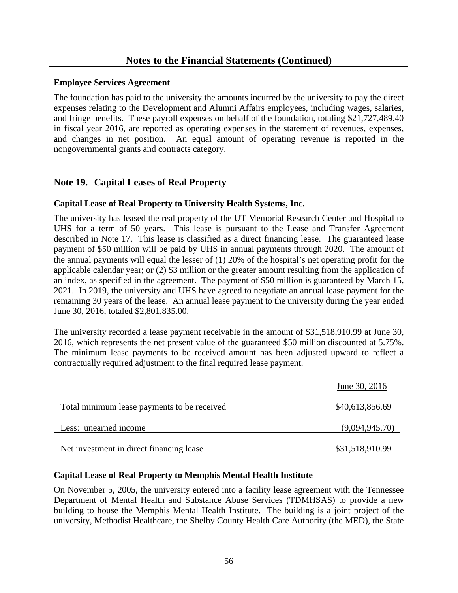#### **Employee Services Agreement**

The foundation has paid to the university the amounts incurred by the university to pay the direct expenses relating to the Development and Alumni Affairs employees, including wages, salaries, and fringe benefits. These payroll expenses on behalf of the foundation, totaling \$21,727,489.40 in fiscal year 2016, are reported as operating expenses in the statement of revenues, expenses, and changes in net position. An equal amount of operating revenue is reported in the nongovernmental grants and contracts category.

# **Note 19. Capital Leases of Real Property**

### **Capital Lease of Real Property to University Health Systems, Inc.**

The university has leased the real property of the UT Memorial Research Center and Hospital to UHS for a term of 50 years. This lease is pursuant to the Lease and Transfer Agreement described in Note 17. This lease is classified as a direct financing lease. The guaranteed lease payment of \$50 million will be paid by UHS in annual payments through 2020. The amount of the annual payments will equal the lesser of (1) 20% of the hospital's net operating profit for the applicable calendar year; or (2) \$3 million or the greater amount resulting from the application of an index, as specified in the agreement. The payment of \$50 million is guaranteed by March 15, 2021. In 2019, the university and UHS have agreed to negotiate an annual lease payment for the remaining 30 years of the lease. An annual lease payment to the university during the year ended June 30, 2016, totaled \$2,801,835.00.

The university recorded a lease payment receivable in the amount of \$31,518,910.99 at June 30, 2016, which represents the net present value of the guaranteed \$50 million discounted at 5.75%. The minimum lease payments to be received amount has been adjusted upward to reflect a contractually required adjustment to the final required lease payment.

|                                             | June 30, 2016   |
|---------------------------------------------|-----------------|
| Total minimum lease payments to be received | \$40,613,856.69 |
| Less: unearned income                       | (9,094,945.70)  |
| Net investment in direct financing lease    | \$31,518,910.99 |

#### **Capital Lease of Real Property to Memphis Mental Health Institute**

On November 5, 2005, the university entered into a facility lease agreement with the Tennessee Department of Mental Health and Substance Abuse Services (TDMHSAS) to provide a new building to house the Memphis Mental Health Institute. The building is a joint project of the university, Methodist Healthcare, the Shelby County Health Care Authority (the MED), the State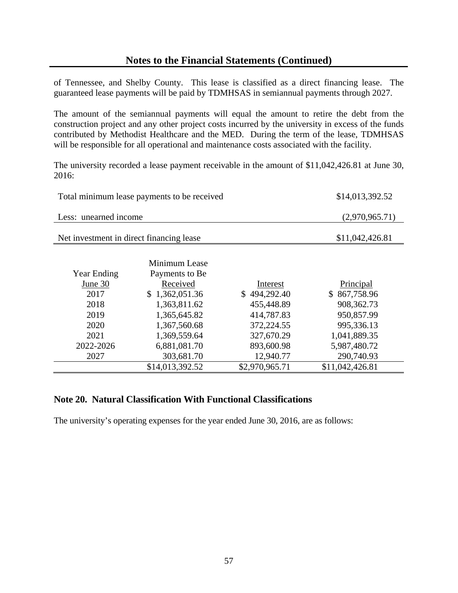of Tennessee, and Shelby County. This lease is classified as a direct financing lease. The guaranteed lease payments will be paid by TDMHSAS in semiannual payments through 2027.

The amount of the semiannual payments will equal the amount to retire the debt from the construction project and any other project costs incurred by the university in excess of the funds contributed by Methodist Healthcare and the MED. During the term of the lease, TDMHSAS will be responsible for all operational and maintenance costs associated with the facility.

The university recorded a lease payment receivable in the amount of \$11,042,426.81 at June 30, 2016:

|                                          | Total minimum lease payments to be received |                | \$14,013,392.52 |
|------------------------------------------|---------------------------------------------|----------------|-----------------|
| Less: unearned income                    |                                             |                | (2,970,965.71)  |
| Net investment in direct financing lease |                                             |                | \$11,042,426.81 |
|                                          |                                             |                |                 |
|                                          | Minimum Lease                               |                |                 |
| <b>Year Ending</b>                       | Payments to Be                              |                |                 |
| June 30                                  | Received                                    | Interest       | Principal       |
| 2017                                     | \$1,362,051.36                              | \$494,292.40   | \$867,758.96    |
| 2018                                     | 1,363,811.62                                | 455,448.89     | 908, 362. 73    |
| 2019                                     | 1,365,645.82                                | 414,787.83     | 950,857.99      |
| 2020                                     | 1,367,560.68                                | 372,224.55     | 995,336.13      |
| 2021                                     | 1,369,559.64                                | 327,670.29     | 1,041,889.35    |
| 2022-2026                                | 6,881,081.70                                | 893,600.98     | 5,987,480.72    |
| 2027                                     | 303,681.70                                  | 12,940.77      | 290,740.93      |
|                                          | \$14,013,392.52                             | \$2,970,965.71 | \$11,042,426.81 |

### **Note 20. Natural Classification With Functional Classifications**

The university's operating expenses for the year ended June 30, 2016, are as follows: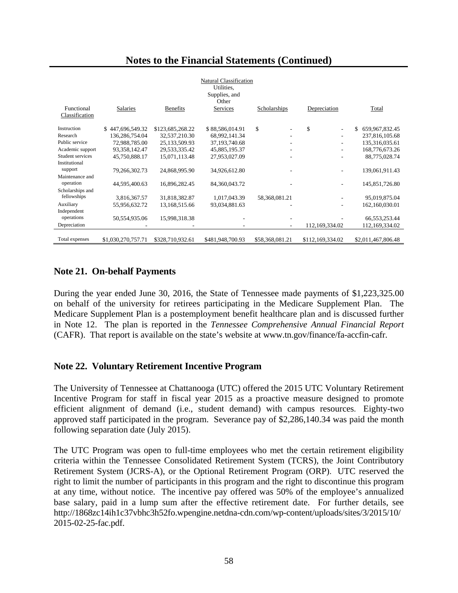|                              |                    |                  | <b>Natural Classification</b><br>Utilities.<br>Supplies, and<br>Other |                          |                                |                         |
|------------------------------|--------------------|------------------|-----------------------------------------------------------------------|--------------------------|--------------------------------|-------------------------|
| Functional<br>Classification | Salaries           | <b>Benefits</b>  | Services                                                              | Scholarships             | Depreciation                   | Total                   |
| Instruction                  | \$447,696,549.32   | \$123,685,268.22 | \$88,586,014.91                                                       | \$                       | \$<br>$\overline{\phantom{a}}$ | \$<br>659, 967, 832. 45 |
| Research                     | 136,286,754.04     | 32,537,210.30    | 68,992,141.34                                                         |                          |                                | 237,816,105.68          |
| Public service               | 72,988,785.00      | 25, 133, 509. 93 | 37, 193, 740. 68                                                      |                          | ٠                              | 135,316,035.61          |
| Academic support             | 93, 358, 142. 47   | 29,533,335.42    | 45,885,195.37                                                         |                          |                                | 168,776,673.26          |
| Student services             | 45,750,888.17      | 15,071,113.48    | 27,953,027.09                                                         |                          |                                | 88,775,028.74           |
| Institutional<br>support     | 79,266,302.73      | 24,868,995.90    | 34,926,612.80                                                         |                          |                                | 139,061,911.43          |
| Maintenance and<br>operation | 44,595,400.63      | 16,896,282.45    | 84, 360, 043. 72                                                      |                          |                                | 145,851,726.80          |
| Scholarships and             |                    |                  |                                                                       |                          |                                |                         |
| fellowships                  | 3,816,367.57       | 31,818,382.87    | 1,017,043.39                                                          | 58, 368, 081. 21         |                                | 95,019,875.04           |
| Auxiliary                    | 55,956,632.72      | 13,168,515.66    | 93,034,881.63                                                         |                          |                                | 162,160,030.01          |
| Independent                  |                    |                  |                                                                       |                          |                                |                         |
| operations                   | 50,554,935.06      | 15,998,318.38    |                                                                       |                          |                                | 66, 553, 253. 44        |
| Depreciation                 |                    |                  |                                                                       | $\overline{\phantom{a}}$ | 112,169,334.02                 | 112,169,334.02          |
|                              |                    |                  |                                                                       |                          |                                |                         |
| Total expenses               | \$1,030,270,757.71 | \$328,710,932.61 | \$481,948,700.93                                                      | \$58,368,081.21          | \$112,169,334.02               | \$2,011,467,806.48      |

# **Note 21. On-behalf Payments**

During the year ended June 30, 2016, the State of Tennessee made payments of \$1,223,325.00 on behalf of the university for retirees participating in the Medicare Supplement Plan. The Medicare Supplement Plan is a postemployment benefit healthcare plan and is discussed further in Note 12. The plan is reported in the *Tennessee Comprehensive Annual Financial Report* (CAFR). That report is available on the state's website at www.tn.gov/finance/fa-accfin-cafr.

### **Note 22. Voluntary Retirement Incentive Program**

The University of Tennessee at Chattanooga (UTC) offered the 2015 UTC Voluntary Retirement Incentive Program for staff in fiscal year 2015 as a proactive measure designed to promote efficient alignment of demand (i.e., student demand) with campus resources. Eighty-two approved staff participated in the program. Severance pay of \$2,286,140.34 was paid the month following separation date (July 2015).

The UTC Program was open to full-time employees who met the certain retirement eligibility criteria within the Tennessee Consolidated Retirement System (TCRS), the Joint Contributory Retirement System (JCRS-A), or the Optional Retirement Program (ORP). UTC reserved the right to limit the number of participants in this program and the right to discontinue this program at any time, without notice. The incentive pay offered was 50% of the employee's annualized base salary, paid in a lump sum after the effective retirement date. For further details, see http://1868zc14ih1c37vbhc3h52fo.wpengine.netdna-cdn.com/wp-content/uploads/sites/3/2015/10/ 2015-02-25-fac.pdf.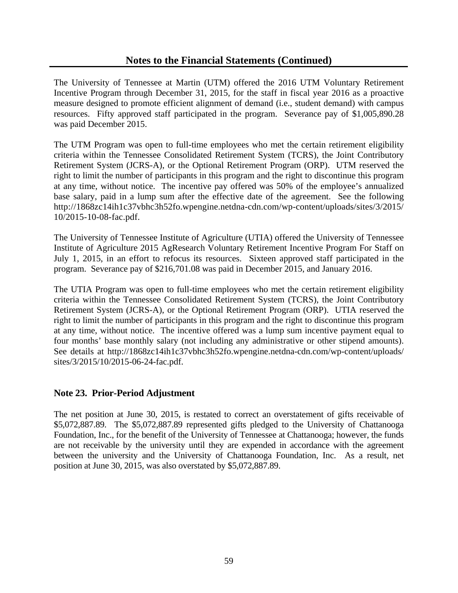The University of Tennessee at Martin (UTM) offered the 2016 UTM Voluntary Retirement Incentive Program through December 31, 2015, for the staff in fiscal year 2016 as a proactive measure designed to promote efficient alignment of demand (i.e., student demand) with campus resources. Fifty approved staff participated in the program. Severance pay of \$1,005,890.28 was paid December 2015.

The UTM Program was open to full-time employees who met the certain retirement eligibility criteria within the Tennessee Consolidated Retirement System (TCRS), the Joint Contributory Retirement System (JCRS-A), or the Optional Retirement Program (ORP). UTM reserved the right to limit the number of participants in this program and the right to discontinue this program at any time, without notice. The incentive pay offered was 50% of the employee's annualized base salary, paid in a lump sum after the effective date of the agreement. See the following http://1868zc14ih1c37vbhc3h52fo.wpengine.netdna-cdn.com/wp-content/uploads/sites/3/2015/ 10/2015-10-08-fac.pdf.

The University of Tennessee Institute of Agriculture (UTIA) offered the University of Tennessee Institute of Agriculture 2015 AgResearch Voluntary Retirement Incentive Program For Staff on July 1, 2015, in an effort to refocus its resources. Sixteen approved staff participated in the program. Severance pay of \$216,701.08 was paid in December 2015, and January 2016.

The UTIA Program was open to full-time employees who met the certain retirement eligibility criteria within the Tennessee Consolidated Retirement System (TCRS), the Joint Contributory Retirement System (JCRS-A), or the Optional Retirement Program (ORP). UTIA reserved the right to limit the number of participants in this program and the right to discontinue this program at any time, without notice. The incentive offered was a lump sum incentive payment equal to four months' base monthly salary (not including any administrative or other stipend amounts). See details at http://1868zc14ih1c37vbhc3h52fo.wpengine.netdna-cdn.com/wp-content/uploads/ sites/3/2015/10/2015-06-24-fac.pdf.

# **Note 23. Prior-Period Adjustment**

The net position at June 30, 2015, is restated to correct an overstatement of gifts receivable of \$5,072,887.89. The \$5,072,887.89 represented gifts pledged to the University of Chattanooga Foundation, Inc., for the benefit of the University of Tennessee at Chattanooga; however, the funds are not receivable by the university until they are expended in accordance with the agreement between the university and the University of Chattanooga Foundation, Inc. As a result, net position at June 30, 2015, was also overstated by \$5,072,887.89.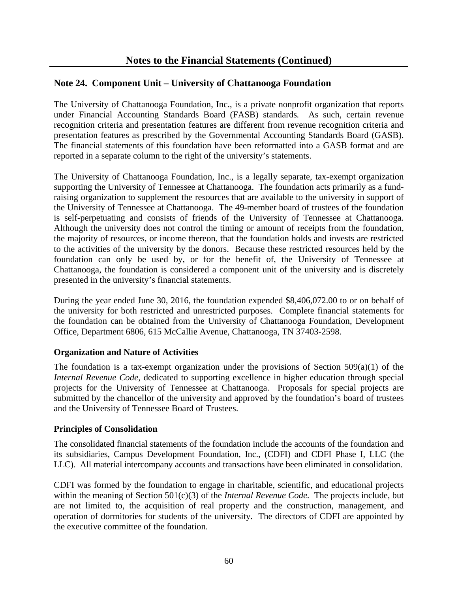# **Note 24. Component Unit – University of Chattanooga Foundation**

The University of Chattanooga Foundation, Inc., is a private nonprofit organization that reports under Financial Accounting Standards Board (FASB) standards*.* As such, certain revenue recognition criteria and presentation features are different from revenue recognition criteria and presentation features as prescribed by the Governmental Accounting Standards Board (GASB). The financial statements of this foundation have been reformatted into a GASB format and are reported in a separate column to the right of the university's statements.

The University of Chattanooga Foundation, Inc., is a legally separate, tax-exempt organization supporting the University of Tennessee at Chattanooga. The foundation acts primarily as a fundraising organization to supplement the resources that are available to the university in support of the University of Tennessee at Chattanooga. The 49-member board of trustees of the foundation is self-perpetuating and consists of friends of the University of Tennessee at Chattanooga. Although the university does not control the timing or amount of receipts from the foundation, the majority of resources, or income thereon, that the foundation holds and invests are restricted to the activities of the university by the donors. Because these restricted resources held by the foundation can only be used by, or for the benefit of, the University of Tennessee at Chattanooga, the foundation is considered a component unit of the university and is discretely presented in the university's financial statements.

During the year ended June 30, 2016, the foundation expended \$8,406,072.00 to or on behalf of the university for both restricted and unrestricted purposes. Complete financial statements for the foundation can be obtained from the University of Chattanooga Foundation, Development Office, Department 6806, 615 McCallie Avenue, Chattanooga, TN 37403-2598.

#### **Organization and Nature of Activities**

The foundation is a tax-exempt organization under the provisions of Section  $509(a)(1)$  of the *Internal Revenue Code,* dedicated to supporting excellence in higher education through special projects for the University of Tennessee at Chattanooga. Proposals for special projects are submitted by the chancellor of the university and approved by the foundation's board of trustees and the University of Tennessee Board of Trustees.

#### **Principles of Consolidation**

The consolidated financial statements of the foundation include the accounts of the foundation and its subsidiaries, Campus Development Foundation, Inc., (CDFI) and CDFI Phase I, LLC (the LLC). All material intercompany accounts and transactions have been eliminated in consolidation.

CDFI was formed by the foundation to engage in charitable, scientific, and educational projects within the meaning of Section 501(c)(3) of the *Internal Revenue Code.* The projects include, but are not limited to, the acquisition of real property and the construction, management, and operation of dormitories for students of the university. The directors of CDFI are appointed by the executive committee of the foundation.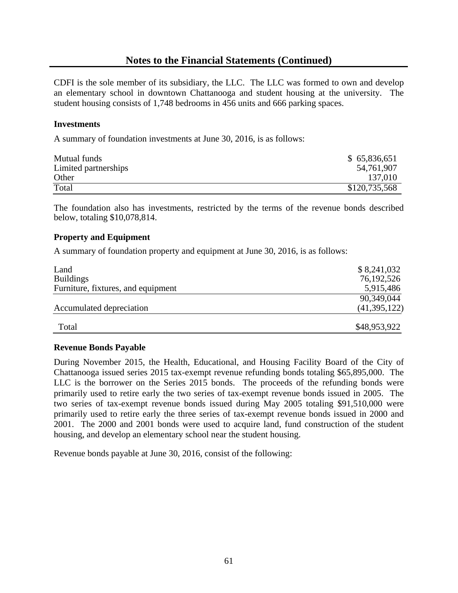CDFI is the sole member of its subsidiary, the LLC. The LLC was formed to own and develop an elementary school in downtown Chattanooga and student housing at the university. The student housing consists of 1,748 bedrooms in 456 units and 666 parking spaces.

#### **Investments**

A summary of foundation investments at June 30, 2016, is as follows:

| Mutual funds         | \$65,836,651  |
|----------------------|---------------|
| Limited partnerships | 54,761,907    |
| Other                | 137,010       |
| Total                | \$120,735,568 |

The foundation also has investments, restricted by the terms of the revenue bonds described below, totaling \$10,078,814.

#### **Property and Equipment**

A summary of foundation property and equipment at June 30, 2016, is as follows:

| Land                               | \$8,241,032  |
|------------------------------------|--------------|
| <b>Buildings</b>                   | 76,192,526   |
| Furniture, fixtures, and equipment | 5,915,486    |
|                                    | 90,349,044   |
| Accumulated depreciation           | (41,395,122) |
| Total                              | \$48,953,922 |

#### **Revenue Bonds Payable**

During November 2015, the Health, Educational, and Housing Facility Board of the City of Chattanooga issued series 2015 tax-exempt revenue refunding bonds totaling \$65,895,000. The LLC is the borrower on the Series 2015 bonds. The proceeds of the refunding bonds were primarily used to retire early the two series of tax-exempt revenue bonds issued in 2005. The two series of tax-exempt revenue bonds issued during May 2005 totaling \$91,510,000 were primarily used to retire early the three series of tax-exempt revenue bonds issued in 2000 and 2001. The 2000 and 2001 bonds were used to acquire land, fund construction of the student housing, and develop an elementary school near the student housing.

Revenue bonds payable at June 30, 2016, consist of the following: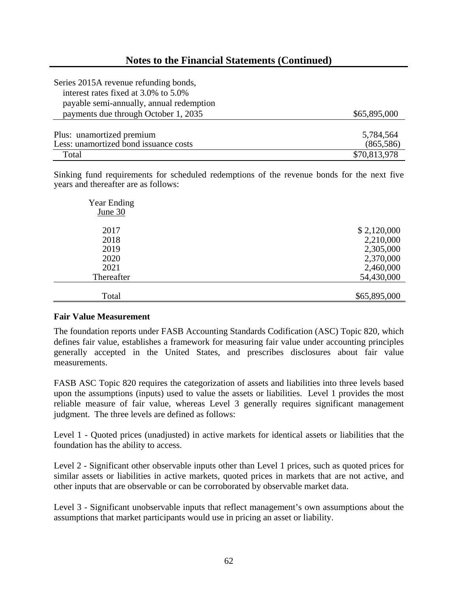| Series 2015A revenue refunding bonds,    |              |
|------------------------------------------|--------------|
| interest rates fixed at 3.0% to 5.0%     |              |
| payable semi-annually, annual redemption |              |
| payments due through October 1, 2035     | \$65,895,000 |
|                                          |              |
| Plus: unamortized premium                | 5,784,564    |
| Less: unamortized bond issuance costs    | (865,586)    |
| Total                                    | \$70,813,978 |

Sinking fund requirements for scheduled redemptions of the revenue bonds for the next five years and thereafter are as follows:

| Year Ending |              |
|-------------|--------------|
| June $30$   |              |
|             |              |
| 2017        | \$2,120,000  |
| 2018        | 2,210,000    |
| 2019        | 2,305,000    |
| 2020        | 2,370,000    |
| 2021        | 2,460,000    |
| Thereafter  | 54,430,000   |
|             |              |
| Total       | \$65,895,000 |

#### **Fair Value Measurement**

The foundation reports under FASB Accounting Standards Codification (ASC) Topic 820, which defines fair value, establishes a framework for measuring fair value under accounting principles generally accepted in the United States, and prescribes disclosures about fair value measurements.

FASB ASC Topic 820 requires the categorization of assets and liabilities into three levels based upon the assumptions (inputs) used to value the assets or liabilities. Level 1 provides the most reliable measure of fair value, whereas Level 3 generally requires significant management judgment. The three levels are defined as follows:

Level 1 - Quoted prices (unadjusted) in active markets for identical assets or liabilities that the foundation has the ability to access.

Level 2 - Significant other observable inputs other than Level 1 prices, such as quoted prices for similar assets or liabilities in active markets, quoted prices in markets that are not active, and other inputs that are observable or can be corroborated by observable market data.

Level 3 - Significant unobservable inputs that reflect management's own assumptions about the assumptions that market participants would use in pricing an asset or liability.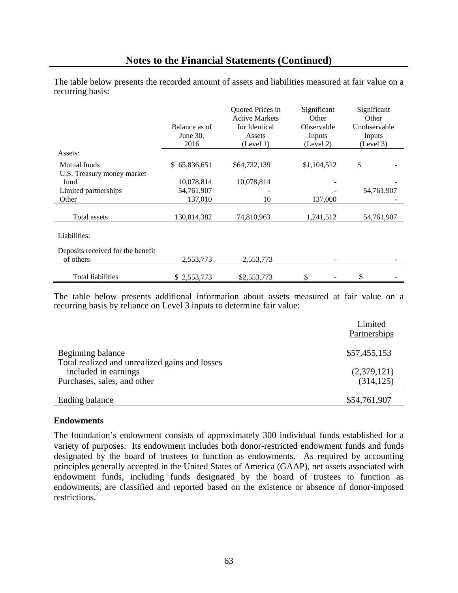The table below presents the recorded amount of assets and liabilities measured at fair value on a recurring basis:

|                                   |                  | Quoted Prices in      | Significant       | Significant  |
|-----------------------------------|------------------|-----------------------|-------------------|--------------|
|                                   |                  | <b>Active Markets</b> | Other             | Other        |
|                                   | Balance as of    | for Identical         | <b>Observable</b> | Unobservable |
|                                   | June $30$ ,      | Assets                | Inputs            | Inputs       |
|                                   | 2016             | (Level 1)             | (Level 2)         | (Level 3)    |
| Assets:                           |                  |                       |                   |              |
| Mutual funds                      | 65,836,651<br>\$ | \$64,732,139          | \$1,104,512       | \$           |
| U.S. Treasury money market        |                  |                       |                   |              |
| fund                              | 10,078,814       | 10,078,814            |                   |              |
| Limited partnerships              | 54,761,907       |                       |                   | 54,761,907   |
| Other                             | 137,010          | 10                    | 137,000           |              |
|                                   |                  |                       |                   |              |
| Total assets                      | 130,814,382      | 74,810,963            | 1,241,512         | 54,761,907   |
|                                   |                  |                       |                   |              |
| Liabilities:                      |                  |                       |                   |              |
| Deposits received for the benefit |                  |                       |                   |              |
| of others                         | 2,553,773        | 2,553,773             |                   |              |
|                                   |                  |                       |                   |              |
| <b>Total liabilities</b>          | \$2,553,773      | \$2,553,773           | \$                | \$           |

The table below presents additional information about assets measured at fair value on a recurring basis by reliance on Level 3 inputs to determine fair value:

|                                                | Limited<br>Partnerships |
|------------------------------------------------|-------------------------|
| Beginning balance                              | \$57,455,153            |
| Total realized and unrealized gains and losses |                         |
| included in earnings                           | (2,379,121)             |
| Purchases, sales, and other                    | (314, 125)              |
|                                                |                         |
| <b>Ending balance</b>                          | \$54,761,907            |

#### **Endowments**

The foundation's endowment consists of approximately 300 individual funds established for a variety of purposes. Its endowment includes both donor-restricted endowment funds and funds designated by the board of trustees to function as endowments. As required by accounting principles generally accepted in the United States of America (GAAP), net assets associated with endowment funds, including funds designated by the board of trustees to function as endowments, are classified and reported based on the existence or absence of donor-imposed restrictions.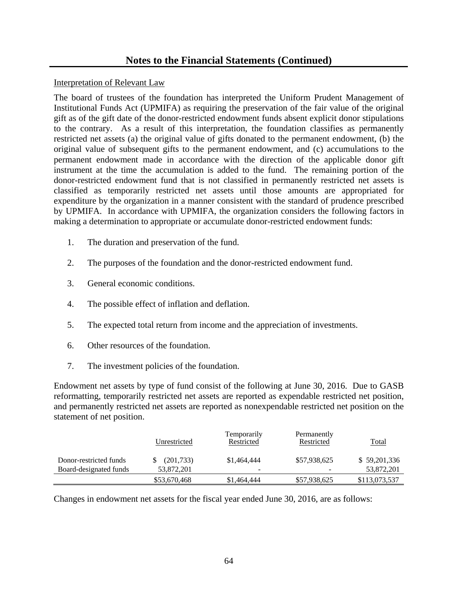### Interpretation of Relevant Law

The board of trustees of the foundation has interpreted the Uniform Prudent Management of Institutional Funds Act (UPMIFA) as requiring the preservation of the fair value of the original gift as of the gift date of the donor-restricted endowment funds absent explicit donor stipulations to the contrary. As a result of this interpretation, the foundation classifies as permanently restricted net assets (a) the original value of gifts donated to the permanent endowment, (b) the original value of subsequent gifts to the permanent endowment, and (c) accumulations to the permanent endowment made in accordance with the direction of the applicable donor gift instrument at the time the accumulation is added to the fund. The remaining portion of the donor-restricted endowment fund that is not classified in permanently restricted net assets is classified as temporarily restricted net assets until those amounts are appropriated for expenditure by the organization in a manner consistent with the standard of prudence prescribed by UPMIFA. In accordance with UPMIFA, the organization considers the following factors in making a determination to appropriate or accumulate donor-restricted endowment funds:

- 1. The duration and preservation of the fund.
- 2. The purposes of the foundation and the donor-restricted endowment fund.
- 3. General economic conditions.
- 4. The possible effect of inflation and deflation.
- 5. The expected total return from income and the appreciation of investments.
- 6. Other resources of the foundation.
- 7. The investment policies of the foundation.

Endowment net assets by type of fund consist of the following at June 30, 2016. Due to GASB reformatting, temporarily restricted net assets are reported as expendable restricted net position, and permanently restricted net assets are reported as nonexpendable restricted net position on the statement of net position.

|                        | Unrestricted | Temporarily<br>Restricted | Permanently<br>Restricted | <b>Total</b>  |
|------------------------|--------------|---------------------------|---------------------------|---------------|
| Donor-restricted funds | (201,733)    | \$1,464,444               | \$57,938,625              | \$59,201,336  |
| Board-designated funds | 53,872,201   |                           |                           | 53,872,201    |
|                        | \$53,670,468 | \$1,464,444               | \$57,938,625              | \$113,073,537 |

Changes in endowment net assets for the fiscal year ended June 30, 2016, are as follows: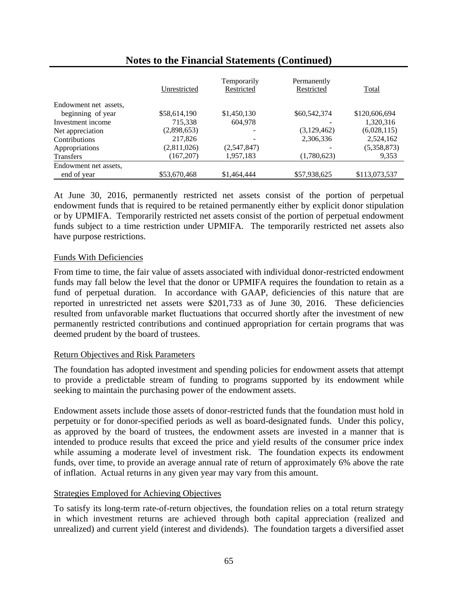|                       | Unrestricted | Temporarily<br>Restricted | Permanently<br>Restricted | Total         |
|-----------------------|--------------|---------------------------|---------------------------|---------------|
| Endowment net assets, |              |                           |                           |               |
| beginning of year     | \$58,614,190 | \$1,450,130               | \$60,542,374              | \$120,606,694 |
| Investment income     | 715,338      | 604,978                   |                           | 1,320,316     |
| Net appreciation      | (2,898,653)  |                           | (3,129,462)               | (6,028,115)   |
| Contributions         | 217,826      |                           | 2,306,336                 | 2,524,162     |
| Appropriations        | (2,811,026)  | (2,547,847)               |                           | (5,358,873)   |
| <b>Transfers</b>      | (167, 207)   | 1,957,183                 | (1,780,623)               | 9,353         |
| Endowment net assets, |              |                           |                           |               |
| end of year           | \$53,670,468 | \$1,464,444               | \$57,938,625              | \$113,073,537 |

At June 30, 2016, permanently restricted net assets consist of the portion of perpetual endowment funds that is required to be retained permanently either by explicit donor stipulation or by UPMIFA. Temporarily restricted net assets consist of the portion of perpetual endowment funds subject to a time restriction under UPMIFA. The temporarily restricted net assets also have purpose restrictions.

### Funds With Deficiencies

From time to time, the fair value of assets associated with individual donor-restricted endowment funds may fall below the level that the donor or UPMIFA requires the foundation to retain as a fund of perpetual duration. In accordance with GAAP, deficiencies of this nature that are reported in unrestricted net assets were \$201,733 as of June 30, 2016. These deficiencies resulted from unfavorable market fluctuations that occurred shortly after the investment of new permanently restricted contributions and continued appropriation for certain programs that was deemed prudent by the board of trustees.

### Return Objectives and Risk Parameters

The foundation has adopted investment and spending policies for endowment assets that attempt to provide a predictable stream of funding to programs supported by its endowment while seeking to maintain the purchasing power of the endowment assets.

Endowment assets include those assets of donor-restricted funds that the foundation must hold in perpetuity or for donor-specified periods as well as board-designated funds. Under this policy, as approved by the board of trustees, the endowment assets are invested in a manner that is intended to produce results that exceed the price and yield results of the consumer price index while assuming a moderate level of investment risk. The foundation expects its endowment funds, over time, to provide an average annual rate of return of approximately 6% above the rate of inflation. Actual returns in any given year may vary from this amount.

### Strategies Employed for Achieving Objectives

To satisfy its long-term rate-of-return objectives, the foundation relies on a total return strategy in which investment returns are achieved through both capital appreciation (realized and unrealized) and current yield (interest and dividends). The foundation targets a diversified asset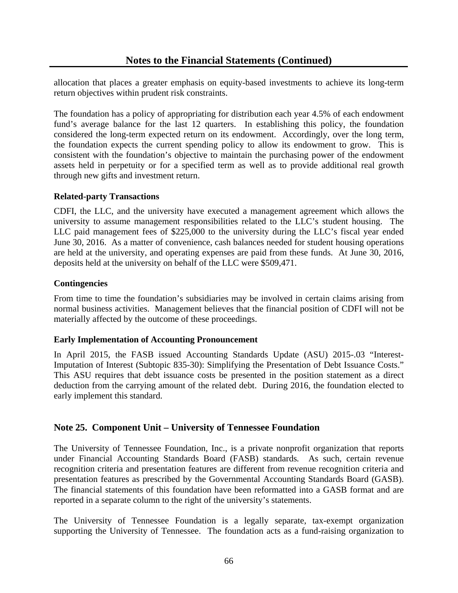allocation that places a greater emphasis on equity-based investments to achieve its long-term return objectives within prudent risk constraints.

The foundation has a policy of appropriating for distribution each year 4.5% of each endowment fund's average balance for the last 12 quarters. In establishing this policy, the foundation considered the long-term expected return on its endowment. Accordingly, over the long term, the foundation expects the current spending policy to allow its endowment to grow. This is consistent with the foundation's objective to maintain the purchasing power of the endowment assets held in perpetuity or for a specified term as well as to provide additional real growth through new gifts and investment return.

### **Related-party Transactions**

CDFI, the LLC, and the university have executed a management agreement which allows the university to assume management responsibilities related to the LLC's student housing. The LLC paid management fees of \$225,000 to the university during the LLC's fiscal year ended June 30, 2016. As a matter of convenience, cash balances needed for student housing operations are held at the university, and operating expenses are paid from these funds. At June 30, 2016, deposits held at the university on behalf of the LLC were \$509,471.

### **Contingencies**

From time to time the foundation's subsidiaries may be involved in certain claims arising from normal business activities. Management believes that the financial position of CDFI will not be materially affected by the outcome of these proceedings.

### **Early Implementation of Accounting Pronouncement**

In April 2015, the FASB issued Accounting Standards Update (ASU) 2015-.03 "Interest-Imputation of Interest (Subtopic 835-30): Simplifying the Presentation of Debt Issuance Costs." This ASU requires that debt issuance costs be presented in the position statement as a direct deduction from the carrying amount of the related debt. During 2016, the foundation elected to early implement this standard.

### **Note 25. Component Unit – University of Tennessee Foundation**

The University of Tennessee Foundation, Inc., is a private nonprofit organization that reports under Financial Accounting Standards Board (FASB) standards*.* As such, certain revenue recognition criteria and presentation features are different from revenue recognition criteria and presentation features as prescribed by the Governmental Accounting Standards Board (GASB). The financial statements of this foundation have been reformatted into a GASB format and are reported in a separate column to the right of the university's statements.

The University of Tennessee Foundation is a legally separate, tax-exempt organization supporting the University of Tennessee. The foundation acts as a fund-raising organization to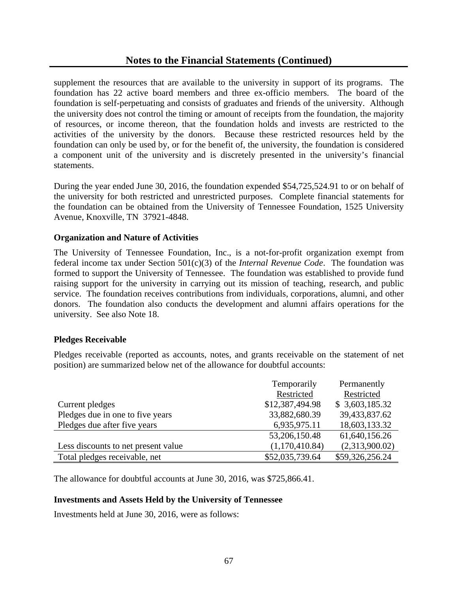supplement the resources that are available to the university in support of its programs. The foundation has 22 active board members and three ex-officio members. The board of the foundation is self-perpetuating and consists of graduates and friends of the university. Although the university does not control the timing or amount of receipts from the foundation, the majority of resources, or income thereon, that the foundation holds and invests are restricted to the activities of the university by the donors. Because these restricted resources held by the foundation can only be used by, or for the benefit of, the university, the foundation is considered a component unit of the university and is discretely presented in the university's financial statements.

During the year ended June 30, 2016, the foundation expended \$54,725,524.91 to or on behalf of the university for both restricted and unrestricted purposes. Complete financial statements for the foundation can be obtained from the University of Tennessee Foundation, 1525 University Avenue, Knoxville, TN 37921-4848.

### **Organization and Nature of Activities**

The University of Tennessee Foundation, Inc., is a not-for-profit organization exempt from federal income tax under Section 501(c)(3) of the *Internal Revenue Code*. The foundation was formed to support the University of Tennessee. The foundation was established to provide fund raising support for the university in carrying out its mission of teaching, research, and public service. The foundation receives contributions from individuals, corporations, alumni, and other donors. The foundation also conducts the development and alumni affairs operations for the university. See also Note 18.

#### **Pledges Receivable**

Pledges receivable (reported as accounts, notes, and grants receivable on the statement of net position) are summarized below net of the allowance for doubtful accounts:

|                                     | Temporarily     | Permanently     |
|-------------------------------------|-----------------|-----------------|
|                                     | Restricted      | Restricted      |
| Current pledges                     | \$12,387,494.98 | \$3,603,185.32  |
| Pledges due in one to five years    | 33,882,680.39   | 39,433,837.62   |
| Pledges due after five years        | 6,935,975.11    | 18,603,133.32   |
|                                     | 53,206,150.48   | 61,640,156.26   |
| Less discounts to net present value | (1,170,410.84)  | (2,313,900.02)  |
| Total pledges receivable, net       | \$52,035,739.64 | \$59,326,256.24 |

The allowance for doubtful accounts at June 30, 2016, was \$725,866.41.

#### **Investments and Assets Held by the University of Tennessee**

Investments held at June 30, 2016, were as follows: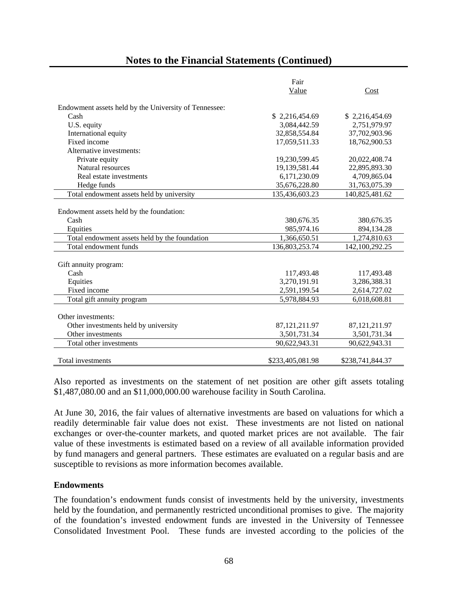# **Notes to the Financial Statements (Continued)**

|                                                       | Fair             |                  |
|-------------------------------------------------------|------------------|------------------|
|                                                       | Value            | Cost             |
| Endowment assets held by the University of Tennessee: |                  |                  |
| Cash                                                  | \$2,216,454.69   | \$2,216,454.69   |
| U.S. equity                                           | 3,084,442.59     | 2,751,979.97     |
| International equity                                  | 32,858,554.84    | 37,702,903.96    |
| Fixed income                                          | 17,059,511.33    | 18,762,900.53    |
| Alternative investments:                              |                  |                  |
| Private equity                                        | 19,230,599.45    | 20,022,408.74    |
| Natural resources                                     | 19,139,581.44    | 22,895,893.30    |
| Real estate investments                               | 6,171,230.09     | 4,709,865.04     |
| Hedge funds                                           | 35,676,228.80    | 31,763,075.39    |
| Total endowment assets held by university             | 135,436,603.23   | 140,825,481.62   |
|                                                       |                  |                  |
| Endowment assets held by the foundation:              |                  |                  |
| Cash                                                  | 380,676.35       | 380,676.35       |
| Equities                                              | 985,974.16       | 894,134.28       |
| Total endowment assets held by the foundation         | 1,366,650.51     | 1,274,810.63     |
| Total endowment funds                                 | 136,803,253.74   | 142,100,292.25   |
|                                                       |                  |                  |
| Gift annuity program:                                 |                  |                  |
| Cash                                                  | 117,493.48       | 117,493.48       |
| Equities                                              | 3,270,191.91     | 3,286,388.31     |
| Fixed income                                          | 2,591,199.54     | 2,614,727.02     |
| Total gift annuity program                            | 5,978,884.93     | 6,018,608.81     |
|                                                       |                  |                  |
| Other investments:                                    |                  |                  |
| Other investments held by university                  | 87, 121, 211. 97 | 87, 121, 211. 97 |
| Other investments                                     | 3,501,731.34     | 3,501,731.34     |
| Total other investments                               | 90,622,943.31    | 90,622,943.31    |
|                                                       |                  |                  |
| Total investments                                     | \$233,405,081.98 | \$238,741,844.37 |

Also reported as investments on the statement of net position are other gift assets totaling \$1,487,080.00 and an \$11,000,000.00 warehouse facility in South Carolina.

At June 30, 2016, the fair values of alternative investments are based on valuations for which a readily determinable fair value does not exist. These investments are not listed on national exchanges or over-the-counter markets, and quoted market prices are not available. The fair value of these investments is estimated based on a review of all available information provided by fund managers and general partners. These estimates are evaluated on a regular basis and are susceptible to revisions as more information becomes available.

#### **Endowments**

The foundation's endowment funds consist of investments held by the university, investments held by the foundation, and permanently restricted unconditional promises to give. The majority of the foundation's invested endowment funds are invested in the University of Tennessee Consolidated Investment Pool. These funds are invested according to the policies of the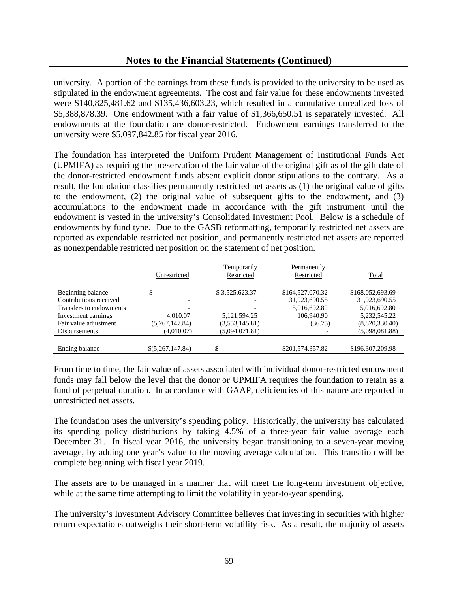# **Notes to the Financial Statements (Continued)**

university. A portion of the earnings from these funds is provided to the university to be used as stipulated in the endowment agreements. The cost and fair value for these endowments invested were \$140,825,481.62 and \$135,436,603.23, which resulted in a cumulative unrealized loss of \$5,388,878.39. One endowment with a fair value of \$1,366,650.51 is separately invested. All endowments at the foundation are donor-restricted. Endowment earnings transferred to the university were \$5,097,842.85 for fiscal year 2016.

The foundation has interpreted the Uniform Prudent Management of Institutional Funds Act (UPMIFA) as requiring the preservation of the fair value of the original gift as of the gift date of the donor-restricted endowment funds absent explicit donor stipulations to the contrary. As a result, the foundation classifies permanently restricted net assets as (1) the original value of gifts to the endowment, (2) the original value of subsequent gifts to the endowment, and (3) accumulations to the endowment made in accordance with the gift instrument until the endowment is vested in the university's Consolidated Investment Pool. Below is a schedule of endowments by fund type. Due to the GASB reformatting, temporarily restricted net assets are reported as expendable restricted net position, and permanently restricted net assets are reported as nonexpendable restricted net position on the statement of net position.

|                         |                  | Temporarily     | Permanently      |                  |
|-------------------------|------------------|-----------------|------------------|------------------|
|                         | Unrestricted     | Restricted      | Restricted       | <b>Total</b>     |
|                         |                  |                 |                  |                  |
| Beginning balance       | \$               | \$3,525,623.37  | \$164,527,070.32 | \$168,052,693.69 |
| Contributions received  |                  |                 | 31,923,690.55    | 31,923,690.55    |
| Transfers to endowments |                  |                 | 5,016,692.80     | 5,016,692.80     |
| Investment earnings     | 4,010.07         | 5, 121, 594. 25 | 106,940.90       | 5, 232, 545. 22  |
| Fair value adjustment   | (5,267,147.84)   | (3,553,145.81)  | (36.75)          | (8,820,330.40)   |
| <b>Disbursements</b>    | (4,010.07)       | (5,094,071.81)  |                  | (5,098,081.88)   |
|                         |                  |                 |                  |                  |
| Ending balance          | \$(5,267,147.84) | \$              | \$201,574,357.82 | \$196,307,209.98 |

From time to time, the fair value of assets associated with individual donor-restricted endowment funds may fall below the level that the donor or UPMIFA requires the foundation to retain as a fund of perpetual duration. In accordance with GAAP, deficiencies of this nature are reported in unrestricted net assets.

The foundation uses the university's spending policy. Historically, the university has calculated its spending policy distributions by taking 4.5% of a three-year fair value average each December 31. In fiscal year 2016, the university began transitioning to a seven-year moving average, by adding one year's value to the moving average calculation. This transition will be complete beginning with fiscal year 2019.

The assets are to be managed in a manner that will meet the long-term investment objective, while at the same time attempting to limit the volatility in year-to-year spending.

The university's Investment Advisory Committee believes that investing in securities with higher return expectations outweighs their short-term volatility risk. As a result, the majority of assets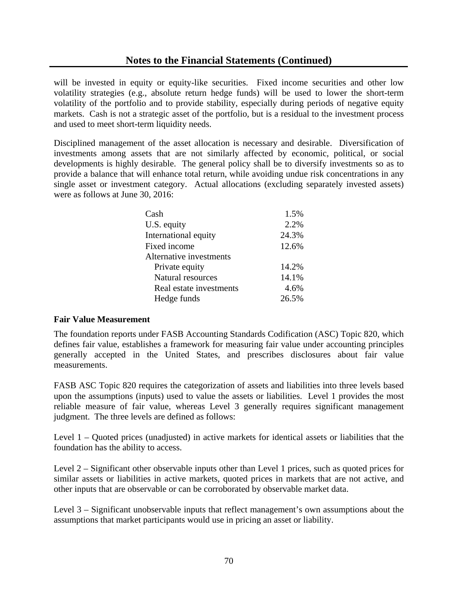will be invested in equity or equity-like securities. Fixed income securities and other low volatility strategies (e.g., absolute return hedge funds) will be used to lower the short-term volatility of the portfolio and to provide stability, especially during periods of negative equity markets. Cash is not a strategic asset of the portfolio, but is a residual to the investment process and used to meet short-term liquidity needs.

Disciplined management of the asset allocation is necessary and desirable. Diversification of investments among assets that are not similarly affected by economic, political, or social developments is highly desirable. The general policy shall be to diversify investments so as to provide a balance that will enhance total return, while avoiding undue risk concentrations in any single asset or investment category. Actual allocations (excluding separately invested assets) were as follows at June 30, 2016:

| Cash                    | 1.5%  |
|-------------------------|-------|
| U.S. equity             | 2.2%  |
| International equity    | 24.3% |
| Fixed income            | 12.6% |
| Alternative investments |       |
| Private equity          | 14.2% |
| Natural resources       | 14.1% |
| Real estate investments | 4.6%  |
| Hedge funds             | 26.5% |

## **Fair Value Measurement**

The foundation reports under FASB Accounting Standards Codification (ASC) Topic 820, which defines fair value, establishes a framework for measuring fair value under accounting principles generally accepted in the United States, and prescribes disclosures about fair value measurements.

FASB ASC Topic 820 requires the categorization of assets and liabilities into three levels based upon the assumptions (inputs) used to value the assets or liabilities. Level 1 provides the most reliable measure of fair value, whereas Level 3 generally requires significant management judgment. The three levels are defined as follows:

Level 1 – Quoted prices (unadjusted) in active markets for identical assets or liabilities that the foundation has the ability to access.

Level 2 – Significant other observable inputs other than Level 1 prices, such as quoted prices for similar assets or liabilities in active markets, quoted prices in markets that are not active, and other inputs that are observable or can be corroborated by observable market data.

Level 3 – Significant unobservable inputs that reflect management's own assumptions about the assumptions that market participants would use in pricing an asset or liability.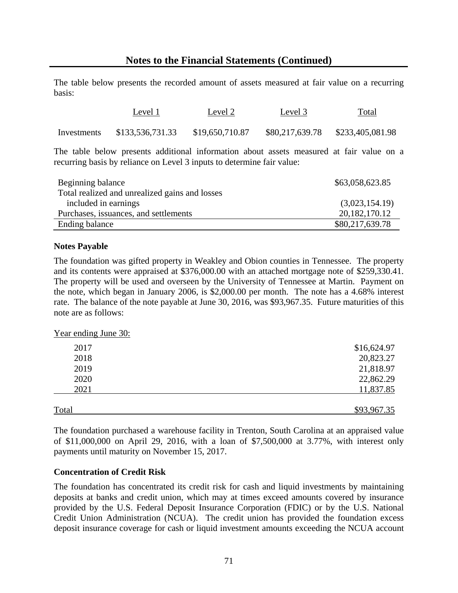The table below presents the recorded amount of assets measured at fair value on a recurring basis:

|             | Level 1          | Level 2         | Level 3         | Total<br>$\sim$ $\sim$ $\sim$ $\sim$ |
|-------------|------------------|-----------------|-----------------|--------------------------------------|
| Investments | \$133,536,731.33 | \$19,650,710.87 | \$80,217,639.78 | \$233,405,081.98                     |

The table below presents additional information about assets measured at fair value on a recurring basis by reliance on Level 3 inputs to determine fair value:

| Beginning balance                              | \$63,058,623.85  |
|------------------------------------------------|------------------|
| Total realized and unrealized gains and losses |                  |
| included in earnings                           | (3,023,154.19)   |
| Purchases, issuances, and settlements          | 20, 182, 170. 12 |
| Ending balance                                 | \$80,217,639.78  |

#### **Notes Payable**

The foundation was gifted property in Weakley and Obion counties in Tennessee. The property and its contents were appraised at \$376,000.00 with an attached mortgage note of \$259,330.41. The property will be used and overseen by the University of Tennessee at Martin. Payment on the note, which began in January 2006, is \$2,000.00 per month. The note has a 4.68% interest rate. The balance of the note payable at June 30, 2016, was \$93,967.35. Future maturities of this note are as follows:

Year ending June 30:

| 2017         | \$16,624.97 |
|--------------|-------------|
| 2018         | 20,823.27   |
| 2019         | 21,818.97   |
| 2020         | 22,862.29   |
| 2021         | 11,837.85   |
|              |             |
| <b>Total</b> | \$93,967.35 |

The foundation purchased a warehouse facility in Trenton, South Carolina at an appraised value of \$11,000,000 on April 29, 2016, with a loan of \$7,500,000 at 3.77%, with interest only payments until maturity on November 15, 2017.

#### **Concentration of Credit Risk**

The foundation has concentrated its credit risk for cash and liquid investments by maintaining deposits at banks and credit union, which may at times exceed amounts covered by insurance provided by the U.S. Federal Deposit Insurance Corporation (FDIC) or by the U.S. National Credit Union Administration (NCUA). The credit union has provided the foundation excess deposit insurance coverage for cash or liquid investment amounts exceeding the NCUA account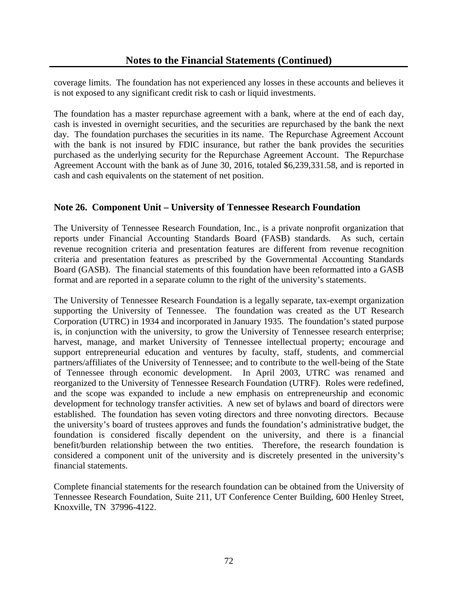coverage limits. The foundation has not experienced any losses in these accounts and believes it is not exposed to any significant credit risk to cash or liquid investments.

The foundation has a master repurchase agreement with a bank, where at the end of each day, cash is invested in overnight securities, and the securities are repurchased by the bank the next day. The foundation purchases the securities in its name. The Repurchase Agreement Account with the bank is not insured by FDIC insurance, but rather the bank provides the securities purchased as the underlying security for the Repurchase Agreement Account. The Repurchase Agreement Account with the bank as of June 30, 2016, totaled \$6,239,331.58, and is reported in cash and cash equivalents on the statement of net position.

# **Note 26. Component Unit – University of Tennessee Research Foundation**

The University of Tennessee Research Foundation, Inc., is a private nonprofit organization that reports under Financial Accounting Standards Board (FASB) standards*.* As such, certain revenue recognition criteria and presentation features are different from revenue recognition criteria and presentation features as prescribed by the Governmental Accounting Standards Board (GASB). The financial statements of this foundation have been reformatted into a GASB format and are reported in a separate column to the right of the university's statements.

The University of Tennessee Research Foundation is a legally separate, tax-exempt organization supporting the University of Tennessee. The foundation was created as the UT Research Corporation (UTRC) in 1934 and incorporated in January 1935. The foundation's stated purpose is, in conjunction with the university, to grow the University of Tennessee research enterprise; harvest, manage, and market University of Tennessee intellectual property; encourage and support entrepreneurial education and ventures by faculty, staff, students, and commercial partners/affiliates of the University of Tennessee; and to contribute to the well-being of the State of Tennessee through economic development. In April 2003, UTRC was renamed and reorganized to the University of Tennessee Research Foundation (UTRF). Roles were redefined, and the scope was expanded to include a new emphasis on entrepreneurship and economic development for technology transfer activities. A new set of bylaws and board of directors were established. The foundation has seven voting directors and three nonvoting directors. Because the university's board of trustees approves and funds the foundation's administrative budget, the foundation is considered fiscally dependent on the university, and there is a financial benefit/burden relationship between the two entities. Therefore, the research foundation is considered a component unit of the university and is discretely presented in the university's financial statements.

Complete financial statements for the research foundation can be obtained from the University of Tennessee Research Foundation, Suite 211, UT Conference Center Building, 600 Henley Street, Knoxville, TN 37996-4122.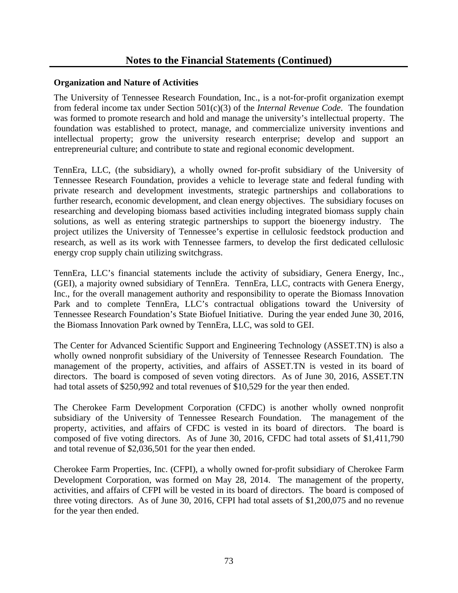#### **Organization and Nature of Activities**

The University of Tennessee Research Foundation, Inc., is a not-for-profit organization exempt from federal income tax under Section 501(c)(3) of the *Internal Revenue Code*. The foundation was formed to promote research and hold and manage the university's intellectual property. The foundation was established to protect, manage, and commercialize university inventions and intellectual property; grow the university research enterprise; develop and support an entrepreneurial culture; and contribute to state and regional economic development.

TennEra, LLC, (the subsidiary), a wholly owned for-profit subsidiary of the University of Tennessee Research Foundation, provides a vehicle to leverage state and federal funding with private research and development investments, strategic partnerships and collaborations to further research, economic development, and clean energy objectives. The subsidiary focuses on researching and developing biomass based activities including integrated biomass supply chain solutions, as well as entering strategic partnerships to support the bioenergy industry. The project utilizes the University of Tennessee's expertise in cellulosic feedstock production and research, as well as its work with Tennessee farmers, to develop the first dedicated cellulosic energy crop supply chain utilizing switchgrass.

TennEra, LLC's financial statements include the activity of subsidiary, Genera Energy, Inc., (GEI), a majority owned subsidiary of TennEra. TennEra, LLC, contracts with Genera Energy, Inc., for the overall management authority and responsibility to operate the Biomass Innovation Park and to complete TennEra, LLC's contractual obligations toward the University of Tennessee Research Foundation's State Biofuel Initiative. During the year ended June 30, 2016, the Biomass Innovation Park owned by TennEra, LLC, was sold to GEI.

The Center for Advanced Scientific Support and Engineering Technology (ASSET.TN) is also a wholly owned nonprofit subsidiary of the University of Tennessee Research Foundation. The management of the property, activities, and affairs of ASSET.TN is vested in its board of directors. The board is composed of seven voting directors. As of June 30, 2016, ASSET.TN had total assets of \$250,992 and total revenues of \$10,529 for the year then ended.

The Cherokee Farm Development Corporation (CFDC) is another wholly owned nonprofit subsidiary of the University of Tennessee Research Foundation. The management of the property, activities, and affairs of CFDC is vested in its board of directors. The board is composed of five voting directors. As of June 30, 2016, CFDC had total assets of \$1,411,790 and total revenue of \$2,036,501 for the year then ended.

Cherokee Farm Properties, Inc. (CFPI), a wholly owned for-profit subsidiary of Cherokee Farm Development Corporation, was formed on May 28, 2014. The management of the property, activities, and affairs of CFPI will be vested in its board of directors. The board is composed of three voting directors. As of June 30, 2016, CFPI had total assets of \$1,200,075 and no revenue for the year then ended.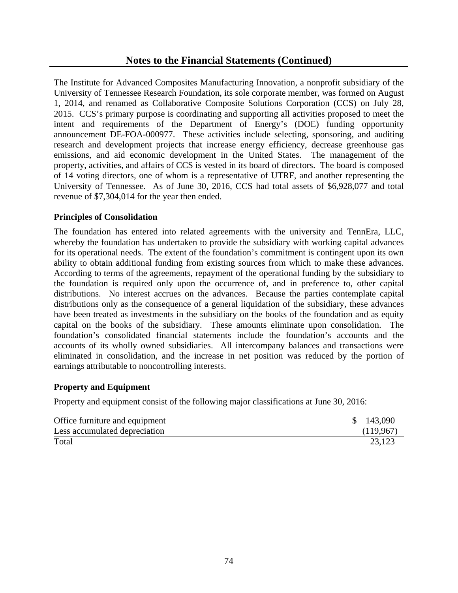The Institute for Advanced Composites Manufacturing Innovation, a nonprofit subsidiary of the University of Tennessee Research Foundation, its sole corporate member, was formed on August 1, 2014, and renamed as Collaborative Composite Solutions Corporation (CCS) on July 28, 2015. CCS's primary purpose is coordinating and supporting all activities proposed to meet the intent and requirements of the Department of Energy's (DOE) funding opportunity announcement DE-FOA-000977. These activities include selecting, sponsoring, and auditing research and development projects that increase energy efficiency, decrease greenhouse gas emissions, and aid economic development in the United States. The management of the property, activities, and affairs of CCS is vested in its board of directors. The board is composed of 14 voting directors, one of whom is a representative of UTRF, and another representing the University of Tennessee. As of June 30, 2016, CCS had total assets of \$6,928,077 and total revenue of \$7,304,014 for the year then ended.

#### **Principles of Consolidation**

The foundation has entered into related agreements with the university and TennEra, LLC, whereby the foundation has undertaken to provide the subsidiary with working capital advances for its operational needs. The extent of the foundation's commitment is contingent upon its own ability to obtain additional funding from existing sources from which to make these advances. According to terms of the agreements, repayment of the operational funding by the subsidiary to the foundation is required only upon the occurrence of, and in preference to, other capital distributions. No interest accrues on the advances. Because the parties contemplate capital distributions only as the consequence of a general liquidation of the subsidiary, these advances have been treated as investments in the subsidiary on the books of the foundation and as equity capital on the books of the subsidiary. These amounts eliminate upon consolidation. The foundation's consolidated financial statements include the foundation's accounts and the accounts of its wholly owned subsidiaries. All intercompany balances and transactions were eliminated in consolidation, and the increase in net position was reduced by the portion of earnings attributable to noncontrolling interests.

## **Property and Equipment**

Property and equipment consist of the following major classifications at June 30, 2016:

| Office furniture and equipment | 143,090   |
|--------------------------------|-----------|
| Less accumulated depreciation  | (119.967) |
| Total                          | 23,123    |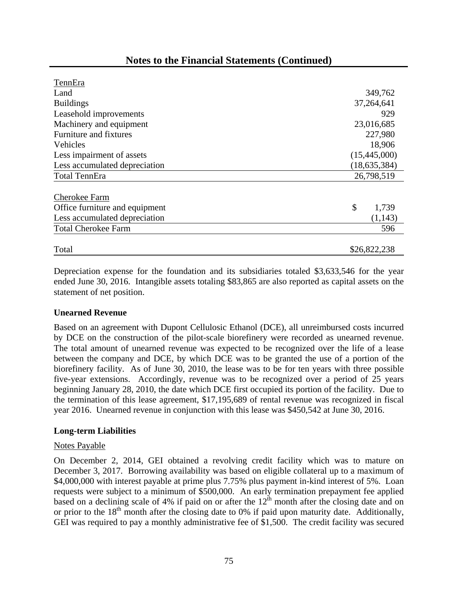| TennEra                        |                |
|--------------------------------|----------------|
| Land                           | 349,762        |
| <b>Buildings</b>               | 37,264,641     |
| Leasehold improvements         | 929            |
| Machinery and equipment        | 23,016,685     |
| Furniture and fixtures         | 227,980        |
| Vehicles                       | 18,906         |
| Less impairment of assets      | (15,445,000)   |
| Less accumulated depreciation  | (18, 635, 384) |
| <b>Total TennEra</b>           | 26,798,519     |
|                                |                |
| Cherokee Farm                  |                |
| Office furniture and equipment | \$<br>1,739    |
| Less accumulated depreciation  | (1, 143)       |
| <b>Total Cherokee Farm</b>     | 596            |
| Total                          | \$26,822,238   |
|                                |                |

# **Notes to the Financial Statements (Continued)**

Depreciation expense for the foundation and its subsidiaries totaled \$3,633,546 for the year ended June 30, 2016. Intangible assets totaling \$83,865 are also reported as capital assets on the statement of net position.

#### **Unearned Revenue**

Based on an agreement with Dupont Cellulosic Ethanol (DCE), all unreimbursed costs incurred by DCE on the construction of the pilot-scale biorefinery were recorded as unearned revenue. The total amount of unearned revenue was expected to be recognized over the life of a lease between the company and DCE, by which DCE was to be granted the use of a portion of the biorefinery facility. As of June 30, 2010, the lease was to be for ten years with three possible five-year extensions. Accordingly, revenue was to be recognized over a period of 25 years beginning January 28, 2010, the date which DCE first occupied its portion of the facility. Due to the termination of this lease agreement, \$17,195,689 of rental revenue was recognized in fiscal year 2016. Unearned revenue in conjunction with this lease was \$450,542 at June 30, 2016.

#### **Long-term Liabilities**

#### Notes Payable

On December 2, 2014, GEI obtained a revolving credit facility which was to mature on December 3, 2017. Borrowing availability was based on eligible collateral up to a maximum of \$4,000,000 with interest payable at prime plus 7.75% plus payment in-kind interest of 5%. Loan requests were subject to a minimum of \$500,000. An early termination prepayment fee applied based on a declining scale of 4% if paid on or after the  $12<sup>th</sup>$  month after the closing date and on or prior to the  $18<sup>th</sup>$  month after the closing date to 0% if paid upon maturity date. Additionally, GEI was required to pay a monthly administrative fee of \$1,500. The credit facility was secured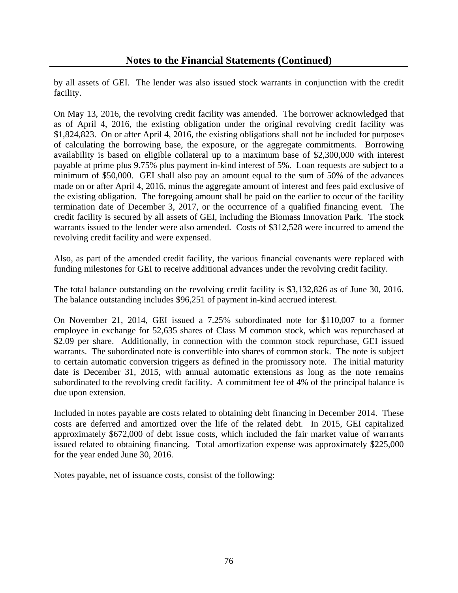by all assets of GEI. The lender was also issued stock warrants in conjunction with the credit facility.

On May 13, 2016, the revolving credit facility was amended. The borrower acknowledged that as of April 4, 2016, the existing obligation under the original revolving credit facility was \$1,824,823. On or after April 4, 2016, the existing obligations shall not be included for purposes of calculating the borrowing base, the exposure, or the aggregate commitments. Borrowing availability is based on eligible collateral up to a maximum base of \$2,300,000 with interest payable at prime plus 9.75% plus payment in-kind interest of 5%. Loan requests are subject to a minimum of \$50,000. GEI shall also pay an amount equal to the sum of 50% of the advances made on or after April 4, 2016, minus the aggregate amount of interest and fees paid exclusive of the existing obligation. The foregoing amount shall be paid on the earlier to occur of the facility termination date of December 3, 2017, or the occurrence of a qualified financing event. The credit facility is secured by all assets of GEI, including the Biomass Innovation Park. The stock warrants issued to the lender were also amended. Costs of \$312,528 were incurred to amend the revolving credit facility and were expensed.

Also, as part of the amended credit facility, the various financial covenants were replaced with funding milestones for GEI to receive additional advances under the revolving credit facility.

The total balance outstanding on the revolving credit facility is \$3,132,826 as of June 30, 2016. The balance outstanding includes \$96,251 of payment in-kind accrued interest.

On November 21, 2014, GEI issued a 7.25% subordinated note for \$110,007 to a former employee in exchange for 52,635 shares of Class M common stock, which was repurchased at \$2.09 per share. Additionally, in connection with the common stock repurchase, GEI issued warrants. The subordinated note is convertible into shares of common stock. The note is subject to certain automatic conversion triggers as defined in the promissory note. The initial maturity date is December 31, 2015, with annual automatic extensions as long as the note remains subordinated to the revolving credit facility. A commitment fee of 4% of the principal balance is due upon extension.

Included in notes payable are costs related to obtaining debt financing in December 2014. These costs are deferred and amortized over the life of the related debt. In 2015, GEI capitalized approximately \$672,000 of debt issue costs, which included the fair market value of warrants issued related to obtaining financing. Total amortization expense was approximately \$225,000 for the year ended June 30, 2016.

Notes payable, net of issuance costs, consist of the following: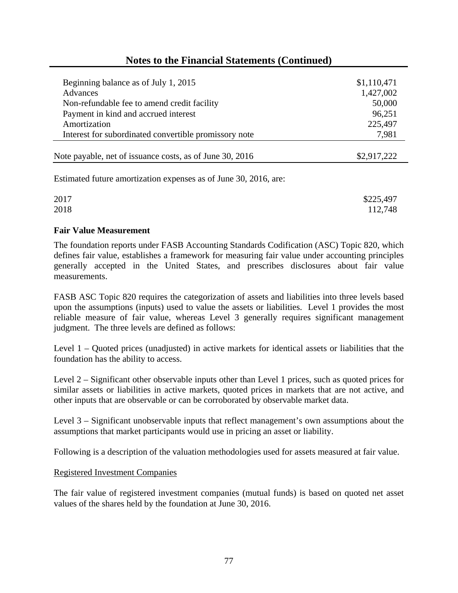# **Notes to the Financial Statements (Continued)**

| Beginning balance as of July 1, 2015                     | \$1,110,471 |
|----------------------------------------------------------|-------------|
| Advances                                                 | 1,427,002   |
| Non-refundable fee to amend credit facility              | 50,000      |
| Payment in kind and accrued interest                     | 96,251      |
| Amortization                                             | 225,497     |
| Interest for subordinated convertible promissory note    | 7,981       |
| Note payable, net of issuance costs, as of June 30, 2016 | \$2,917,222 |

Estimated future amortization expenses as of June 30, 2016, are:

| 2017 | \$225,497 |
|------|-----------|
| 2018 | 112,748   |

#### **Fair Value Measurement**

The foundation reports under FASB Accounting Standards Codification (ASC) Topic 820, which defines fair value, establishes a framework for measuring fair value under accounting principles generally accepted in the United States, and prescribes disclosures about fair value measurements.

FASB ASC Topic 820 requires the categorization of assets and liabilities into three levels based upon the assumptions (inputs) used to value the assets or liabilities. Level 1 provides the most reliable measure of fair value, whereas Level 3 generally requires significant management judgment. The three levels are defined as follows:

Level 1 – Quoted prices (unadjusted) in active markets for identical assets or liabilities that the foundation has the ability to access.

Level 2 – Significant other observable inputs other than Level 1 prices, such as quoted prices for similar assets or liabilities in active markets, quoted prices in markets that are not active, and other inputs that are observable or can be corroborated by observable market data.

Level 3 – Significant unobservable inputs that reflect management's own assumptions about the assumptions that market participants would use in pricing an asset or liability.

Following is a description of the valuation methodologies used for assets measured at fair value.

#### Registered Investment Companies

The fair value of registered investment companies (mutual funds) is based on quoted net asset values of the shares held by the foundation at June 30, 2016.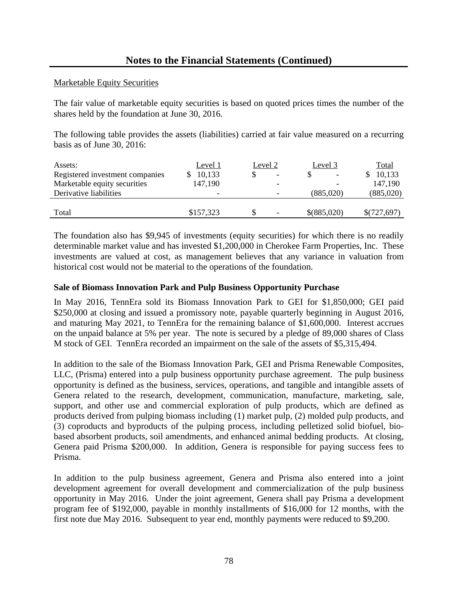#### Marketable Equity Securities

The fair value of marketable equity securities is based on quoted prices times the number of the shares held by the foundation at June 30, 2016.

The following table provides the assets (liabilities) carried at fair value measured on a recurring basis as of June 30, 2016:

| Assets:                         | Level 1   | Level 2 | Level 3     | <b>Total</b> |
|---------------------------------|-----------|---------|-------------|--------------|
| Registered investment companies | 10,133    |         |             | 10,133       |
| Marketable equity securities    | 147,190   |         |             | 147,190      |
| Derivative liabilities          | -         |         | (885,020)   | (885,020)    |
|                                 |           |         |             |              |
| Total                           | \$157,323 |         | \$(885,020) | \$(727,697)  |

The foundation also has \$9,945 of investments (equity securities) for which there is no readily determinable market value and has invested \$1,200,000 in Cherokee Farm Properties, Inc. These investments are valued at cost, as management believes that any variance in valuation from historical cost would not be material to the operations of the foundation.

## **Sale of Biomass Innovation Park and Pulp Business Opportunity Purchase**

In May 2016, TennEra sold its Biomass Innovation Park to GEI for \$1,850,000; GEI paid \$250,000 at closing and issued a promissory note, payable quarterly beginning in August 2016, and maturing May 2021, to TennEra for the remaining balance of \$1,600,000. Interest accrues on the unpaid balance at 5% per year. The note is secured by a pledge of 89,000 shares of Class M stock of GEI. TennEra recorded an impairment on the sale of the assets of \$5,315,494.

In addition to the sale of the Biomass Innovation Park, GEI and Prisma Renewable Composites, LLC, (Prisma) entered into a pulp business opportunity purchase agreement. The pulp business opportunity is defined as the business, services, operations, and tangible and intangible assets of Genera related to the research, development, communication, manufacture, marketing, sale, support, and other use and commercial exploration of pulp products, which are defined as products derived from pulping biomass including (1) market pulp, (2) molded pulp products, and (3) coproducts and byproducts of the pulping process, including pelletized solid biofuel, biobased absorbent products, soil amendments, and enhanced animal bedding products. At closing, Genera paid Prisma \$200,000. In addition, Genera is responsible for paying success fees to Prisma.

In addition to the pulp business agreement, Genera and Prisma also entered into a joint development agreement for overall development and commercialization of the pulp business opportunity in May 2016. Under the joint agreement, Genera shall pay Prisma a development program fee of \$192,000, payable in monthly installments of \$16,000 for 12 months, with the first note due May 2016. Subsequent to year end, monthly payments were reduced to \$9,200.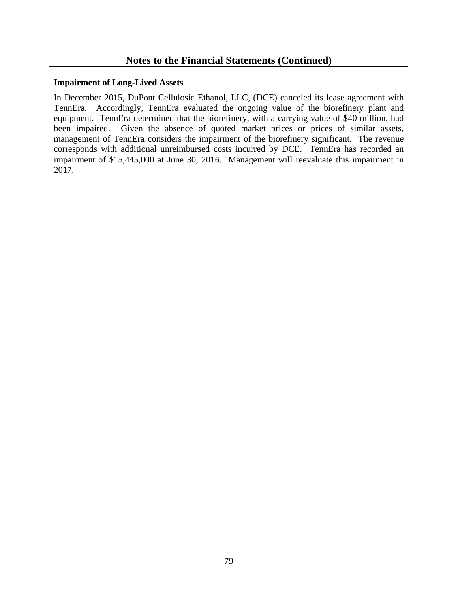#### **Impairment of Long-Lived Assets**

In December 2015, DuPont Cellulosic Ethanol, LLC, (DCE) canceled its lease agreement with TennEra. Accordingly, TennEra evaluated the ongoing value of the biorefinery plant and equipment. TennEra determined that the biorefinery, with a carrying value of \$40 million, had been impaired. Given the absence of quoted market prices or prices of similar assets, management of TennEra considers the impairment of the biorefinery significant. The revenue corresponds with additional unreimbursed costs incurred by DCE. TennEra has recorded an impairment of \$15,445,000 at June 30, 2016. Management will reevaluate this impairment in 2017.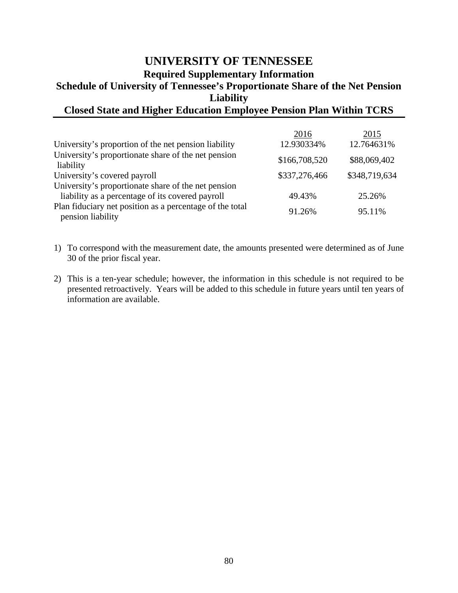# **UNIVERSITY OF TENNESSEE Required Supplementary Information Schedule of University of Tennessee's Proportionate Share of the Net Pension Liability**

# **Closed State and Higher Education Employee Pension Plan Within TCRS**

|                                                                               | 2016          | 2015          |
|-------------------------------------------------------------------------------|---------------|---------------|
| University's proportion of the net pension liability                          | 12.930334%    | 12.764631%    |
| University's proportionate share of the net pension<br>liability              | \$166,708,520 | \$88,069,402  |
| University's covered payroll                                                  | \$337,276,466 | \$348,719,634 |
| University's proportionate share of the net pension                           |               |               |
| liability as a percentage of its covered payroll                              | 49.43%        | 25.26%        |
| Plan fiduciary net position as a percentage of the total<br>pension liability | 91.26%        | 95.11%        |

- 1) To correspond with the measurement date, the amounts presented were determined as of June 30 of the prior fiscal year.
- 2) This is a ten-year schedule; however, the information in this schedule is not required to be presented retroactively. Years will be added to this schedule in future years until ten years of information are available.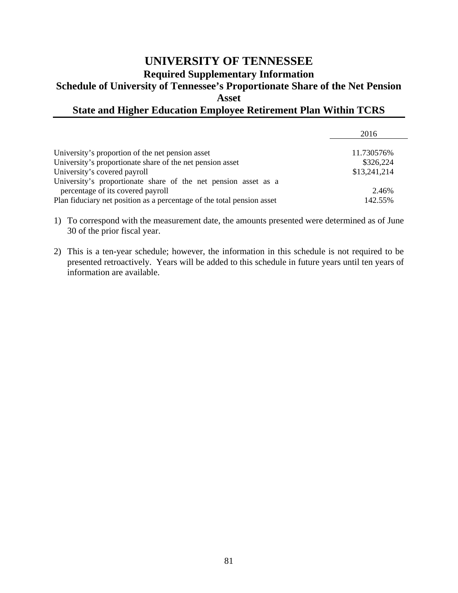# **UNIVERSITY OF TENNESSEE Required Supplementary Information Schedule of University of Tennessee's Proportionate Share of the Net Pension Asset State and Higher Education Employee Retirement Plan Within TCRS**

|                                                                                                     | 2016         |
|-----------------------------------------------------------------------------------------------------|--------------|
| University's proportion of the net pension asset                                                    | 11.730576%   |
| University's proportionate share of the net pension asset                                           | \$326,224    |
| University's covered payroll                                                                        | \$13,241,214 |
| University's proportionate share of the net pension asset as a<br>percentage of its covered payroll | 2.46%        |
| Plan fiduciary net position as a percentage of the total pension asset                              | 142.55%      |

1) To correspond with the measurement date, the amounts presented were determined as of June 30 of the prior fiscal year.

2) This is a ten-year schedule; however, the information in this schedule is not required to be presented retroactively. Years will be added to this schedule in future years until ten years of information are available.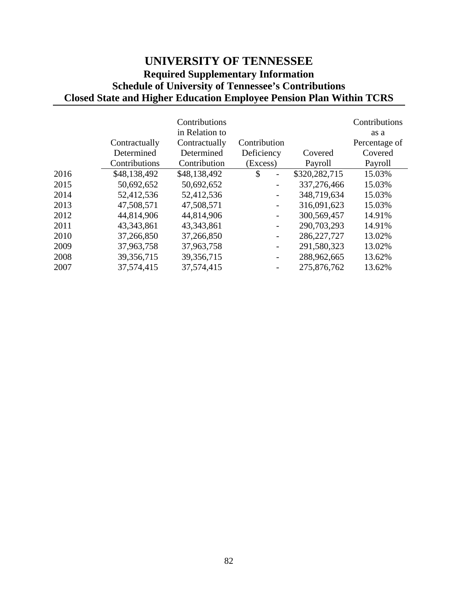# **UNIVERSITY OF TENNESSEE Required Supplementary Information Schedule of University of Tennessee's Contributions Closed State and Higher Education Employee Pension Plan Within TCRS**

|      |               | Contributions  |              |               | Contributions |
|------|---------------|----------------|--------------|---------------|---------------|
|      |               | in Relation to |              |               | as a          |
|      | Contractually | Contractually  | Contribution |               | Percentage of |
|      | Determined    | Determined     | Deficiency   | Covered       | Covered       |
|      | Contributions | Contribution   | (Excess)     | Payroll       | Payroll       |
| 2016 | \$48,138,492  | \$48,138,492   | \$           | \$320,282,715 | 15.03%        |
| 2015 | 50,692,652    | 50,692,652     |              | 337,276,466   | 15.03%        |
| 2014 | 52,412,536    | 52,412,536     |              | 348,719,634   | 15.03%        |
| 2013 | 47,508,571    | 47,508,571     |              | 316,091,623   | 15.03%        |
| 2012 | 44,814,906    | 44,814,906     |              | 300,569,457   | 14.91%        |
| 2011 | 43,343,861    | 43, 343, 861   |              | 290,703,293   | 14.91%        |
| 2010 | 37,266,850    | 37,266,850     |              | 286, 227, 727 | 13.02%        |
| 2009 | 37,963,758    | 37,963,758     |              | 291,580,323   | 13.02%        |
| 2008 | 39,356,715    | 39,356,715     | -            | 288,962,665   | 13.62%        |
| 2007 | 37,574,415    | 37,574,415     |              | 275,876,762   | 13.62%        |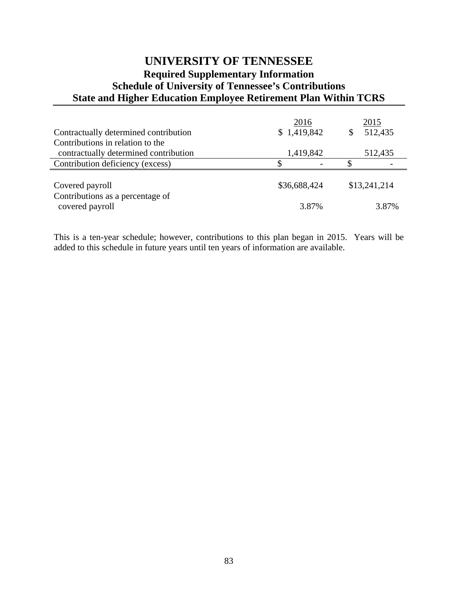# **UNIVERSITY OF TENNESSEE Required Supplementary Information Schedule of University of Tennessee's Contributions State and Higher Education Employee Retirement Plan Within TCRS**

|                                       | 2016         | 2015         |
|---------------------------------------|--------------|--------------|
| Contractually determined contribution | \$1,419,842  | 512,435      |
| Contributions in relation to the      |              |              |
| contractually determined contribution | 1,419,842    | 512,435      |
| Contribution deficiency (excess)      |              |              |
|                                       |              |              |
| Covered payroll                       | \$36,688,424 | \$13,241,214 |
| Contributions as a percentage of      |              |              |
| covered payroll                       | 3.87%        | 3.87%        |

This is a ten-year schedule; however, contributions to this plan began in 2015. Years will be added to this schedule in future years until ten years of information are available.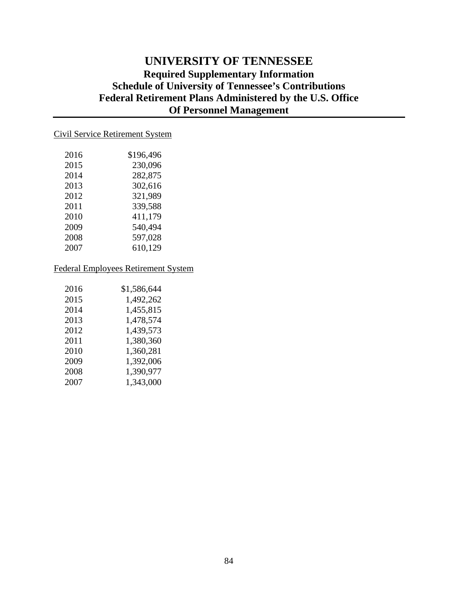# **UNIVERSITY OF TENNESSEE Required Supplementary Information Schedule of University of Tennessee's Contributions Federal Retirement Plans Administered by the U.S. Office Of Personnel Management**

# Civil Service Retirement System

| 2016 | \$196,496 |
|------|-----------|
| 2015 | 230,096   |
| 2014 | 282,875   |
| 2013 | 302,616   |
| 2012 | 321,989   |
| 2011 | 339,588   |
| 2010 | 411,179   |
| 2009 | 540,494   |
| 2008 | 597,028   |
| 2007 | 610,129   |

#### Federal Employees Retirement System

| 2016 | \$1,586,644 |
|------|-------------|
| 2015 | 1,492,262   |
| 2014 | 1,455,815   |
| 2013 | 1,478,574   |
| 2012 | 1,439,573   |
| 2011 | 1,380,360   |
| 2010 | 1,360,281   |
| 2009 | 1,392,006   |
| 2008 | 1,390,977   |
| 2007 | 1,343,000   |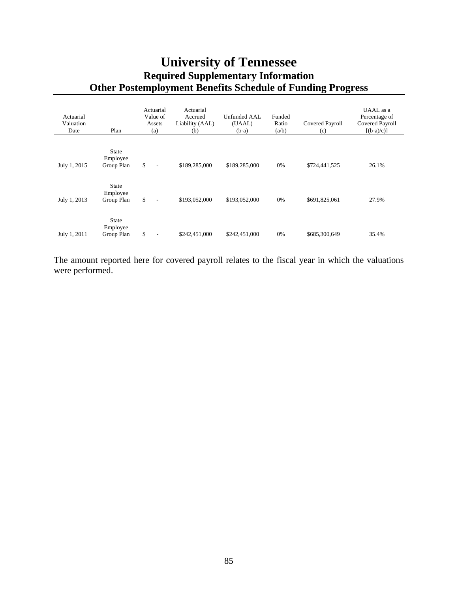# **University of Tennessee Required Supplementary Information Other Postemployment Benefits Schedule of Funding Progress**

| Actuarial<br>Valuation<br>Date | Plan                                   | Actuarial<br>Value of<br>Assets<br>(a) | Actuarial<br>Accrued<br>Liability (AAL)<br>(b) | Unfunded AAL<br>(UAAL)<br>$(b-a)$ | Funded<br>Ratio<br>(a/b) | Covered Payroll<br>(c) | UAAL as a<br>Percentage of<br>Covered Payroll<br>$[(b-a)/c]$ |
|--------------------------------|----------------------------------------|----------------------------------------|------------------------------------------------|-----------------------------------|--------------------------|------------------------|--------------------------------------------------------------|
|                                |                                        |                                        |                                                |                                   |                          |                        |                                                              |
| July 1, 2015                   | <b>State</b><br>Employee<br>Group Plan | \$<br>$\overline{\phantom{a}}$         | \$189,285,000                                  | \$189,285,000                     | 0%                       | \$724,441,525          | 26.1%                                                        |
| July 1, 2013                   | <b>State</b><br>Employee<br>Group Plan | \$<br>$\overline{\phantom{a}}$         | \$193,052,000                                  | \$193,052,000                     | 0%                       | \$691,825,061          | 27.9%                                                        |
| July 1, 2011                   | State<br>Employee<br>Group Plan        | \$<br>$\overline{\phantom{a}}$         | \$242,451,000                                  | \$242,451,000                     | 0%                       | \$685,300,649          | 35.4%                                                        |

The amount reported here for covered payroll relates to the fiscal year in which the valuations were performed.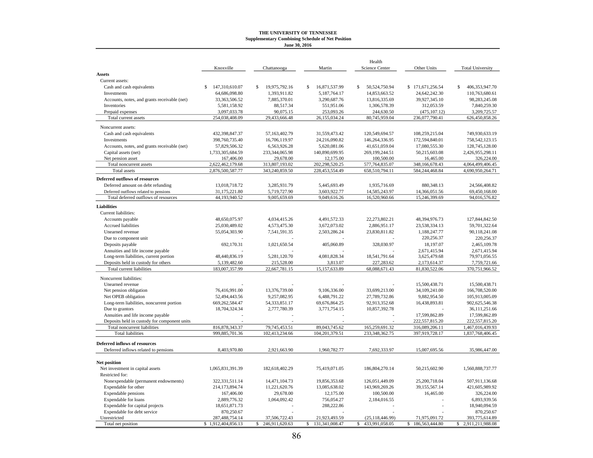#### **THE UNIVERSITY OF TENNESSEE Supplementary Combining Schedule of Net Position June 30, 2016**

|                                              |                      |                      |                      | Health              |                      |                         |
|----------------------------------------------|----------------------|----------------------|----------------------|---------------------|----------------------|-------------------------|
|                                              | Knoxville            | Chattanooga          | Martin               | Science Center      | Other Units          | <b>Total University</b> |
| <b>Assets</b>                                |                      |                      |                      |                     |                      |                         |
| Current assets:                              |                      |                      |                      |                     |                      |                         |
| Cash and cash equivalents                    | 147,310,610.07<br>\$ | \$<br>19,975,792.16  | \$<br>16,871,537.99  | \$<br>50,524,750.94 | \$171,671,256.54     | \$<br>406,353,947.70    |
| Investments                                  | 64,686,098.80        | 1,393,911.82         | 5,187,764.17         | 14,853,663.52       | 24,642,242.30        | 110,763,680.61          |
| Accounts, notes, and grants receivable (net) | 33,363,506.52        | 7,885,370.01         | 3,290,687.76         | 13,816,335.69       | 39,927,345.10        | 98,283,245.08           |
| Inventories                                  | 5,581,158.92         | 88,517.34            | 551,951.06           | 1,306,578.39        | 312,053.59           | 7,840,259.30            |
| Prepaid expenses                             | 3,097,033.78         | 90,075.15            | 253,093.26           | 244,630.50          | (475, 107.12)        | 3,209,725.57            |
| Total current assets                         | 254,038,408.09       | 29,433,666.48        | 26,155,034.24        | 80,745,959.04       | 236,077,790.41       | 626,450,858.26          |
| Noncurrent assets:                           |                      |                      |                      |                     |                      |                         |
| Cash and cash equivalents                    | 432,398,847.37       | 57,163,402.79        | 31,559,473.42        | 120,549,694.57      | 108,259,215.04       | 749,930,633.19          |
| Investments                                  | 398,760,735.40       | 16,706,119.97        | 24,216,090.82        | 146,264,336.95      | 172,594,840.01       | 758,542,123.15          |
| Accounts, notes, and grants receivable (net) | 57,829,506.32        | 6,563,926.28         | 5,620,081.06         | 41,651,059.04       | 17,080,555.30        | 128,745,128.00          |
| Capital assets (net)                         | 1,733,305,684.59     | 233,344,065.98       | 140,890,699.95       | 269, 199, 244.51    | 50,215,603.08        | 2,426,955,298.11        |
| Net pension asset                            | 167,406.00           | 29,678.00            | 12,175.00            | 100,500.00          | 16,465.00            | 326,224.00              |
| Total noncurrent assets                      | 2,622,462,179.68     | 313,807,193.02       | 202,298,520.25       | 577, 764, 835.07    | 348,166,678.43       | 4,064,499,406.45        |
| Total assets                                 | 2,876,500,587.77     | 343,240,859.50       | 228,453,554.49       | 658,510,794.11      | 584,244,468.84       | 4,690,950,264.71        |
| Deferred outflows of resources               |                      |                      |                      |                     |                      |                         |
| Deferred amount on debt refunding            | 13,018,718.72        | 3,285,931.79         | 5,445,693.49         | 1,935,716.69        | 880,348.13           | 24,566,408.82           |
| Deferred outflows related to pensions        | 31,175,221.80        | 5,719,727.90         | 3,603,922.77         | 14,585,243.97       | 14,366,051.56        | 69,450,168.00           |
| Total deferred outflows of resources         | 44,193,940.52        | 9,005,659.69         | 9,049,616.26         | 16,520,960.66       | 15,246,399.69        | 94,016,576.82           |
| <b>Liabilities</b>                           |                      |                      |                      |                     |                      |                         |
| Current liabilities:                         |                      |                      |                      |                     |                      |                         |
| Accounts payable                             | 48,650,075.97        | 4,034,415.26         | 4,491,572.33         | 22,273,802.21       | 48,394,976.73        | 127,844,842.50          |
| Accrued liabilities                          | 25,030,489.02        | 4,573,475.30         | 3,672,073.02         | 2,886,951.17        | 23,538,334.13        | 59,701,322.64           |
| Unearned revenue                             | 55,054,303.90        | 7,541,591.35         | 2,503,286.24         | 23,830,811.82       | 1,188,247.77         | 90,118,241.08           |
| Due to component unit                        |                      |                      |                      |                     | 220,256.37           | 220,256.37              |
| Deposits payable                             | 692,170.31           | 1,021,650.54         | 405,060.89           | 328,030.97          | 18,197.07            | 2,465,109.78            |
| Annuities and life income payable            |                      |                      |                      |                     | 2,671,415.94         | 2,671,415.94            |
| Long-term liabilities, current portion       | 48,440,836.19        | 5,281,120.70         | 4,081,828.34         | 18,541,791.64       | 3,625,479.68         | 79,971,056.55           |
| Deposits held in custody for others          | 5,139,482.60         | 215,528.00           | 3,813.07             | 227,283.62          | 2,173,614.37         | 7,759,721.66            |
| Total current liabilities                    | 183,007,357.99       | 22,667,781.15        | 15,157,633.89        | 68,088,671.43       | 81,830,522.06        | 370,751,966.52          |
| Noncurrent liabilities:                      |                      |                      |                      |                     |                      |                         |
| Unearned revenue                             |                      |                      |                      |                     | 15,500,438.71        | 15,500,438.71           |
| Net pension obligation                       | 76,416,991.00        | 13,376,739.00        | 9,106,336.00         | 33,699,213.00       | 34,109,241.00        | 166,708,520.00          |
| Net OPEB obligation                          | 52,494,443.56        | 9,257,082.95         | 6,488,791.22         | 27,789,732.86       | 9,882,954.50         | 105,913,005.09          |
| Long-term liabilities, noncurrent portion    | 669,262,584.47       | 54, 333, 851.17      | 69,676,864.25        | 92,913,352.68       | 16,438,893.81        | 902,625,546.38          |
| Due to grantors                              | 18,704,324.34        | 2,777,780.39         | 3,771,754.15         | 10,857,392.78       |                      | 36,111,251.66           |
| Annuities and life income payable            |                      |                      |                      |                     | 17,599,862.89        | 17,599,862.89           |
| Deposits held in custody for component units |                      |                      |                      |                     | 222,557,815.20       | 222,557,815.20          |
| Total noncurrent liabilities                 | 816, 878, 343. 37    | 79,745,453.51        | 89,043,745.62        | 165,259,691.32      | 316,089,206.11       | 1,467,016,439.93        |
| <b>Total liabilities</b>                     | 999,885,701.36       | 102,413,234.66       | 104,201,379.51       | 233,348,362.75      | 397,919,728.17       | 1,837,768,406.45        |
| <b>Deferred inflows of resources</b>         |                      |                      |                      |                     |                      |                         |
| Deferred inflows related to pensions         | 8,403,970.80         | 2,921,663.90         | 1,960,782.77         | 7,692,333.97        | 15,007,695.56        | 35,986,447.00           |
|                                              |                      |                      |                      |                     |                      |                         |
| Net position                                 |                      |                      |                      |                     |                      |                         |
| Net investment in capital assets             | 1,065,831,391.39     | 182,618,402.29       | 75,419,071.05        | 186,804,270.14      | 50,215,602.90        | 1,560,888,737.77        |
| Restricted for:                              |                      |                      |                      |                     |                      |                         |
| Nonexpendable (permanent endowments)         | 322,331,511.14       | 14,471,104.73        | 19,856,353.68        | 126,051,449.09      | 25,200,718.04        | 507,911,136.68          |
| Expendable for other                         | 214,173,894.74       | 11,221,620.76        | 13,085,638.02        | 143,969,269.26      | 39,155,567.14        | 421,605,989.92          |
| Expendable pensions                          | 167,406.00           | 29,678.00            | 12,175.00            | 100,500.00          | 16,465.00            | 326,224.00              |
| Expendable for loans                         | 2,889,776.32         | 1,064,092.42         | 756,054.27           | 2,184,016.55        |                      | 6,893,939.56            |
| Expendable for capital projects              | 18,651,871.73        |                      | 288,222.86           |                     |                      | 18,940,094.59           |
| Expendable for debt service                  | 870,250.67           |                      |                      |                     |                      | 870,250.67              |
| Unrestricted                                 | 287,488,754.14       | 37,506,722.43        | 21,923,493.59        | (25, 118, 446.99)   | 71,975,091.72        | 393,775,614.89          |
| Total net position                           | \$1,912,404,856.13   | 246,911,620.63<br>\$ | \$<br>131,341,008.47 | \$433,991,058.05    | \$<br>186,563,444.80 | 2,911,211,988.08<br>\$  |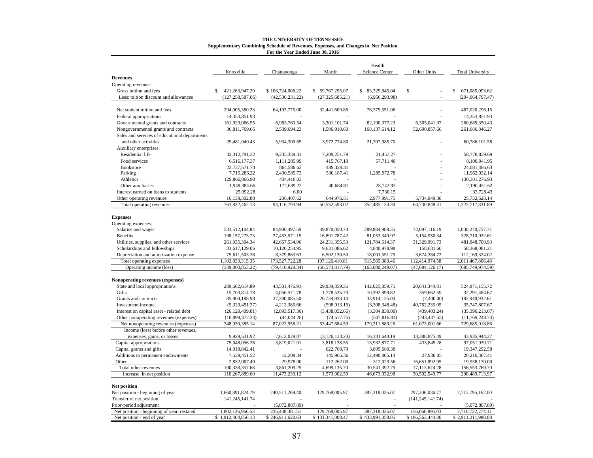|                                               |                      |                   |                   | Health            |                    |                     |
|-----------------------------------------------|----------------------|-------------------|-------------------|-------------------|--------------------|---------------------|
| <b>Revenues</b>                               | Knoxville            | Chattanooga       | Martin            | Science Center    | Other Units        | Total University    |
| Operating revenues:                           |                      |                   |                   |                   |                    |                     |
| Gross tuition and fees                        | 421,263,947.29<br>\$ | \$106,724,006.22  | \$59,767,295.07   | \$ 83,329,845.04  | \$                 | 671,085,093.62<br>S |
| Less: tuition discount and allowances         | (127, 258, 587.06)   | (42, 530, 231.22) | (27, 325, 685.21) | (6,950,293.98)    |                    | (204, 064, 797.47)  |
|                                               |                      |                   |                   |                   |                    |                     |
| Net student tuition and fees                  | 294,005,360.23       | 64,193,775.00     | 32,441,609.86     | 76,379,551.06     |                    | 467,020,296.15      |
| Federal appropriations                        | 14,353,851.93        |                   |                   |                   |                    | 14,353,851.93       |
| Governmental grants and contracts             | 161,929,066.55       | 6,963,763.54      | 3,301,101.74      | 82,190,377.23     | 6,305,041.37       | 260,689,350.43      |
| Nongovernmental grants and contracts          | 36,811,769.66        | 2,539,694.23      | 1,506,910.60      | 168, 137, 614. 12 | 52,690,857.66      | 261,686,846.27      |
| Sales and services of educational departments |                      |                   |                   |                   |                    |                     |
| and other activities                          | 29,481,040.43        | 5,934,300.65      | 3,972,774.80      | 21,397,985.70     |                    | 60,786,101.58       |
|                                               |                      |                   |                   |                   |                    |                     |
| Auxiliary enterprises:                        |                      |                   |                   |                   |                    |                     |
| Residential life                              | 42,312,791.32        | 9,235,339.31      | 7,209,251.79      | 21,457.27         |                    | 58,778,839.69       |
| Food services                                 | 6,516,177.37         | 1,111,285.99      | 415,767.19        | 57,711.40         |                    | 8,100,941.95        |
| <b>Bookstore</b>                              | 22,727,571.70        | 864,586.62        | 489,328.31        |                   |                    | 24,081,486.63       |
| Parking                                       | 7,715,286.22         | 2,430,585.73      | 530,187.41        | 1,285,972.78      |                    | 11,962,032.14       |
| Athletics                                     | 129,866,866.90       | 434,410.03        |                   |                   |                    | 130, 301, 276. 93   |
| Other auxiliaries                             | 1,948,384.66         | 172,639.22        | 40,684.81         | 28,742.93         |                    | 2,190,451.62        |
| Interest earned on loans to students          | 25,992.28            | 6.00              |                   | 7,730.15          |                    | 33,728.43           |
| Other operating revenues                      | 16,138,302.88        | 236,407.62        | 644,976.51        | 2,977,991.75      | 5,734,949.38       | 25,732,628.14       |
| Total operating revenues                      | 763,832,462.13       | 94,116,793.94     | 50,552,593.02     | 352,485,134.39    | 64,730,848.41      | 1,325,717,831.89    |
|                                               |                      |                   |                   |                   |                    |                     |
| <b>Expenses</b>                               |                      |                   |                   |                   |                    |                     |
| Operating expenses:                           |                      |                   |                   |                   |                    |                     |
| Salaries and wages                            | 533,512,104.84       | 84,906,497.59     | 49,870,050.74     | 289,884,988.35    | 72,097,116.19      | 1,030,270,757.71    |
| <b>Benefits</b>                               | 198, 157, 273. 73    | 27,453,571.15     | 16,891,787.42     | 81,053,349.97     | 5,154,950.34       | 328,710,932.61      |
| Utilities, supplies, and other services       | 261,935,304.34       | 42,667,534.96     | 24, 231, 355. 53  | 121,784,514.37    | 31,329,991.73      | 481,948,700.93      |
| Scholarships and fellowships                  | 33,617,129.06        | 10,120,254.95     | 9,631,086.62      | 4,840,978.98      | 158,631.60         | 58,368,081.21       |
| Depreciation and amortization expense         | 75,611,503.38        | 8,379,863.63      | 6,502,130.50      | 18,001,551.79     | 3,674,284.72       | 112,169,334.02      |
| Total operating expenses                      | 1,102,833,315.35     | 173,527,722.28    | 107,126,410.81    | 515, 565, 383. 46 | 112,414,974.58     | 2,011,467,806.48    |
| Operating income (loss)                       | (339,000,853.22)     | (79, 410, 928.34) | (56, 573, 817.79) | (163,080,249.07)  | (47, 684, 126.17)  | (685, 749, 974.59)  |
|                                               |                      |                   |                   |                   |                    |                     |
| Nonoperating revenues (expenses)              |                      |                   |                   |                   |                    |                     |
| State and local appropriations                | 289,662,614.89       | 43,501,476.91     | 29,039,859.36     | 142,025,859.75    | 20,641,344.81      | 524,871,155.72      |
| Gifts                                         | 15,703,814.78        | 4,056,571.78      | 1,778,535.70      | 10,392,899.82     | 359,662.59         | 32,291,484.67       |
| Grants and contracts                          | 85,904,188.98        | 37,390,085.50     | 26,739,933.13     | 33,914,125.00     | (7,400.00)         | 183,940,932.61      |
| Investment income                             | (5,320,451.37)       | 4,212,385.66      | (598, 013.19)     | (3,308,348.48)    | 40,762,235.05      | 35,747,807.67       |
| Interest on capital asset - related debt      | (26, 120, 409.81)    | (2,093,517.36)    | (3,438,052.66)    | (3,304,830.00)    | (439, 403.24)      | (35,396,213.07)     |
| Other nonoperating revenues (expenses)        | (10,899,372.33)      | (44, 044.28)      | (74, 577.75)      | (507, 816.83)     | (243, 437.55)      | (11,769,248.74)     |
| Net nonoperating revenues (expenses)          | 348,930,385.14       | 87,022,958.21     | 53,447,684.59     | 179,211,889.26    | 61,073,001.66      | 729,685,918.86      |
| Income (loss) before other revenues,          |                      |                   |                   |                   |                    |                     |
| expenses, gains, or losses                    | 9,929,531.92         | 7,612,029.87      | (3, 126, 133.20)  | 16,131,640.19     | 13,388,875.49      | 43,935,944.27       |
| Capital appropriations                        | 75,048,056.26        | 3,819,021.91      | 3,818,138.55      | 13,932,877.71     | 433,845.28         | 97,051,939.71       |
| Capital grants and gifts                      | 14,918,842.41        |                   | 622,769.79        | 3,805,680.38      |                    | 19,347,292.58       |
| Additions to permanent endowments             | 7,539,451.52         | 12,209.34         | 145,965.36        | 12,490,805.14     | 27,936.05          | 20,216,367.41       |
| Other                                         | 2,832,007.49         | 29,978.00         | 112,262.00        | 312,029.56        | 16,651,892.95      | 19,938,170.00       |
| Total other revenues                          | 100,338,357.68       | 3,861,209.25      | 4,699,135.70      | 30,541,392.79     | 17,113,674.28      | 156,553,769.70      |
| Increase in net position                      | 110,267,889.60       | 11,473,239.12     | 1,573,002.50      | 46,673,032.98     | 30,502,549.77      | 200,489,713.97      |
|                                               |                      |                   |                   |                   |                    |                     |
| Net position                                  |                      |                   |                   |                   |                    |                     |
| Net position - beginning of year              | 1,660,891,824.79     | 240,511,269.40    | 129,768,005.97    | 387,318,025.07    | 297,306,036.77     | 2,715,795,162.00    |
| Transfer of net position                      | 141,245,141.74       |                   |                   |                   | (141, 245, 141.74) |                     |
| Prior-period adjustment                       |                      | (5,072,887.89)    |                   |                   |                    | (5,072,887.89)      |
| Net position - beginning of year, restated    | 1,802,136,966.53     | 235,438,381.51    | 129,768,005.97    | 387,318,025.07    | 156,060,895.03     | 2,710,722,274.11    |
| Net position - end of year                    | \$1,912,404,856.13   | \$246,911,620.63  | \$131,341,008.47  | \$433,991,058.05  | \$186,563,444.80   | \$2,911,211,988.08  |

#### **THE UNIVERSITY OF TENNESSEE Supplementary Combining Schedule of Revenues, Expenses, and Changes in Net Position For the Year Ended June 30, 2016**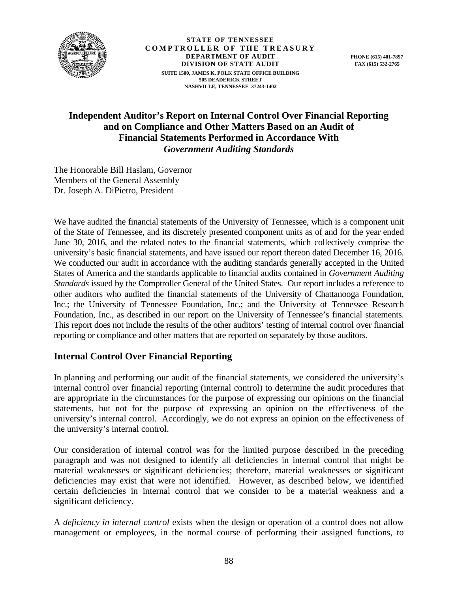

**STATE OF TENNESSEE COMPTROLLER OF THE TREASURY DEPARTMENT OF AUDIT DIVISION OF STATE AUDIT SUITE 1500, JAMES K. POLK STATE OFFICE BUILDING 505 DEADERICK STREET NASHVILLE, TENNESSEE 37243-1402** 

# **Independent Auditor's Report on Internal Control Over Financial Reporting and on Compliance and Other Matters Based on an Audit of Financial Statements Performed in Accordance With**  *Government Auditing Standards*

The Honorable Bill Haslam, Governor Members of the General Assembly Dr. Joseph A. DiPietro, President

We have audited the financial statements of the University of Tennessee, which is a component unit of the State of Tennessee, and its discretely presented component units as of and for the year ended June 30, 2016, and the related notes to the financial statements, which collectively comprise the university's basic financial statements, and have issued our report thereon dated December 16, 2016. We conducted our audit in accordance with the auditing standards generally accepted in the United States of America and the standards applicable to financial audits contained in *Government Auditing Standards* issued by the Comptroller General of the United States. Our report includes a reference to other auditors who audited the financial statements of the University of Chattanooga Foundation, Inc.; the University of Tennessee Foundation, Inc.; and the University of Tennessee Research Foundation, Inc., as described in our report on the University of Tennessee's financial statements. This report does not include the results of the other auditors' testing of internal control over financial reporting or compliance and other matters that are reported on separately by those auditors.

# **Internal Control Over Financial Reporting**

In planning and performing our audit of the financial statements, we considered the university's internal control over financial reporting (internal control) to determine the audit procedures that are appropriate in the circumstances for the purpose of expressing our opinions on the financial statements, but not for the purpose of expressing an opinion on the effectiveness of the university's internal control. Accordingly, we do not express an opinion on the effectiveness of the university's internal control.

Our consideration of internal control was for the limited purpose described in the preceding paragraph and was not designed to identify all deficiencies in internal control that might be material weaknesses or significant deficiencies; therefore, material weaknesses or significant deficiencies may exist that were not identified. However, as described below, we identified certain deficiencies in internal control that we consider to be a material weakness and a significant deficiency.

A *deficiency in internal control* exists when the design or operation of a control does not allow management or employees, in the normal course of performing their assigned functions, to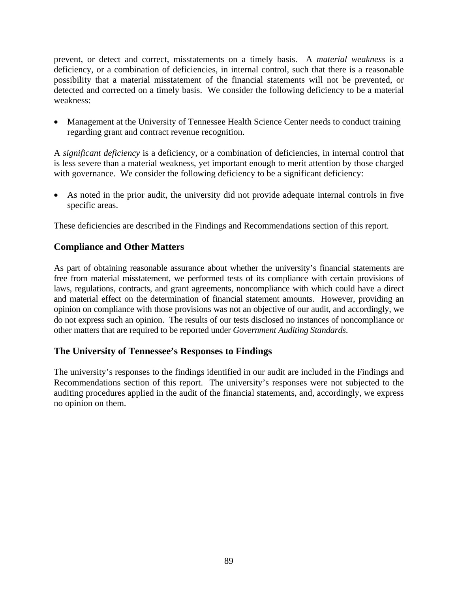prevent, or detect and correct, misstatements on a timely basis. A *material weakness* is a deficiency, or a combination of deficiencies, in internal control, such that there is a reasonable possibility that a material misstatement of the financial statements will not be prevented, or detected and corrected on a timely basis. We consider the following deficiency to be a material weakness:

• Management at the University of Tennessee Health Science Center needs to conduct training regarding grant and contract revenue recognition.

A *significant deficiency* is a deficiency, or a combination of deficiencies, in internal control that is less severe than a material weakness, yet important enough to merit attention by those charged with governance. We consider the following deficiency to be a significant deficiency:

 As noted in the prior audit, the university did not provide adequate internal controls in five specific areas.

These deficiencies are described in the Findings and Recommendations section of this report.

# **Compliance and Other Matters**

As part of obtaining reasonable assurance about whether the university's financial statements are free from material misstatement, we performed tests of its compliance with certain provisions of laws, regulations, contracts, and grant agreements, noncompliance with which could have a direct and material effect on the determination of financial statement amounts. However, providing an opinion on compliance with those provisions was not an objective of our audit, and accordingly, we do not express such an opinion. The results of our tests disclosed no instances of noncompliance or other matters that are required to be reported under *Government Auditing Standards*.

## **The University of Tennessee's Responses to Findings**

The university's responses to the findings identified in our audit are included in the Findings and Recommendations section of this report. The university's responses were not subjected to the auditing procedures applied in the audit of the financial statements, and, accordingly, we express no opinion on them.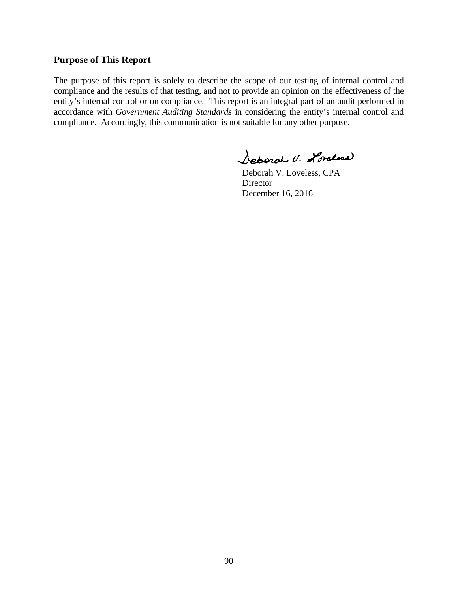#### **Purpose of This Report**

The purpose of this report is solely to describe the scope of our testing of internal control and compliance and the results of that testing, and not to provide an opinion on the effectiveness of the entity's internal control or on compliance. This report is an integral part of an audit performed in accordance with *Government Auditing Standards* in considering the entity's internal control and compliance. Accordingly, this communication is not suitable for any other purpose.

Separat U. Lorelina

 Deborah V. Loveless, CPA **Director** December 16, 2016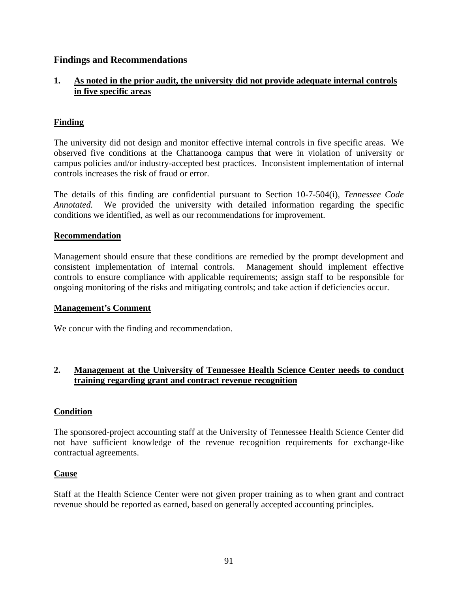## **Findings and Recommendations**

# **1. As noted in the prior audit, the university did not provide adequate internal controls in five specific areas**

# **Finding**

The university did not design and monitor effective internal controls in five specific areas. We observed five conditions at the Chattanooga campus that were in violation of university or campus policies and/or industry-accepted best practices. Inconsistent implementation of internal controls increases the risk of fraud or error.

The details of this finding are confidential pursuant to Section 10-7-504(i), *Tennessee Code Annotated.* We provided the university with detailed information regarding the specific conditions we identified, as well as our recommendations for improvement.

#### **Recommendation**

Management should ensure that these conditions are remedied by the prompt development and consistent implementation of internal controls. Management should implement effective controls to ensure compliance with applicable requirements; assign staff to be responsible for ongoing monitoring of the risks and mitigating controls; and take action if deficiencies occur.

#### **Management's Comment**

We concur with the finding and recommendation.

## **2. Management at the University of Tennessee Health Science Center needs to conduct training regarding grant and contract revenue recognition**

## **Condition**

The sponsored-project accounting staff at the University of Tennessee Health Science Center did not have sufficient knowledge of the revenue recognition requirements for exchange-like contractual agreements.

## **Cause**

Staff at the Health Science Center were not given proper training as to when grant and contract revenue should be reported as earned, based on generally accepted accounting principles.